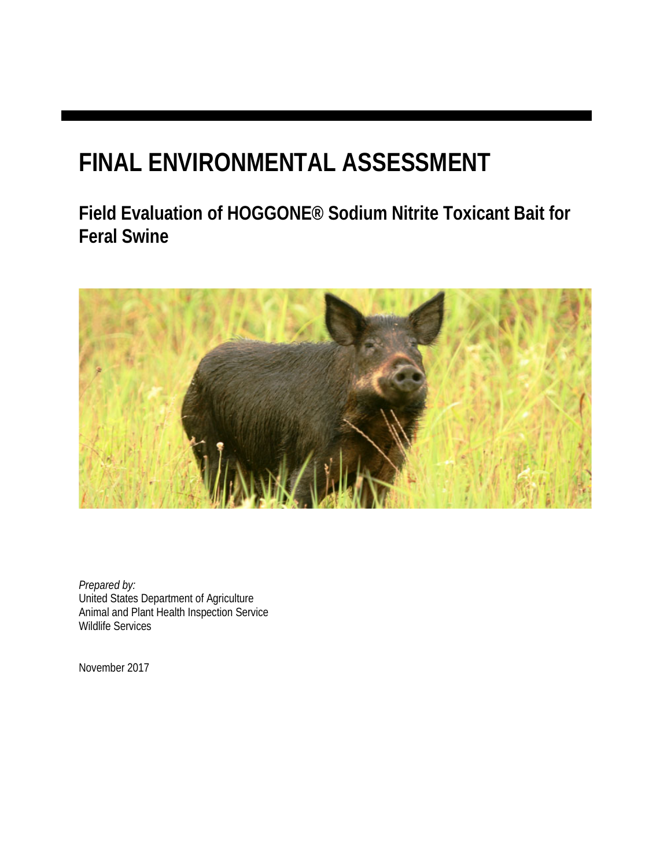# **FINAL ENVIRONMENTAL ASSESSMENT**

**Field Evaluation of HOGGONE® Sodium Nitrite Toxicant Bait for Feral Swine** 



*Prepared by:*  United States Department of Agriculture Animal and Plant Health Inspection Service Wildlife Services

November 2017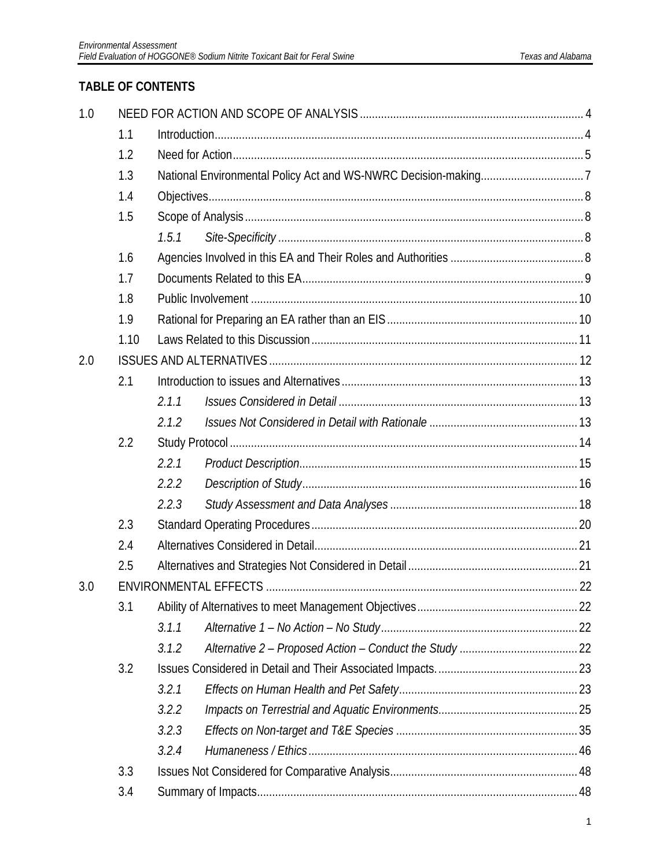### **TABLE OF CONTENTS**

| 1.0 |      |       |  |  |  |  |  |  |
|-----|------|-------|--|--|--|--|--|--|
|     | 1.1  |       |  |  |  |  |  |  |
|     | 1.2  |       |  |  |  |  |  |  |
|     | 1.3  |       |  |  |  |  |  |  |
|     | 1.4  |       |  |  |  |  |  |  |
|     | 1.5  |       |  |  |  |  |  |  |
|     |      | 1.5.1 |  |  |  |  |  |  |
|     | 1.6  |       |  |  |  |  |  |  |
|     | 1.7  |       |  |  |  |  |  |  |
|     | 1.8  |       |  |  |  |  |  |  |
|     | 1.9  |       |  |  |  |  |  |  |
|     | 1.10 |       |  |  |  |  |  |  |
| 2.0 |      |       |  |  |  |  |  |  |
|     | 2.1  |       |  |  |  |  |  |  |
|     |      | 2.1.1 |  |  |  |  |  |  |
|     |      | 2.1.2 |  |  |  |  |  |  |
|     | 2.2  |       |  |  |  |  |  |  |
|     |      | 2.2.1 |  |  |  |  |  |  |
|     |      | 2.2.2 |  |  |  |  |  |  |
|     |      | 2.2.3 |  |  |  |  |  |  |
|     | 2.3  |       |  |  |  |  |  |  |
|     | 2.4  |       |  |  |  |  |  |  |
|     | 2.5  |       |  |  |  |  |  |  |
| 3.0 |      |       |  |  |  |  |  |  |
|     | 3.1  |       |  |  |  |  |  |  |
|     |      | 3.1.1 |  |  |  |  |  |  |
|     |      | 3.1.2 |  |  |  |  |  |  |
|     | 3.2  |       |  |  |  |  |  |  |
|     |      | 3.2.1 |  |  |  |  |  |  |
|     |      | 3.2.2 |  |  |  |  |  |  |
|     |      | 3.2.3 |  |  |  |  |  |  |
|     |      | 3.2.4 |  |  |  |  |  |  |
|     | 3.3  |       |  |  |  |  |  |  |
|     | 3.4  |       |  |  |  |  |  |  |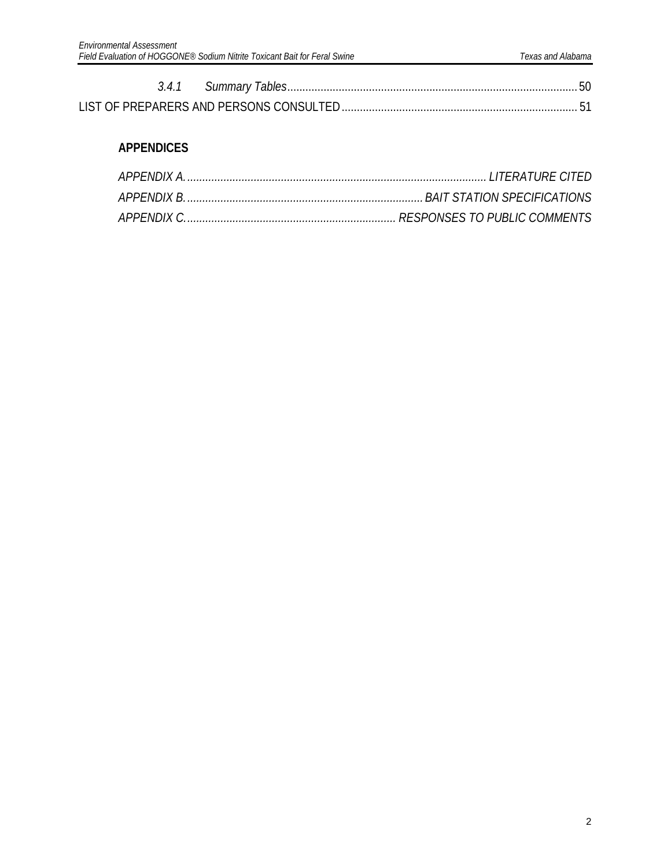### **APPENDICES**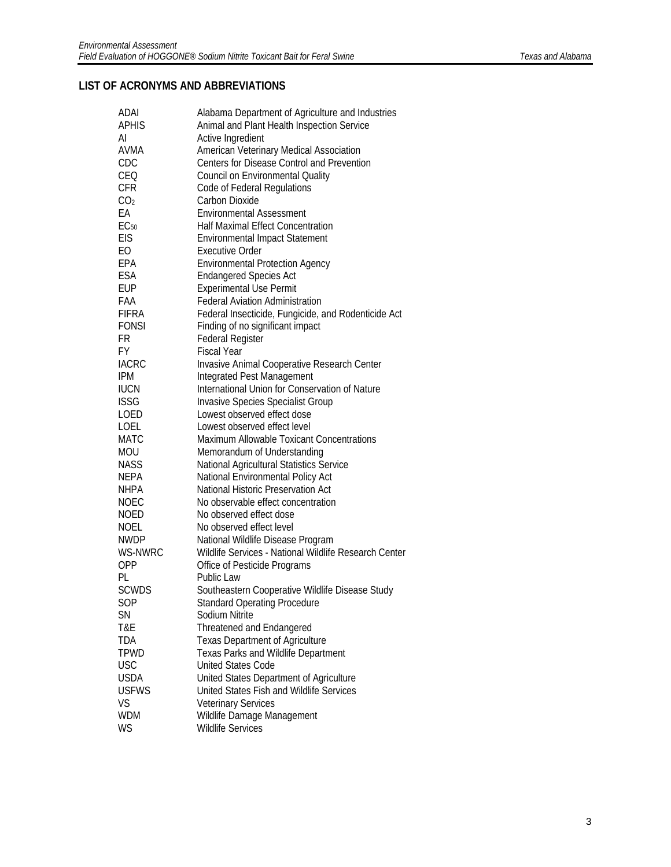#### **LIST OF ACRONYMS AND ABBREVIATIONS**

| <b>ADAI</b>      | Alabama Department of Agriculture and Industries                        |
|------------------|-------------------------------------------------------------------------|
| <b>APHIS</b>     | Animal and Plant Health Inspection Service                              |
| AI               | Active Ingredient                                                       |
| AVMA             | American Veterinary Medical Association                                 |
| CDC              | Centers for Disease Control and Prevention                              |
| CEQ              | <b>Council on Environmental Quality</b>                                 |
| <b>CFR</b>       | Code of Federal Regulations                                             |
| CO <sub>2</sub>  | Carbon Dioxide                                                          |
| EA               | <b>Environmental Assessment</b>                                         |
| EC <sub>50</sub> | <b>Half Maximal Effect Concentration</b>                                |
| EIS              | <b>Environmental Impact Statement</b>                                   |
| EO               | <b>Executive Order</b>                                                  |
| EPA              | <b>Environmental Protection Agency</b>                                  |
| ESA              | <b>Endangered Species Act</b>                                           |
| <b>EUP</b>       | <b>Experimental Use Permit</b>                                          |
| FAA              | <b>Federal Aviation Administration</b>                                  |
| <b>FIFRA</b>     | Federal Insecticide, Fungicide, and Rodenticide Act                     |
| <b>FONSI</b>     | Finding of no significant impact                                        |
| FR               | <b>Federal Register</b>                                                 |
| FY.              | <b>Fiscal Year</b>                                                      |
| <b>IACRC</b>     | Invasive Animal Cooperative Research Center                             |
| <b>IPM</b>       | Integrated Pest Management                                              |
| <b>IUCN</b>      | International Union for Conservation of Nature                          |
| <b>ISSG</b>      |                                                                         |
| <b>LOED</b>      | <b>Invasive Species Specialist Group</b><br>Lowest observed effect dose |
|                  | Lowest observed effect level                                            |
| LOEL             |                                                                         |
| <b>MATC</b>      | <b>Maximum Allowable Toxicant Concentrations</b>                        |
| <b>MOU</b>       | Memorandum of Understanding                                             |
| <b>NASS</b>      | National Agricultural Statistics Service                                |
| <b>NEPA</b>      | National Environmental Policy Act                                       |
| <b>NHPA</b>      | National Historic Preservation Act                                      |
| <b>NOEC</b>      | No observable effect concentration                                      |
| NOED             | No observed effect dose                                                 |
| NOEL             | No observed effect level                                                |
| <b>NWDP</b>      | National Wildlife Disease Program                                       |
| WS-NWRC          | Wildlife Services - National Wildlife Research Center                   |
| <b>OPP</b>       | Office of Pesticide Programs                                            |
| PL               | <b>Public Law</b>                                                       |
| <b>SCWDS</b>     | Southeastern Cooperative Wildlife Disease Study                         |
| SOP              | <b>Standard Operating Procedure</b>                                     |
| <b>SN</b>        | Sodium Nitrite                                                          |
| T&E              | <b>Threatened and Endangered</b>                                        |
| <b>TDA</b>       | <b>Texas Department of Agriculture</b>                                  |
| <b>TPWD</b>      | <b>Texas Parks and Wildlife Department</b>                              |
| <b>USC</b>       | <b>United States Code</b>                                               |
| <b>USDA</b>      | United States Department of Agriculture                                 |
| <b>USFWS</b>     | United States Fish and Wildlife Services                                |
| VS               | <b>Veterinary Services</b>                                              |
| <b>WDM</b>       | Wildlife Damage Management                                              |
| <b>WS</b>        | <b>Wildlife Services</b>                                                |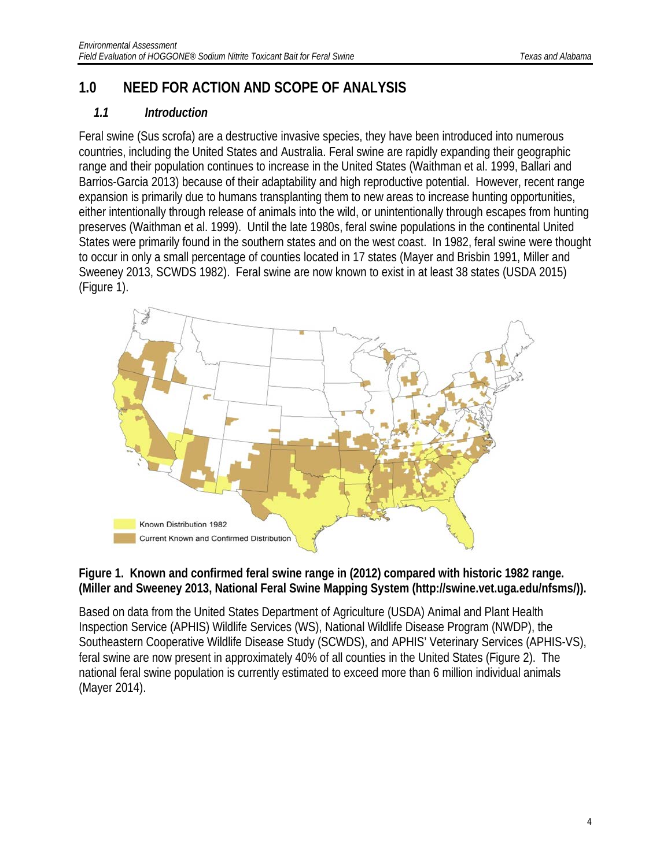## <span id="page-4-0"></span>**1.0 NEED FOR ACTION AND SCOPE OF ANALYSIS**

#### <span id="page-4-1"></span>*1.1 Introduction*

Feral swine (Sus scrofa) are a destructive invasive species, they have been introduced into numerous countries, including the United States and Australia. Feral swine are rapidly expanding their geographic range and their population continues to increase in the United States (Waithman et al. 1999, Ballari and Barrios-Garcia 2013) because of their adaptability and high reproductive potential. However, recent range expansion is primarily due to humans transplanting them to new areas to increase hunting opportunities, either intentionally through release of animals into the wild, or unintentionally through escapes from hunting preserves (Waithman et al. 1999). Until the late 1980s, feral swine populations in the continental United States were primarily found in the southern states and on the west coast. In 1982, feral swine were thought to occur in only a small percentage of counties located in 17 states (Mayer and Brisbin 1991, Miller and Sweeney 2013, SCWDS 1982). Feral swine are now known to exist in at least 38 states (USDA 2015) (Figure 1).



#### **Figure 1. Known and confirmed feral swine range in (2012) compared with historic 1982 range. (Miller and Sweeney 2013, National Feral Swine Mapping System (http://swine.vet.uga.edu/nfsms/)).**

Based on data from the United States Department of Agriculture (USDA) Animal and Plant Health Inspection Service (APHIS) Wildlife Services (WS), National Wildlife Disease Program (NWDP), the Southeastern Cooperative Wildlife Disease Study (SCWDS), and APHIS' Veterinary Services (APHIS-VS), feral swine are now present in approximately 40% of all counties in the United States (Figure 2). The national feral swine population is currently estimated to exceed more than 6 million individual animals (Mayer 2014).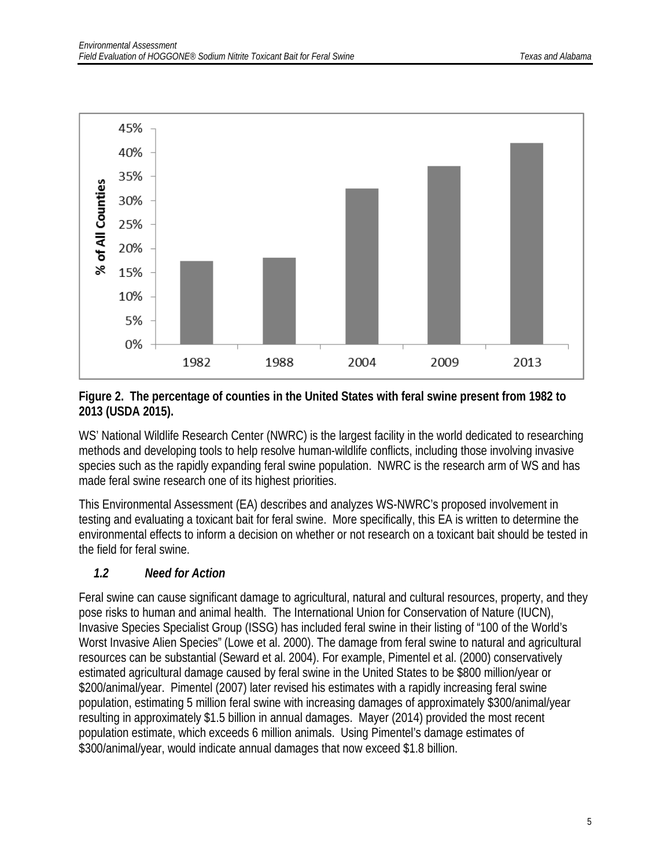

#### **Figure 2. The percentage of counties in the United States with feral swine present from 1982 to 2013 (USDA 2015).**

WS' National Wildlife Research Center (NWRC) is the largest facility in the world dedicated to researching methods and developing tools to help resolve human-wildlife conflicts, including those involving invasive species such as the rapidly expanding feral swine population. NWRC is the research arm of WS and has made feral swine research one of its highest priorities.

This Environmental Assessment (EA) describes and analyzes WS-NWRC's proposed involvement in testing and evaluating a toxicant bait for feral swine. More specifically, this EA is written to determine the environmental effects to inform a decision on whether or not research on a toxicant bait should be tested in the field for feral swine.

### <span id="page-5-0"></span>*1.2 Need for Action*

Feral swine can cause significant damage to agricultural, natural and cultural resources, property, and they pose risks to human and animal health. The International Union for Conservation of Nature (IUCN), Invasive Species Specialist Group (ISSG) has included feral swine in their listing of "100 of the World's Worst Invasive Alien Species" (Lowe et al. 2000). The damage from feral swine to natural and agricultural resources can be substantial (Seward et al. 2004). For example, Pimentel et al. (2000) conservatively estimated agricultural damage caused by feral swine in the United States to be \$800 million/year or \$200/animal/year. Pimentel (2007) later revised his estimates with a rapidly increasing feral swine population, estimating 5 million feral swine with increasing damages of approximately \$300/animal/year resulting in approximately \$1.5 billion in annual damages. Mayer (2014) provided the most recent population estimate, which exceeds 6 million animals. Using Pimentel's damage estimates of \$300/animal/year, would indicate annual damages that now exceed \$1.8 billion.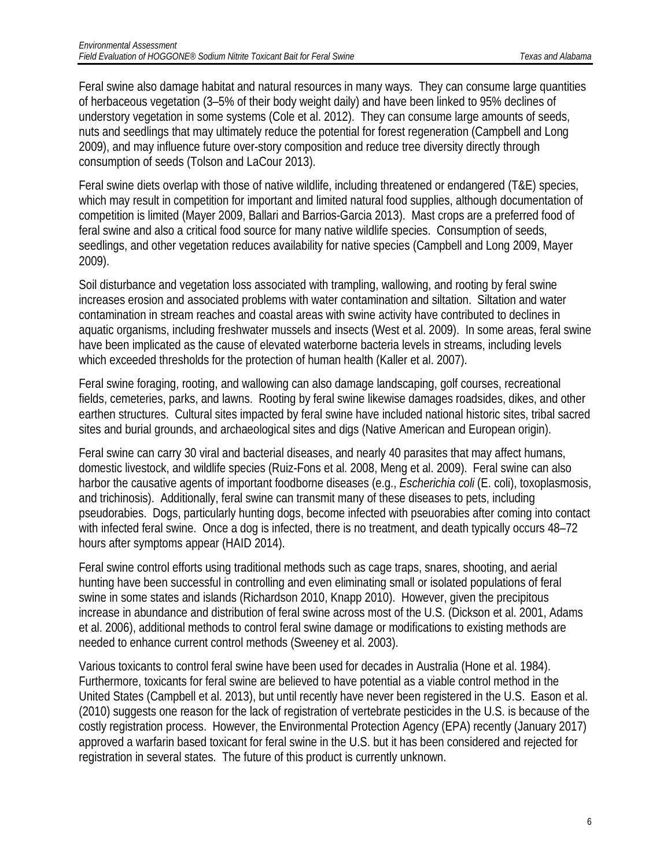Feral swine also damage habitat and natural resources in many ways. They can consume large quantities of herbaceous vegetation (3–5% of their body weight daily) and have been linked to 95% declines of understory vegetation in some systems (Cole et al. 2012). They can consume large amounts of seeds, nuts and seedlings that may ultimately reduce the potential for forest regeneration (Campbell and Long 2009), and may influence future over-story composition and reduce tree diversity directly through consumption of seeds (Tolson and LaCour 2013).

Feral swine diets overlap with those of native wildlife, including threatened or endangered (T&E) species, which may result in competition for important and limited natural food supplies, although documentation of competition is limited (Mayer 2009, Ballari and Barrios-Garcia 2013). Mast crops are a preferred food of feral swine and also a critical food source for many native wildlife species. Consumption of seeds, seedlings, and other vegetation reduces availability for native species (Campbell and Long 2009, Mayer 2009).

Soil disturbance and vegetation loss associated with trampling, wallowing, and rooting by feral swine increases erosion and associated problems with water contamination and siltation. Siltation and water contamination in stream reaches and coastal areas with swine activity have contributed to declines in aquatic organisms, including freshwater mussels and insects (West et al. 2009). In some areas, feral swine have been implicated as the cause of elevated waterborne bacteria levels in streams, including levels which exceeded thresholds for the protection of human health (Kaller et al. 2007).

Feral swine foraging, rooting, and wallowing can also damage landscaping, golf courses, recreational fields, cemeteries, parks, and lawns. Rooting by feral swine likewise damages roadsides, dikes, and other earthen structures. Cultural sites impacted by feral swine have included national historic sites, tribal sacred sites and burial grounds, and archaeological sites and digs (Native American and European origin).

Feral swine can carry 30 viral and bacterial diseases, and nearly 40 parasites that may affect humans, domestic livestock, and wildlife species (Ruiz-Fons et al. 2008, Meng et al. 2009). Feral swine can also harbor the causative agents of important foodborne diseases (e.g., *Escherichia coli* (E. coli), toxoplasmosis, and trichinosis). Additionally, feral swine can transmit many of these diseases to pets, including pseudorabies. Dogs, particularly hunting dogs, become infected with pseuorabies after coming into contact with infected feral swine. Once a dog is infected, there is no treatment, and death typically occurs 48–72 hours after symptoms appear (HAID 2014).

Feral swine control efforts using traditional methods such as cage traps, snares, shooting, and aerial hunting have been successful in controlling and even eliminating small or isolated populations of feral swine in some states and islands (Richardson 2010, Knapp 2010). However, given the precipitous increase in abundance and distribution of feral swine across most of the U.S. (Dickson et al. 2001, Adams et al. 2006), additional methods to control feral swine damage or modifications to existing methods are needed to enhance current control methods (Sweeney et al. 2003).

Various toxicants to control feral swine have been used for decades in Australia (Hone et al. 1984). Furthermore, toxicants for feral swine are believed to have potential as a viable control method in the United States (Campbell et al. 2013), but until recently have never been registered in the U.S. Eason et al. (2010) suggests one reason for the lack of registration of vertebrate pesticides in the U.S. is because of the costly registration process. However, the Environmental Protection Agency (EPA) recently (January 2017) approved a warfarin based toxicant for feral swine in the U.S. but it has been considered and rejected for registration in several states. The future of this product is currently unknown.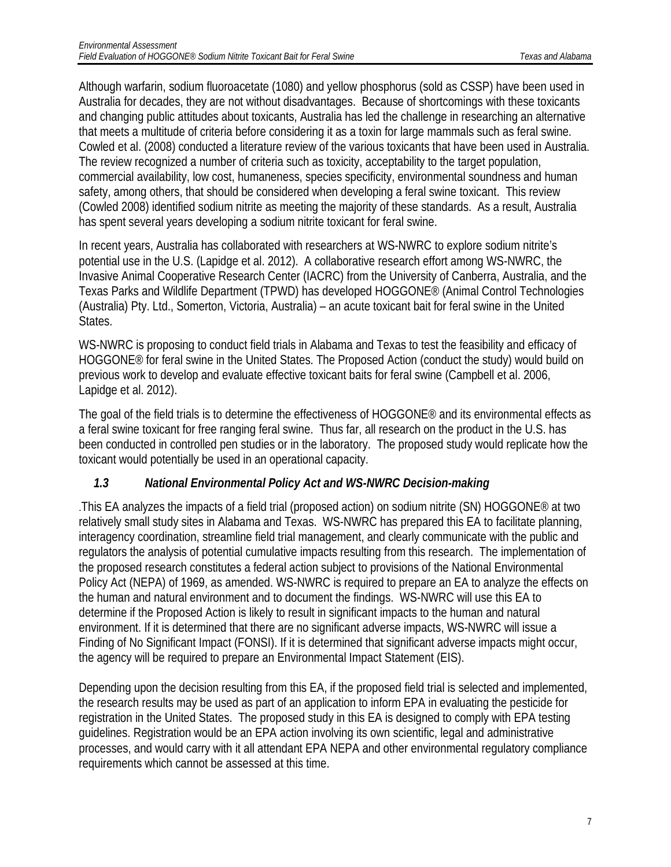Although warfarin, sodium fluoroacetate (1080) and yellow phosphorus (sold as CSSP) have been used in Australia for decades, they are not without disadvantages. Because of shortcomings with these toxicants and changing public attitudes about toxicants, Australia has led the challenge in researching an alternative that meets a multitude of criteria before considering it as a toxin for large mammals such as feral swine. Cowled et al. (2008) conducted a literature review of the various toxicants that have been used in Australia. The review recognized a number of criteria such as toxicity, acceptability to the target population, commercial availability, low cost, humaneness, species specificity, environmental soundness and human safety, among others, that should be considered when developing a feral swine toxicant. This review (Cowled 2008) identified sodium nitrite as meeting the majority of these standards. As a result, Australia has spent several years developing a sodium nitrite toxicant for feral swine.

In recent years, Australia has collaborated with researchers at WS-NWRC to explore sodium nitrite's potential use in the U.S. (Lapidge et al. 2012). A collaborative research effort among WS-NWRC, the Invasive Animal Cooperative Research Center (IACRC) from the University of Canberra, Australia, and the Texas Parks and Wildlife Department (TPWD) has developed HOGGONE® (Animal Control Technologies (Australia) Pty. Ltd., Somerton, Victoria, Australia) – an acute toxicant bait for feral swine in the United States.

WS-NWRC is proposing to conduct field trials in Alabama and Texas to test the feasibility and efficacy of HOGGONE® for feral swine in the United States. The Proposed Action (conduct the study) would build on previous work to develop and evaluate effective toxicant baits for feral swine (Campbell et al. 2006, Lapidge et al. 2012).

The goal of the field trials is to determine the effectiveness of HOGGONE<sup>®</sup> and its environmental effects as a feral swine toxicant for free ranging feral swine. Thus far, all research on the product in the U.S. has been conducted in controlled pen studies or in the laboratory. The proposed study would replicate how the toxicant would potentially be used in an operational capacity.

### <span id="page-7-0"></span>*1.3 National Environmental Policy Act and WS-NWRC Decision-making*

.This EA analyzes the impacts of a field trial (proposed action) on sodium nitrite (SN) HOGGONE® at two relatively small study sites in Alabama and Texas. WS-NWRC has prepared this EA to facilitate planning, interagency coordination, streamline field trial management, and clearly communicate with the public and regulators the analysis of potential cumulative impacts resulting from this research. The implementation of the proposed research constitutes a federal action subject to provisions of the National Environmental Policy Act (NEPA) of 1969, as amended. WS-NWRC is required to prepare an EA to analyze the effects on the human and natural environment and to document the findings. WS-NWRC will use this EA to determine if the Proposed Action is likely to result in significant impacts to the human and natural environment. If it is determined that there are no significant adverse impacts, WS-NWRC will issue a Finding of No Significant Impact (FONSI). If it is determined that significant adverse impacts might occur, the agency will be required to prepare an Environmental Impact Statement (EIS).

Depending upon the decision resulting from this EA, if the proposed field trial is selected and implemented, the research results may be used as part of an application to inform EPA in evaluating the pesticide for registration in the United States. The proposed study in this EA is designed to comply with EPA testing guidelines. Registration would be an EPA action involving its own scientific, legal and administrative processes, and would carry with it all attendant EPA NEPA and other environmental regulatory compliance requirements which cannot be assessed at this time.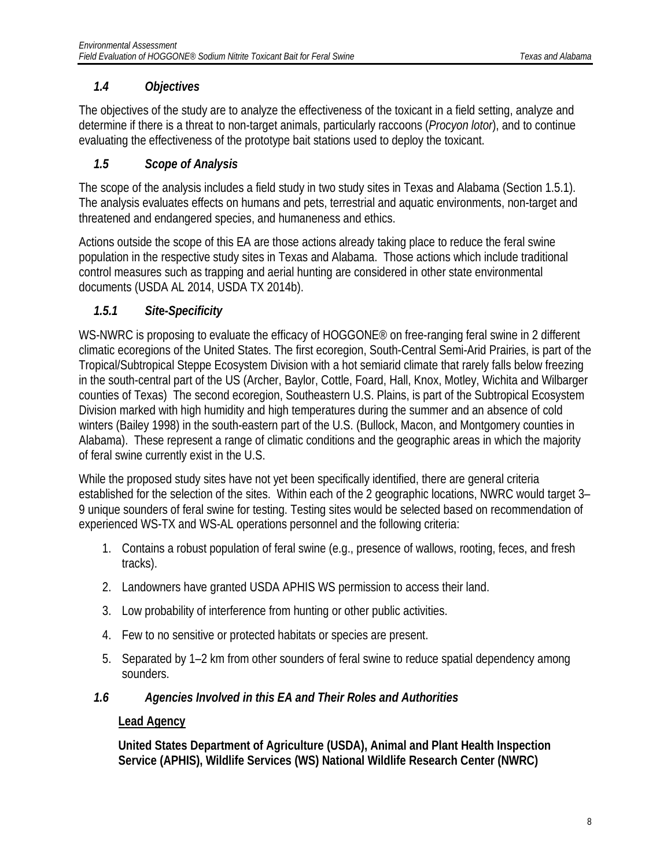### <span id="page-8-0"></span>*1.4 Objectives*

The objectives of the study are to analyze the effectiveness of the toxicant in a field setting, analyze and determine if there is a threat to non-target animals, particularly raccoons (*Procyon lotor*), and to continue evaluating the effectiveness of the prototype bait stations used to deploy the toxicant.

### <span id="page-8-1"></span>*1.5 Scope of Analysis*

The scope of the analysis includes a field study in two study sites in Texas and Alabama (Section 1.5.1). The analysis evaluates effects on humans and pets, terrestrial and aquatic environments, non-target and threatened and endangered species, and humaneness and ethics.

Actions outside the scope of this EA are those actions already taking place to reduce the feral swine population in the respective study sites in Texas and Alabama. Those actions which include traditional control measures such as trapping and aerial hunting are considered in other state environmental documents (USDA AL 2014, USDA TX 2014b).

### <span id="page-8-2"></span>*1.5.1 Sit***e-***Specificity*

WS-NWRC is proposing to evaluate the efficacy of HOGGONE<sup>®</sup> on free-ranging feral swine in 2 different climatic ecoregions of the United States. The first ecoregion, South-Central Semi-Arid Prairies, is part of the Tropical/Subtropical Steppe Ecosystem Division with a hot semiarid climate that rarely falls below freezing in the south-central part of the US (Archer, Baylor, Cottle, Foard, Hall, Knox, Motley, Wichita and Wilbarger counties of Texas) The second ecoregion, Southeastern U.S. Plains, is part of the Subtropical Ecosystem Division marked with high humidity and high temperatures during the summer and an absence of cold winters (Bailey 1998) in the south-eastern part of the U.S. (Bullock, Macon, and Montgomery counties in Alabama). These represent a range of climatic conditions and the geographic areas in which the majority of feral swine currently exist in the U.S.

While the proposed study sites have not yet been specifically identified, there are general criteria established for the selection of the sites. Within each of the 2 geographic locations, NWRC would target 3– 9 unique sounders of feral swine for testing. Testing sites would be selected based on recommendation of experienced WS-TX and WS-AL operations personnel and the following criteria:

- 1. Contains a robust population of feral swine (e.g., presence of wallows, rooting, feces, and fresh tracks).
- 2. Landowners have granted USDA APHIS WS permission to access their land.
- 3. Low probability of interference from hunting or other public activities.
- 4. Few to no sensitive or protected habitats or species are present.
- 5. Separated by 1–2 km from other sounders of feral swine to reduce spatial dependency among sounders.

### <span id="page-8-3"></span>*1.6 Agencies Involved in this EA and Their Roles and Authorities*

### **Lead Agency**

**United States Department of Agriculture (USDA), Animal and Plant Health Inspection Service (APHIS), Wildlife Services (WS) National Wildlife Research Center (NWRC)**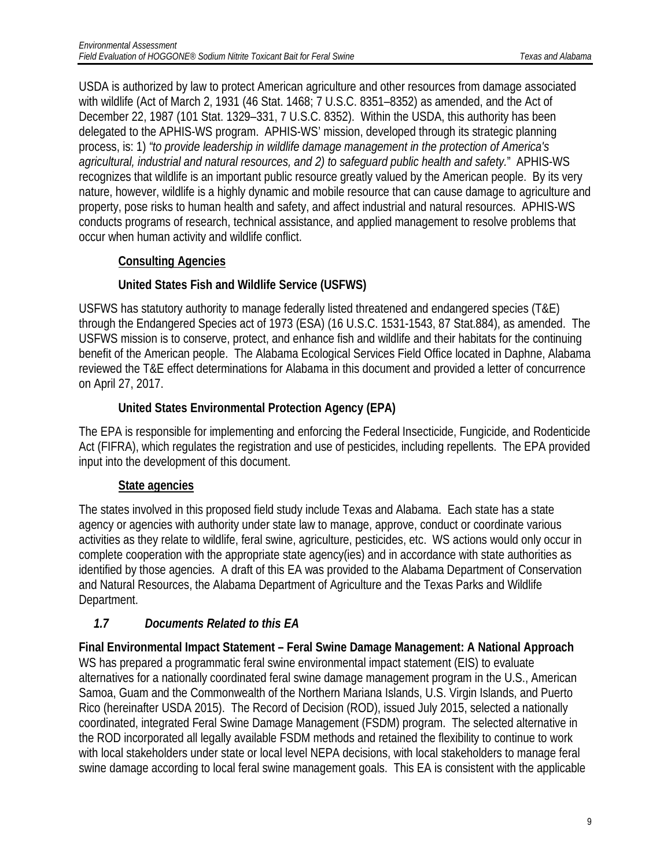USDA is authorized by law to protect American agriculture and other resources from damage associated with wildlife (Act of March 2, 1931 (46 Stat. 1468; 7 U.S.C. 8351–8352) as amended, and the Act of December 22, 1987 (101 Stat. 1329–331, 7 U.S.C. 8352). Within the USDA, this authority has been delegated to the APHIS-WS program. APHIS-WS' mission, developed through its strategic planning process, is: 1) *"to provide leadership in wildlife damage management in the protection of America's agricultural, industrial and natural resources, and 2) to safeguard public health and safety.*" APHIS-WS recognizes that wildlife is an important public resource greatly valued by the American people. By its very nature, however, wildlife is a highly dynamic and mobile resource that can cause damage to agriculture and property, pose risks to human health and safety, and affect industrial and natural resources. APHIS-WS conducts programs of research, technical assistance, and applied management to resolve problems that occur when human activity and wildlife conflict.

### **Consulting Agencies**

### **United States Fish and Wildlife Service (USFWS)**

USFWS has statutory authority to manage federally listed threatened and endangered species (T&E) through the Endangered Species act of 1973 (ESA) (16 U.S.C. 1531-1543, 87 Stat.884), as amended. The USFWS mission is to conserve, protect, and enhance fish and wildlife and their habitats for the continuing benefit of the American people. The Alabama Ecological Services Field Office located in Daphne, Alabama reviewed the T&E effect determinations for Alabama in this document and provided a letter of concurrence on April 27, 2017.

### **United States Environmental Protection Agency (EPA)**

The EPA is responsible for implementing and enforcing the Federal Insecticide, Fungicide, and Rodenticide Act (FIFRA), which regulates the registration and use of pesticides, including repellents. The EPA provided input into the development of this document.

### **State agencies**

The states involved in this proposed field study include Texas and Alabama. Each state has a state agency or agencies with authority under state law to manage, approve, conduct or coordinate various activities as they relate to wildlife, feral swine, agriculture, pesticides, etc. WS actions would only occur in complete cooperation with the appropriate state agency(ies) and in accordance with state authorities as identified by those agencies. A draft of this EA was provided to the Alabama Department of Conservation and Natural Resources, the Alabama Department of Agriculture and the Texas Parks and Wildlife Department.

### <span id="page-9-0"></span>*1.7 Documents Related to this EA*

**Final Environmental Impact Statement – Feral Swine Damage Management: A National Approach** WS has prepared a programmatic feral swine environmental impact statement (EIS) to evaluate alternatives for a nationally coordinated feral swine damage management program in the U.S., American Samoa, Guam and the Commonwealth of the Northern Mariana Islands, U.S. Virgin Islands, and Puerto Rico (hereinafter USDA 2015). The Record of Decision (ROD), issued July 2015, selected a nationally coordinated, integrated Feral Swine Damage Management (FSDM) program. The selected alternative in the ROD incorporated all legally available FSDM methods and retained the flexibility to continue to work with local stakeholders under state or local level NEPA decisions, with local stakeholders to manage feral swine damage according to local feral swine management goals. This EA is consistent with the applicable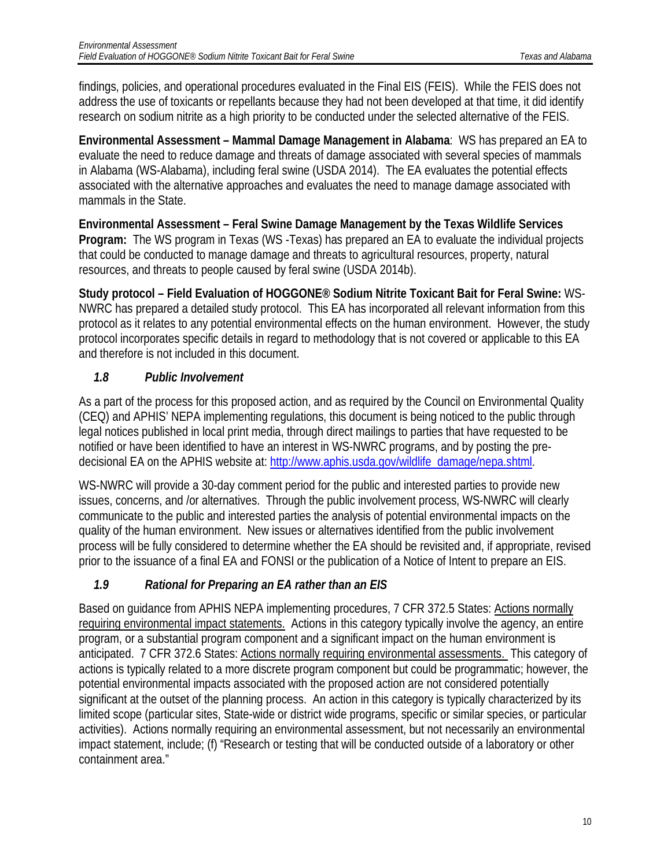findings, policies, and operational procedures evaluated in the Final EIS (FEIS). While the FEIS does not address the use of toxicants or repellants because they had not been developed at that time, it did identify research on sodium nitrite as a high priority to be conducted under the selected alternative of the FEIS.

**Environmental Assessment – Mammal Damage Management in Alabama**: WS has prepared an EA to evaluate the need to reduce damage and threats of damage associated with several species of mammals in Alabama (WS-Alabama), including feral swine (USDA 2014). The EA evaluates the potential effects associated with the alternative approaches and evaluates the need to manage damage associated with mammals in the State.

**Environmental Assessment – Feral Swine Damage Management by the Texas Wildlife Services Program:** The WS program in Texas (WS -Texas) has prepared an EA to evaluate the individual projects that could be conducted to manage damage and threats to agricultural resources, property, natural resources, and threats to people caused by feral swine (USDA 2014b).

**Study protocol – Field Evaluation of HOGGONE® Sodium Nitrite Toxicant Bait for Feral Swine:** WS-NWRC has prepared a detailed study protocol. This EA has incorporated all relevant information from this protocol as it relates to any potential environmental effects on the human environment. However, the study protocol incorporates specific details in regard to methodology that is not covered or applicable to this EA and therefore is not included in this document.

### <span id="page-10-0"></span>*1.8 Public Involvement*

As a part of the process for this proposed action, and as required by the Council on Environmental Quality (CEQ) and APHIS' NEPA implementing regulations, this document is being noticed to the public through legal notices published in local print media, through direct mailings to parties that have requested to be notified or have been identified to have an interest in WS-NWRC programs, and by posting the predecisional EA on the APHIS website at: [http://www.aphis.usda.gov/wildlife\\_damage/nepa.shtml.](http://www.aphis.usda.gov/wildlife_damage/nepa.shtml)

WS-NWRC will provide a 30-day comment period for the public and interested parties to provide new issues, concerns, and /or alternatives. Through the public involvement process, WS-NWRC will clearly communicate to the public and interested parties the analysis of potential environmental impacts on the quality of the human environment. New issues or alternatives identified from the public involvement process will be fully considered to determine whether the EA should be revisited and, if appropriate, revised prior to the issuance of a final EA and FONSI or the publication of a Notice of Intent to prepare an EIS.

### <span id="page-10-1"></span>*1.9 Rational for Preparing an EA rather than an EIS*

Based on guidance from APHIS NEPA implementing procedures, 7 CFR 372.5 States: Actions normally requiring environmental impact statements. Actions in this category typically involve the agency, an entire program, or a substantial program component and a significant impact on the human environment is anticipated. 7 CFR 372.6 States: Actions normally requiring environmental assessments. This category of actions is typically related to a more discrete program component but could be programmatic; however, the potential environmental impacts associated with the proposed action are not considered potentially significant at the outset of the planning process. An action in this category is typically characterized by its limited scope (particular sites, State-wide or district wide programs, specific or similar species, or particular activities). Actions normally requiring an environmental assessment, but not necessarily an environmental impact statement, include; (f) "Research or testing that will be conducted outside of a laboratory or other containment area."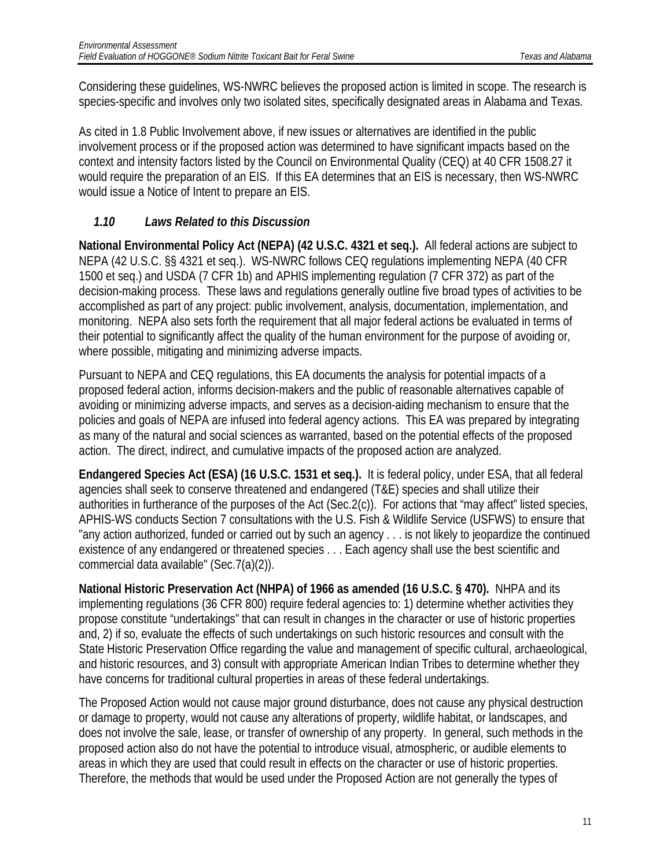Considering these guidelines, WS-NWRC believes the proposed action is limited in scope. The research is species-specific and involves only two isolated sites, specifically designated areas in Alabama and Texas.

As cited in 1.8 Public Involvement above, if new issues or alternatives are identified in the public involvement process or if the proposed action was determined to have significant impacts based on the context and intensity factors listed by the Council on Environmental Quality (CEQ) at 40 CFR 1508.27 it would require the preparation of an EIS. If this EA determines that an EIS is necessary, then WS-NWRC would issue a Notice of Intent to prepare an EIS.

### <span id="page-11-0"></span>*1.10 Laws Related to this Discussion*

**National Environmental Policy Act (NEPA) (42 U.S.C. 4321 et seq.).** All federal actions are subject to NEPA (42 U.S.C. §§ 4321 et seq.). WS-NWRC follows CEQ regulations implementing NEPA (40 CFR 1500 et seq.) and USDA (7 CFR 1b) and APHIS implementing regulation (7 CFR 372) as part of the decision-making process. These laws and regulations generally outline five broad types of activities to be accomplished as part of any project: public involvement, analysis, documentation, implementation, and monitoring. NEPA also sets forth the requirement that all major federal actions be evaluated in terms of their potential to significantly affect the quality of the human environment for the purpose of avoiding or, where possible, mitigating and minimizing adverse impacts.

Pursuant to NEPA and CEQ regulations, this EA documents the analysis for potential impacts of a proposed federal action, informs decision-makers and the public of reasonable alternatives capable of avoiding or minimizing adverse impacts, and serves as a decision-aiding mechanism to ensure that the policies and goals of NEPA are infused into federal agency actions. This EA was prepared by integrating as many of the natural and social sciences as warranted, based on the potential effects of the proposed action. The direct, indirect, and cumulative impacts of the proposed action are analyzed.

**Endangered Species Act (ESA) (16 U.S.C. 1531 et seq.).** It is federal policy, under ESA, that all federal agencies shall seek to conserve threatened and endangered (T&E) species and shall utilize their authorities in furtherance of the purposes of the Act (Sec.2(c)). For actions that "may affect" listed species, APHIS-WS conducts Section 7 consultations with the U.S. Fish & Wildlife Service (USFWS) to ensure that "any action authorized, funded or carried out by such an agency . . . is not likely to jeopardize the continued existence of any endangered or threatened species . . . Each agency shall use the best scientific and commercial data available" (Sec.7(a)(2)).

**National Historic Preservation Act (NHPA) of 1966 as amended (16 U.S.C. § 470).** NHPA and its implementing regulations (36 CFR 800) require federal agencies to: 1) determine whether activities they propose constitute "undertakings" that can result in changes in the character or use of historic properties and, 2) if so, evaluate the effects of such undertakings on such historic resources and consult with the State Historic Preservation Office regarding the value and management of specific cultural, archaeological, and historic resources, and 3) consult with appropriate American Indian Tribes to determine whether they have concerns for traditional cultural properties in areas of these federal undertakings.

The Proposed Action would not cause major ground disturbance, does not cause any physical destruction or damage to property, would not cause any alterations of property, wildlife habitat, or landscapes, and does not involve the sale, lease, or transfer of ownership of any property. In general, such methods in the proposed action also do not have the potential to introduce visual, atmospheric, or audible elements to areas in which they are used that could result in effects on the character or use of historic properties. Therefore, the methods that would be used under the Proposed Action are not generally the types of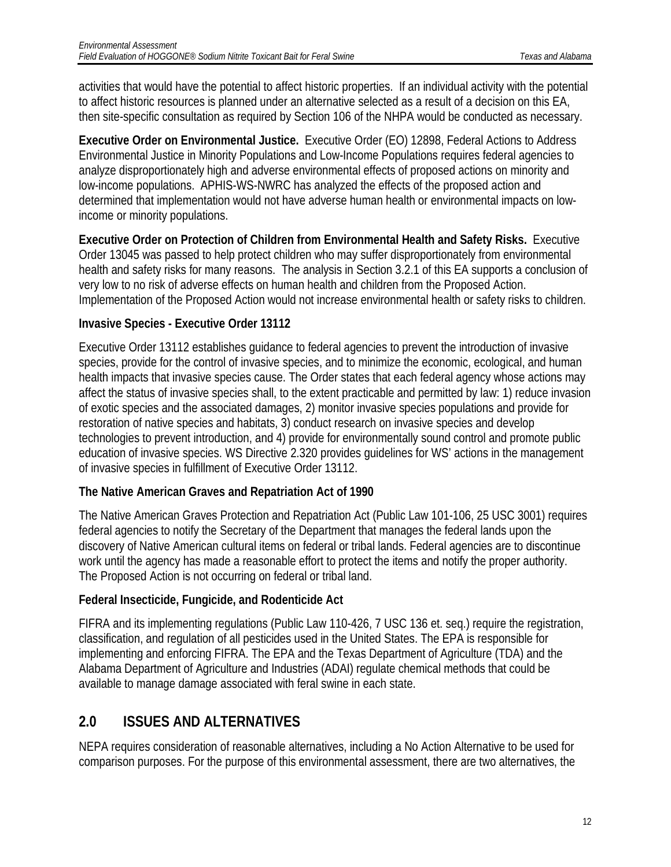activities that would have the potential to affect historic properties. If an individual activity with the potential to affect historic resources is planned under an alternative selected as a result of a decision on this EA, then site-specific consultation as required by Section 106 of the NHPA would be conducted as necessary.

**Executive Order on Environmental Justice.** Executive Order (EO) 12898, Federal Actions to Address Environmental Justice in Minority Populations and Low-Income Populations requires federal agencies to analyze disproportionately high and adverse environmental effects of proposed actions on minority and low-income populations. APHIS-WS-NWRC has analyzed the effects of the proposed action and determined that implementation would not have adverse human health or environmental impacts on lowincome or minority populations.

**Executive Order on Protection of Children from Environmental Health and Safety Risks.** Executive Order 13045 was passed to help protect children who may suffer disproportionately from environmental health and safety risks for many reasons. The analysis in Section 3.2.1 of this EA supports a conclusion of very low to no risk of adverse effects on human health and children from the Proposed Action. Implementation of the Proposed Action would not increase environmental health or safety risks to children.

#### **Invasive Species - Executive Order 13112**

Executive Order 13112 establishes guidance to federal agencies to prevent the introduction of invasive species, provide for the control of invasive species, and to minimize the economic, ecological, and human health impacts that invasive species cause. The Order states that each federal agency whose actions may affect the status of invasive species shall, to the extent practicable and permitted by law: 1) reduce invasion of exotic species and the associated damages, 2) monitor invasive species populations and provide for restoration of native species and habitats, 3) conduct research on invasive species and develop technologies to prevent introduction, and 4) provide for environmentally sound control and promote public education of invasive species. WS Directive 2.320 provides guidelines for WS' actions in the management of invasive species in fulfillment of Executive Order 13112.

#### **The Native American Graves and Repatriation Act of 1990**

The Native American Graves Protection and Repatriation Act (Public Law 101-106, 25 USC 3001) requires federal agencies to notify the Secretary of the Department that manages the federal lands upon the discovery of Native American cultural items on federal or tribal lands. Federal agencies are to discontinue work until the agency has made a reasonable effort to protect the items and notify the proper authority. The Proposed Action is not occurring on federal or tribal land.

### **Federal Insecticide, Fungicide, and Rodenticide Act**

FIFRA and its implementing regulations (Public Law 110-426, 7 USC 136 et. seq.) require the registration, classification, and regulation of all pesticides used in the United States. The EPA is responsible for implementing and enforcing FIFRA. The EPA and the Texas Department of Agriculture (TDA) and the Alabama Department of Agriculture and Industries (ADAI) regulate chemical methods that could be available to manage damage associated with feral swine in each state.

## <span id="page-12-0"></span>**2.0 ISSUES AND ALTERNATIVES**

NEPA requires consideration of reasonable alternatives, including a No Action Alternative to be used for comparison purposes. For the purpose of this environmental assessment, there are two alternatives, the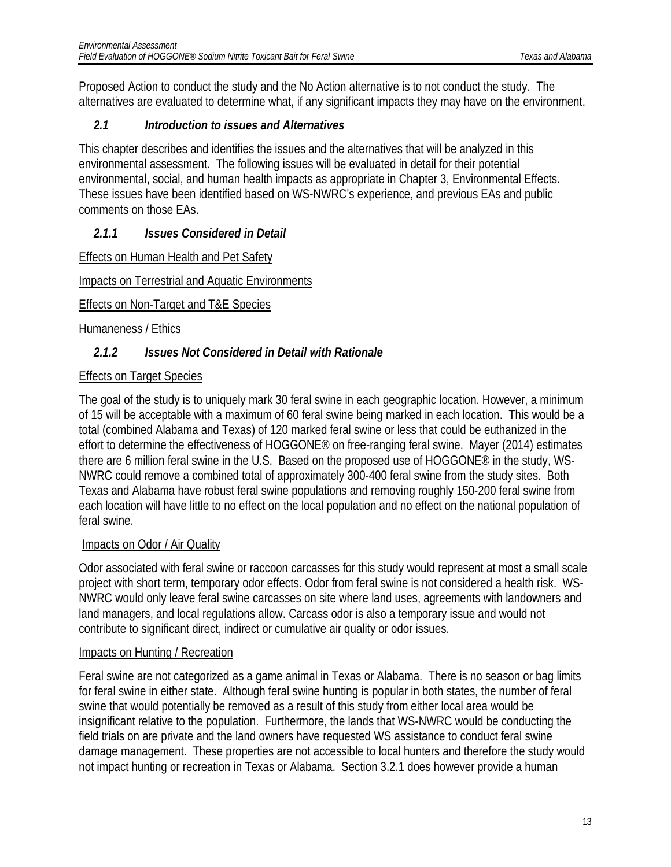Proposed Action to conduct the study and the No Action alternative is to not conduct the study. The alternatives are evaluated to determine what, if any significant impacts they may have on the environment.

### <span id="page-13-0"></span>*2.1 Introduction to issues and Alternatives*

This chapter describes and identifies the issues and the alternatives that will be analyzed in this environmental assessment. The following issues will be evaluated in detail for their potential environmental, social, and human health impacts as appropriate in Chapter 3, Environmental Effects. These issues have been identified based on WS-NWRC's experience, and previous EAs and public comments on those EAs.

### <span id="page-13-1"></span>*2.1.1 Issues Considered in Detail*

Effects on Human Health and Pet Safety

Impacts on Terrestrial and Aquatic Environments

Effects on Non-Target and T&E Species

Humaneness / Ethics

### <span id="page-13-2"></span>*2.1.2 Issues Not Considered in Detail with Rationale*

### Effects on Target Species

The goal of the study is to uniquely mark 30 feral swine in each geographic location. However, a minimum of 15 will be acceptable with a maximum of 60 feral swine being marked in each location. This would be a total (combined Alabama and Texas) of 120 marked feral swine or less that could be euthanized in the effort to determine the effectiveness of HOGGONE® on free-ranging feral swine. Mayer (2014) estimates there are 6 million feral swine in the U.S. Based on the proposed use of HOGGONE® in the study, WS-NWRC could remove a combined total of approximately 300-400 feral swine from the study sites. Both Texas and Alabama have robust feral swine populations and removing roughly 150-200 feral swine from each location will have little to no effect on the local population and no effect on the national population of feral swine.

### Impacts on Odor / Air Quality

Odor associated with feral swine or raccoon carcasses for this study would represent at most a small scale project with short term, temporary odor effects. Odor from feral swine is not considered a health risk. WS-NWRC would only leave feral swine carcasses on site where land uses, agreements with landowners and land managers, and local regulations allow. Carcass odor is also a temporary issue and would not contribute to significant direct, indirect or cumulative air quality or odor issues.

### Impacts on Hunting / Recreation

Feral swine are not categorized as a game animal in Texas or Alabama. There is no season or bag limits for feral swine in either state. Although feral swine hunting is popular in both states, the number of feral swine that would potentially be removed as a result of this study from either local area would be insignificant relative to the population. Furthermore, the lands that WS-NWRC would be conducting the field trials on are private and the land owners have requested WS assistance to conduct feral swine damage management. These properties are not accessible to local hunters and therefore the study would not impact hunting or recreation in Texas or Alabama. Section 3.2.1 does however provide a human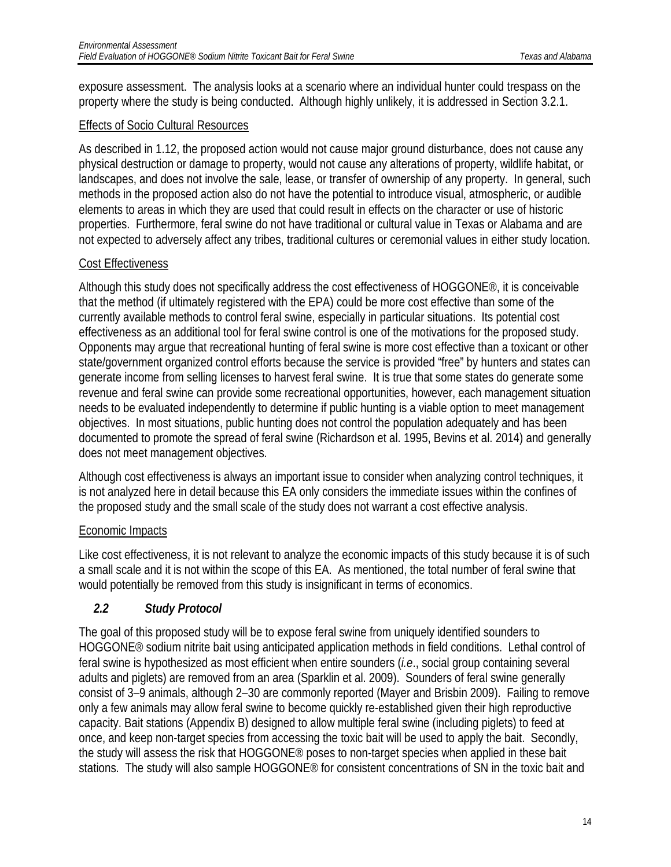exposure assessment. The analysis looks at a scenario where an individual hunter could trespass on the property where the study is being conducted. Although highly unlikely, it is addressed in Section 3.2.1.

#### Effects of Socio Cultural Resources

As described in 1.12, the proposed action would not cause major ground disturbance, does not cause any physical destruction or damage to property, would not cause any alterations of property, wildlife habitat, or landscapes, and does not involve the sale, lease, or transfer of ownership of any property. In general, such methods in the proposed action also do not have the potential to introduce visual, atmospheric, or audible elements to areas in which they are used that could result in effects on the character or use of historic properties. Furthermore, feral swine do not have traditional or cultural value in Texas or Alabama and are not expected to adversely affect any tribes, traditional cultures or ceremonial values in either study location.

#### Cost Effectiveness

Although this study does not specifically address the cost effectiveness of HOGGONE®, it is conceivable that the method (if ultimately registered with the EPA) could be more cost effective than some of the currently available methods to control feral swine, especially in particular situations. Its potential cost effectiveness as an additional tool for feral swine control is one of the motivations for the proposed study. Opponents may argue that recreational hunting of feral swine is more cost effective than a toxicant or other state/government organized control efforts because the service is provided "free" by hunters and states can generate income from selling licenses to harvest feral swine. It is true that some states do generate some revenue and feral swine can provide some recreational opportunities, however, each management situation needs to be evaluated independently to determine if public hunting is a viable option to meet management objectives. In most situations, public hunting does not control the population adequately and has been documented to promote the spread of feral swine (Richardson et al. 1995, Bevins et al. 2014) and generally does not meet management objectives.

Although cost effectiveness is always an important issue to consider when analyzing control techniques, it is not analyzed here in detail because this EA only considers the immediate issues within the confines of the proposed study and the small scale of the study does not warrant a cost effective analysis.

#### Economic Impacts

Like cost effectiveness, it is not relevant to analyze the economic impacts of this study because it is of such a small scale and it is not within the scope of this EA. As mentioned, the total number of feral swine that would potentially be removed from this study is insignificant in terms of economics.

#### <span id="page-14-0"></span>*2.2 Study Protocol*

The goal of this proposed study will be to expose feral swine from uniquely identified sounders to HOGGONE® sodium nitrite bait using anticipated application methods in field conditions. Lethal control of feral swine is hypothesized as most efficient when entire sounders (*i.e*., social group containing several adults and piglets) are removed from an area (Sparklin et al. 2009). Sounders of feral swine generally consist of 3–9 animals, although 2–30 are commonly reported (Mayer and Brisbin 2009). Failing to remove only a few animals may allow feral swine to become quickly re-established given their high reproductive capacity. Bait stations (Appendix B) designed to allow multiple feral swine (including piglets) to feed at once, and keep non-target species from accessing the toxic bait will be used to apply the bait. Secondly, the study will assess the risk that HOGGONE® poses to non-target species when applied in these bait stations. The study will also sample HOGGONE® for consistent concentrations of SN in the toxic bait and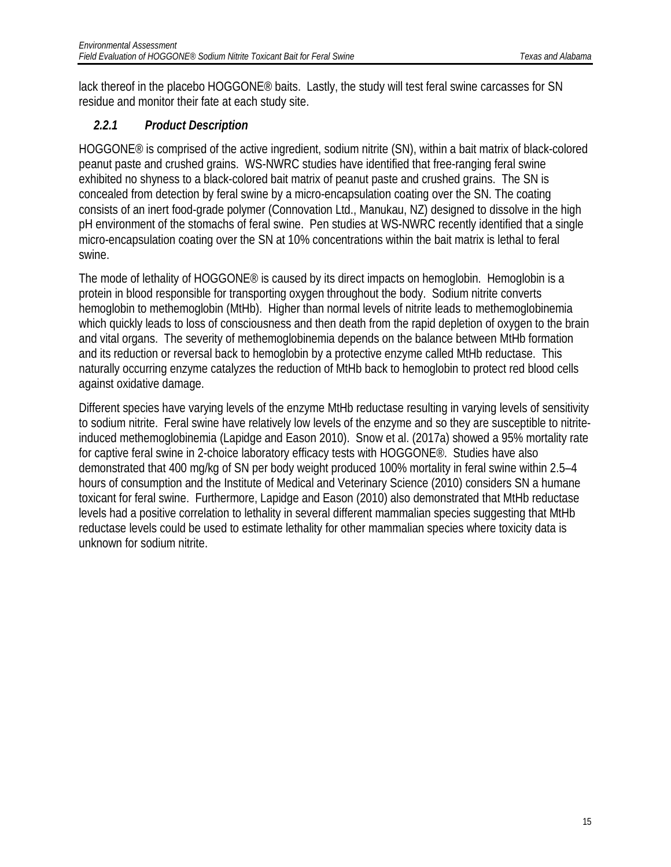lack thereof in the placebo HOGGONE® baits. Lastly, the study will test feral swine carcasses for SN residue and monitor their fate at each study site.

### <span id="page-15-0"></span>*2.2.1 Product Description*

HOGGONE® is comprised of the active ingredient, sodium nitrite (SN), within a bait matrix of black-colored peanut paste and crushed grains. WS-NWRC studies have identified that free-ranging feral swine exhibited no shyness to a black-colored bait matrix of peanut paste and crushed grains. The SN is concealed from detection by feral swine by a micro-encapsulation coating over the SN. The coating consists of an inert food-grade polymer (Connovation Ltd., Manukau, NZ) designed to dissolve in the high pH environment of the stomachs of feral swine. Pen studies at WS-NWRC recently identified that a single micro-encapsulation coating over the SN at 10% concentrations within the bait matrix is lethal to feral swine.

The mode of lethality of HOGGONE® is caused by its direct impacts on hemoglobin. Hemoglobin is a protein in blood responsible for transporting oxygen throughout the body. Sodium nitrite converts hemoglobin to methemoglobin (MtHb). Higher than normal levels of nitrite leads to methemoglobinemia which quickly leads to loss of consciousness and then death from the rapid depletion of oxygen to the brain and vital organs. The severity of methemoglobinemia depends on the balance between MtHb formation and its reduction or reversal back to hemoglobin by a protective enzyme called MtHb reductase. This naturally occurring enzyme catalyzes the reduction of MtHb back to hemoglobin to protect red blood cells against oxidative damage.

Different species have varying levels of the enzyme MtHb reductase resulting in varying levels of sensitivity to sodium nitrite. Feral swine have relatively low levels of the enzyme and so they are susceptible to nitriteinduced methemoglobinemia (Lapidge and Eason 2010). Snow et al. (2017a) showed a 95% mortality rate for captive feral swine in 2-choice laboratory efficacy tests with HOGGONE®. Studies have also demonstrated that 400 mg/kg of SN per body weight produced 100% mortality in feral swine within 2.5–4 hours of consumption and the Institute of Medical and Veterinary Science (2010) considers SN a humane toxicant for feral swine. Furthermore, Lapidge and Eason (2010) also demonstrated that MtHb reductase levels had a positive correlation to lethality in several different mammalian species suggesting that MtHb reductase levels could be used to estimate lethality for other mammalian species where toxicity data is unknown for sodium nitrite.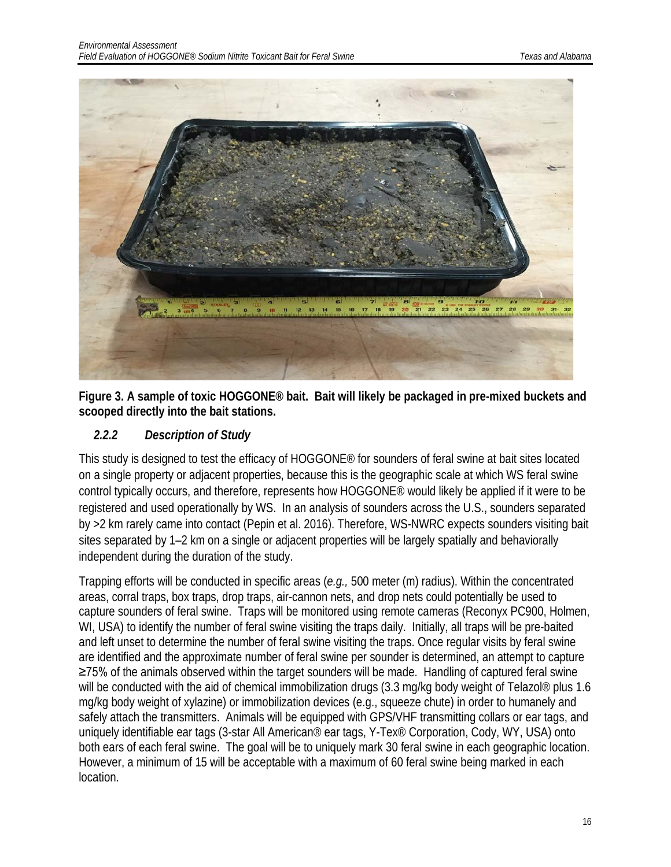

**Figure 3. A sample of toxic HOGGONE® bait. Bait will likely be packaged in pre-mixed buckets and scooped directly into the bait stations.**

### <span id="page-16-0"></span>*2.2.2 Description of Study*

This study is designed to test the efficacy of HOGGONE® for sounders of feral swine at bait sites located on a single property or adjacent properties, because this is the geographic scale at which WS feral swine control typically occurs, and therefore, represents how HOGGONE® would likely be applied if it were to be registered and used operationally by WS. In an analysis of sounders across the U.S., sounders separated by >2 km rarely came into contact (Pepin et al. 2016). Therefore, WS-NWRC expects sounders visiting bait sites separated by 1–2 km on a single or adjacent properties will be largely spatially and behaviorally independent during the duration of the study.

Trapping efforts will be conducted in specific areas (*e.g.,* 500 meter (m) radius). Within the concentrated areas, corral traps, box traps, drop traps, air-cannon nets, and drop nets could potentially be used to capture sounders of feral swine. Traps will be monitored using remote cameras (Reconyx PC900, Holmen, WI, USA) to identify the number of feral swine visiting the traps daily. Initially, all traps will be pre-baited and left unset to determine the number of feral swine visiting the traps. Once regular visits by feral swine are identified and the approximate number of feral swine per sounder is determined, an attempt to capture ≥75% of the animals observed within the target sounders will be made. Handling of captured feral swine will be conducted with the aid of chemical immobilization drugs (3.3 mg/kg body weight of Telazol® plus 1.6 mg/kg body weight of xylazine) or immobilization devices (e.g., squeeze chute) in order to humanely and safely attach the transmitters. Animals will be equipped with GPS/VHF transmitting collars or ear tags, and uniquely identifiable ear tags (3-star All American® ear tags, Y-Tex® Corporation, Cody, WY, USA) onto both ears of each feral swine. The goal will be to uniquely mark 30 feral swine in each geographic location. However, a minimum of 15 will be acceptable with a maximum of 60 feral swine being marked in each location.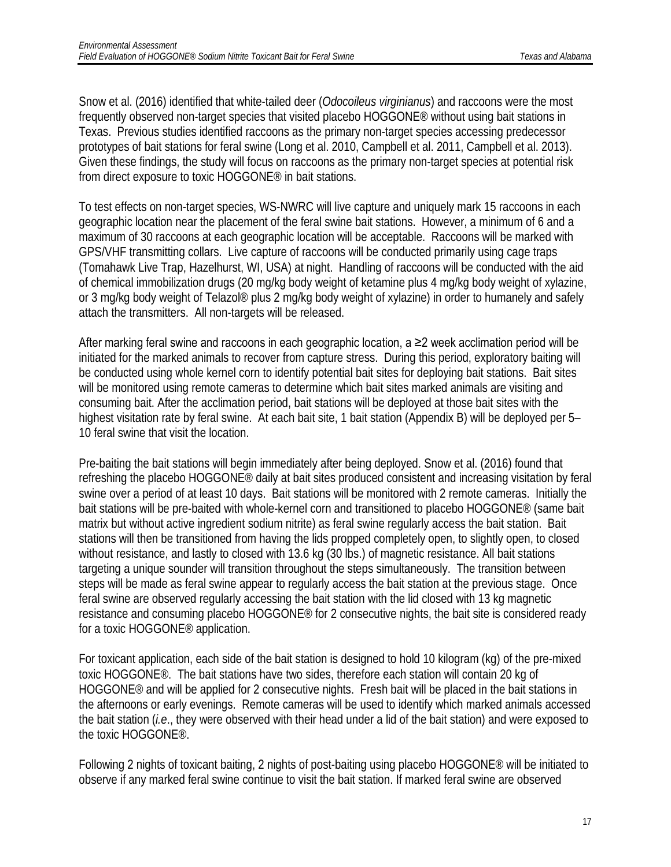Snow et al. (2016) identified that white-tailed deer (*Odocoileus virginianus*) and raccoons were the most frequently observed non-target species that visited placebo HOGGONE® without using bait stations in Texas. Previous studies identified raccoons as the primary non-target species accessing predecessor prototypes of bait stations for feral swine (Long et al. 2010, Campbell et al. 2011, Campbell et al. 2013). Given these findings, the study will focus on raccoons as the primary non-target species at potential risk from direct exposure to toxic HOGGONE® in bait stations.

To test effects on non-target species, WS-NWRC will live capture and uniquely mark 15 raccoons in each geographic location near the placement of the feral swine bait stations. However, a minimum of 6 and a maximum of 30 raccoons at each geographic location will be acceptable. Raccoons will be marked with GPS/VHF transmitting collars. Live capture of raccoons will be conducted primarily using cage traps (Tomahawk Live Trap, Hazelhurst, WI, USA) at night. Handling of raccoons will be conducted with the aid of chemical immobilization drugs (20 mg/kg body weight of ketamine plus 4 mg/kg body weight of xylazine, or 3 mg/kg body weight of Telazol® plus 2 mg/kg body weight of xylazine) in order to humanely and safely attach the transmitters. All non-targets will be released.

After marking feral swine and raccoons in each geographic location, a ≥2 week acclimation period will be initiated for the marked animals to recover from capture stress. During this period, exploratory baiting will be conducted using whole kernel corn to identify potential bait sites for deploying bait stations. Bait sites will be monitored using remote cameras to determine which bait sites marked animals are visiting and consuming bait. After the acclimation period, bait stations will be deployed at those bait sites with the highest visitation rate by feral swine. At each bait site, 1 bait station (Appendix B) will be deployed per 5– 10 feral swine that visit the location.

Pre-baiting the bait stations will begin immediately after being deployed. Snow et al. (2016) found that refreshing the placebo HOGGONE® daily at bait sites produced consistent and increasing visitation by feral swine over a period of at least 10 days. Bait stations will be monitored with 2 remote cameras. Initially the bait stations will be pre-baited with whole-kernel corn and transitioned to placebo HOGGONE® (same bait matrix but without active ingredient sodium nitrite) as feral swine regularly access the bait station. Bait stations will then be transitioned from having the lids propped completely open, to slightly open, to closed without resistance, and lastly to closed with 13.6 kg (30 lbs.) of magnetic resistance. All bait stations targeting a unique sounder will transition throughout the steps simultaneously. The transition between steps will be made as feral swine appear to regularly access the bait station at the previous stage. Once feral swine are observed regularly accessing the bait station with the lid closed with 13 kg magnetic resistance and consuming placebo HOGGONE® for 2 consecutive nights, the bait site is considered ready for a toxic HOGGONE® application.

For toxicant application, each side of the bait station is designed to hold 10 kilogram (kg) of the pre-mixed toxic HOGGONE®. The bait stations have two sides, therefore each station will contain 20 kg of HOGGONE® and will be applied for 2 consecutive nights. Fresh bait will be placed in the bait stations in the afternoons or early evenings. Remote cameras will be used to identify which marked animals accessed the bait station (*i.e*., they were observed with their head under a lid of the bait station) and were exposed to the toxic HOGGONE®.

Following 2 nights of toxicant baiting, 2 nights of post-baiting using placebo HOGGONE® will be initiated to observe if any marked feral swine continue to visit the bait station. If marked feral swine are observed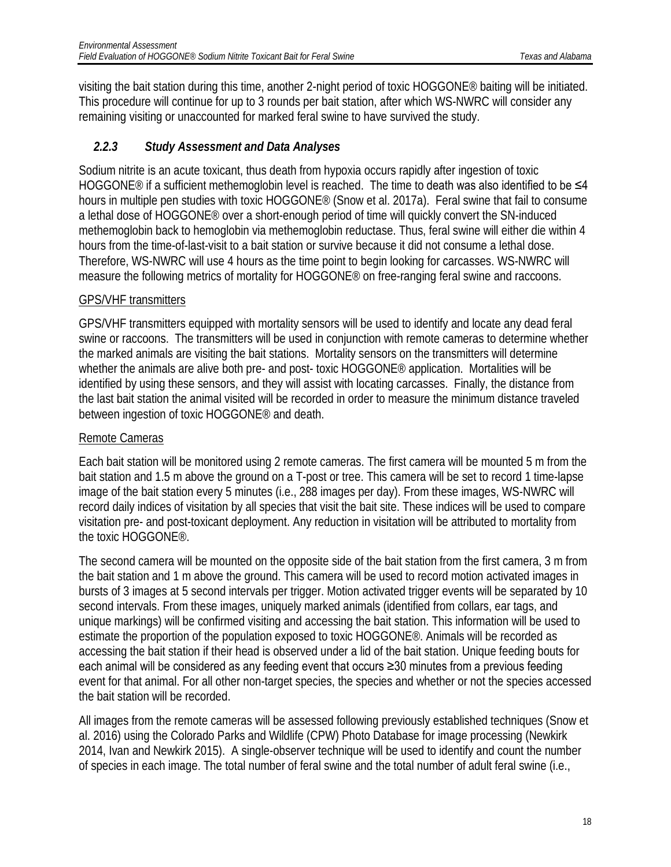visiting the bait station during this time, another 2-night period of toxic HOGGONE® baiting will be initiated. This procedure will continue for up to 3 rounds per bait station, after which WS-NWRC will consider any remaining visiting or unaccounted for marked feral swine to have survived the study.

### <span id="page-18-0"></span>*2.2.3 Study Assessment and Data Analyses*

Sodium nitrite is an acute toxicant, thus death from hypoxia occurs rapidly after ingestion of toxic HOGGONE<sup>®</sup> if a sufficient methemoglobin level is reached. The time to death was also identified to be ≤4 hours in multiple pen studies with toxic HOGGONE® (Snow et al. 2017a). Feral swine that fail to consume a lethal dose of HOGGONE® over a short-enough period of time will quickly convert the SN-induced methemoglobin back to hemoglobin via methemoglobin reductase. Thus, feral swine will either die within 4 hours from the time-of-last-visit to a bait station or survive because it did not consume a lethal dose. Therefore, WS-NWRC will use 4 hours as the time point to begin looking for carcasses. WS-NWRC will measure the following metrics of mortality for HOGGONE® on free-ranging feral swine and raccoons.

### GPS/VHF transmitters

GPS/VHF transmitters equipped with mortality sensors will be used to identify and locate any dead feral swine or raccoons. The transmitters will be used in conjunction with remote cameras to determine whether the marked animals are visiting the bait stations. Mortality sensors on the transmitters will determine whether the animals are alive both pre- and post- toxic HOGGONE® application. Mortalities will be identified by using these sensors, and they will assist with locating carcasses. Finally, the distance from the last bait station the animal visited will be recorded in order to measure the minimum distance traveled between ingestion of toxic HOGGONE® and death.

#### Remote Cameras

Each bait station will be monitored using 2 remote cameras. The first camera will be mounted 5 m from the bait station and 1.5 m above the ground on a T-post or tree. This camera will be set to record 1 time-lapse image of the bait station every 5 minutes (i.e., 288 images per day). From these images, WS-NWRC will record daily indices of visitation by all species that visit the bait site. These indices will be used to compare visitation pre- and post-toxicant deployment. Any reduction in visitation will be attributed to mortality from the toxic HOGGONE®.

The second camera will be mounted on the opposite side of the bait station from the first camera, 3 m from the bait station and 1 m above the ground. This camera will be used to record motion activated images in bursts of 3 images at 5 second intervals per trigger. Motion activated trigger events will be separated by 10 second intervals. From these images, uniquely marked animals (identified from collars, ear tags, and unique markings) will be confirmed visiting and accessing the bait station. This information will be used to estimate the proportion of the population exposed to toxic HOGGONE®. Animals will be recorded as accessing the bait station if their head is observed under a lid of the bait station. Unique feeding bouts for each animal will be considered as any feeding event that occurs ≥30 minutes from a previous feeding event for that animal. For all other non-target species, the species and whether or not the species accessed the bait station will be recorded.

All images from the remote cameras will be assessed following previously established techniques (Snow et al. 2016) using the Colorado Parks and Wildlife (CPW) Photo Database for image processing (Newkirk 2014, Ivan and Newkirk 2015). A single-observer technique will be used to identify and count the number of species in each image. The total number of feral swine and the total number of adult feral swine (i.e.,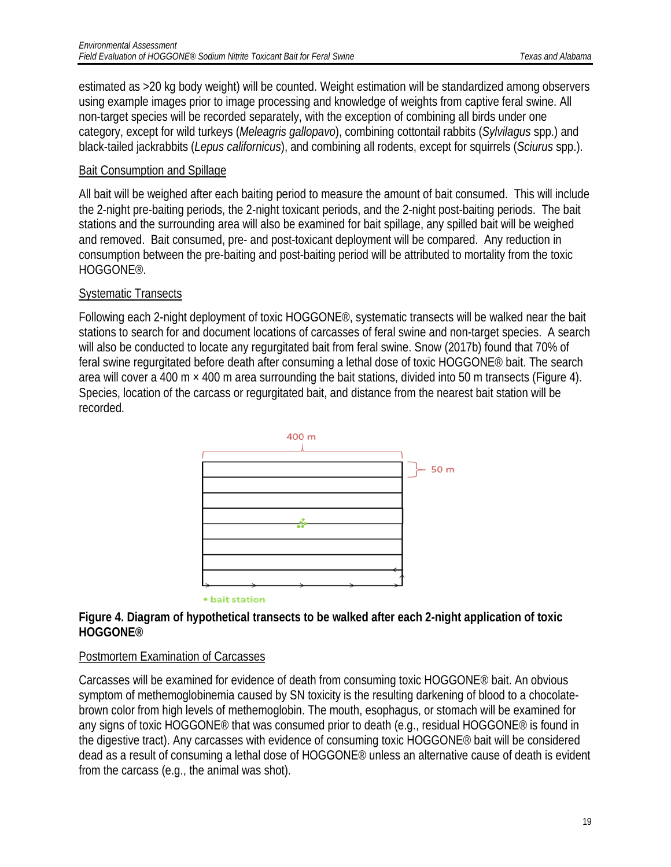estimated as >20 kg body weight) will be counted. Weight estimation will be standardized among observers using example images prior to image processing and knowledge of weights from captive feral swine. All non-target species will be recorded separately, with the exception of combining all birds under one category, except for wild turkeys (*Meleagris gallopavo*), combining cottontail rabbits (*Sylvilagus* spp.) and black-tailed jackrabbits (*Lepus californicus*), and combining all rodents, except for squirrels (*Sciurus* spp.).

#### Bait Consumption and Spillage

All bait will be weighed after each baiting period to measure the amount of bait consumed. This will include the 2-night pre-baiting periods, the 2-night toxicant periods, and the 2-night post-baiting periods. The bait stations and the surrounding area will also be examined for bait spillage, any spilled bait will be weighed and removed. Bait consumed, pre- and post-toxicant deployment will be compared. Any reduction in consumption between the pre-baiting and post-baiting period will be attributed to mortality from the toxic HOGGONE®.

#### Systematic Transects

Following each 2-night deployment of toxic HOGGONE®, systematic transects will be walked near the bait stations to search for and document locations of carcasses of feral swine and non-target species. A search will also be conducted to locate any regurgitated bait from feral swine. Snow (2017b) found that 70% of feral swine regurgitated before death after consuming a lethal dose of toxic HOGGONE® bait. The search area will cover a 400 m  $\times$  400 m area surrounding the bait stations, divided into 50 m transects (Figure 4). Species, location of the carcass or regurgitated bait, and distance from the nearest bait station will be recorded.



#### **Figure 4. Diagram of hypothetical transects to be walked after each 2-night application of toxic HOGGONE®**

#### Postmortem Examination of Carcasses

Carcasses will be examined for evidence of death from consuming toxic HOGGONE® bait. An obvious symptom of methemoglobinemia caused by SN toxicity is the resulting darkening of blood to a chocolatebrown color from high levels of methemoglobin. The mouth, esophagus, or stomach will be examined for any signs of toxic HOGGONE<sup>®</sup> that was consumed prior to death (e.g., residual HOGGONE<sup>®</sup> is found in the digestive tract). Any carcasses with evidence of consuming toxic HOGGONE® bait will be considered dead as a result of consuming a lethal dose of HOGGONE® unless an alternative cause of death is evident from the carcass (e.g., the animal was shot).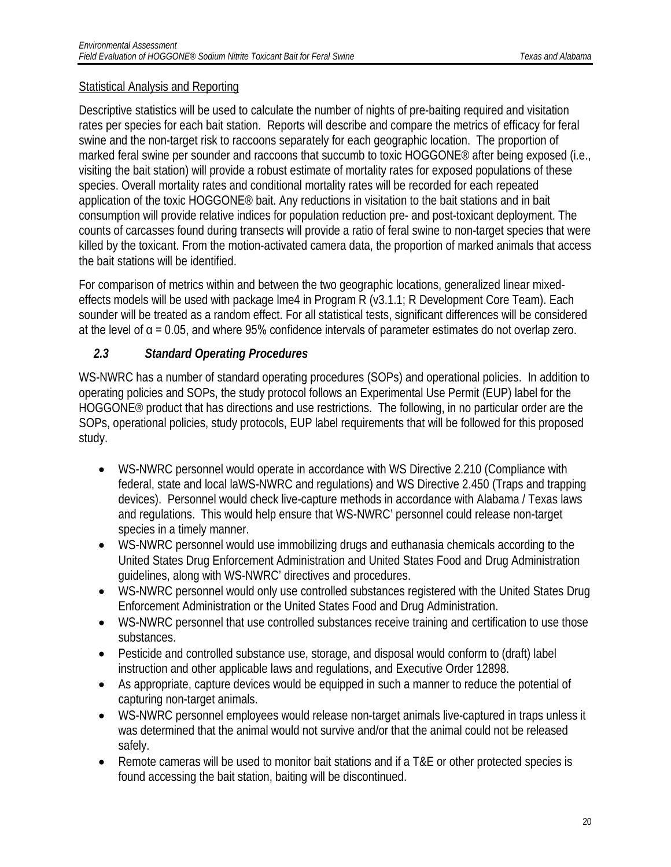#### Statistical Analysis and Reporting

Descriptive statistics will be used to calculate the number of nights of pre-baiting required and visitation rates per species for each bait station. Reports will describe and compare the metrics of efficacy for feral swine and the non-target risk to raccoons separately for each geographic location. The proportion of marked feral swine per sounder and raccoons that succumb to toxic HOGGONE<sup>®</sup> after being exposed (i.e., visiting the bait station) will provide a robust estimate of mortality rates for exposed populations of these species. Overall mortality rates and conditional mortality rates will be recorded for each repeated application of the toxic HOGGONE® bait. Any reductions in visitation to the bait stations and in bait consumption will provide relative indices for population reduction pre- and post-toxicant deployment. The counts of carcasses found during transects will provide a ratio of feral swine to non-target species that were killed by the toxicant. From the motion-activated camera data, the proportion of marked animals that access the bait stations will be identified.

For comparison of metrics within and between the two geographic locations, generalized linear mixedeffects models will be used with package lme4 in Program R (v3.1.1; R Development Core Team). Each sounder will be treated as a random effect. For all statistical tests, significant differences will be considered at the level of  $\alpha$  = 0.05, and where 95% confidence intervals of parameter estimates do not overlap zero.

### <span id="page-20-0"></span>*2.3 Standard Operating Procedures*

WS-NWRC has a number of standard operating procedures (SOPs) and operational policies. In addition to operating policies and SOPs, the study protocol follows an Experimental Use Permit (EUP) label for the HOGGONE® product that has directions and use restrictions. The following, in no particular order are the SOPs, operational policies, study protocols, EUP label requirements that will be followed for this proposed study.

- WS-NWRC personnel would operate in accordance with WS Directive 2.210 (Compliance with federal, state and local laWS-NWRC and regulations) and WS Directive 2.450 (Traps and trapping devices). Personnel would check live-capture methods in accordance with Alabama / Texas laws and regulations. This would help ensure that WS-NWRC' personnel could release non-target species in a timely manner.
- WS-NWRC personnel would use immobilizing drugs and euthanasia chemicals according to the United States Drug Enforcement Administration and United States Food and Drug Administration guidelines, along with WS-NWRC' directives and procedures.
- WS-NWRC personnel would only use controlled substances registered with the United States Drug Enforcement Administration or the United States Food and Drug Administration.
- WS-NWRC personnel that use controlled substances receive training and certification to use those substances.
- Pesticide and controlled substance use, storage, and disposal would conform to (draft) label instruction and other applicable laws and regulations, and Executive Order 12898.
- As appropriate, capture devices would be equipped in such a manner to reduce the potential of capturing non-target animals.
- WS-NWRC personnel employees would release non-target animals live-captured in traps unless it was determined that the animal would not survive and/or that the animal could not be released safely.
- Remote cameras will be used to monitor bait stations and if a T&E or other protected species is found accessing the bait station, baiting will be discontinued.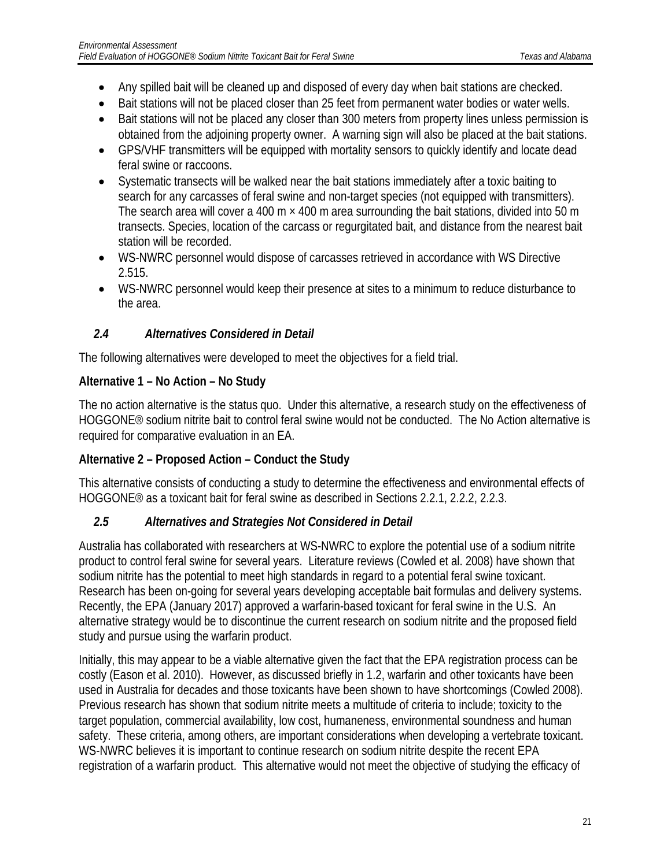- Any spilled bait will be cleaned up and disposed of every day when bait stations are checked.
- Bait stations will not be placed closer than 25 feet from permanent water bodies or water wells.
- Bait stations will not be placed any closer than 300 meters from property lines unless permission is obtained from the adjoining property owner. A warning sign will also be placed at the bait stations.
- GPS/VHF transmitters will be equipped with mortality sensors to quickly identify and locate dead feral swine or raccoons.
- Systematic transects will be walked near the bait stations immediately after a toxic baiting to search for any carcasses of feral swine and non-target species (not equipped with transmitters). The search area will cover a 400 m  $\times$  400 m area surrounding the bait stations, divided into 50 m transects. Species, location of the carcass or regurgitated bait, and distance from the nearest bait station will be recorded.
- WS-NWRC personnel would dispose of carcasses retrieved in accordance with WS Directive 2.515.
- WS-NWRC personnel would keep their presence at sites to a minimum to reduce disturbance to the area.

### <span id="page-21-0"></span>*2.4 Alternatives Considered in Detail*

The following alternatives were developed to meet the objectives for a field trial.

#### **Alternative 1 – No Action – No Study**

The no action alternative is the status quo. Under this alternative, a research study on the effectiveness of HOGGONE® sodium nitrite bait to control feral swine would not be conducted. The No Action alternative is required for comparative evaluation in an EA.

### **Alternative 2 – Proposed Action – Conduct the Study**

This alternative consists of conducting a study to determine the effectiveness and environmental effects of HOGGONE® as a toxicant bait for feral swine as described in Sections 2.2.1, 2.2.2, 2.2.3.

### <span id="page-21-1"></span>*2.5 Alternatives and Strategies Not Considered in Detail*

Australia has collaborated with researchers at WS-NWRC to explore the potential use of a sodium nitrite product to control feral swine for several years. Literature reviews (Cowled et al. 2008) have shown that sodium nitrite has the potential to meet high standards in regard to a potential feral swine toxicant. Research has been on-going for several years developing acceptable bait formulas and delivery systems. Recently, the EPA (January 2017) approved a warfarin-based toxicant for feral swine in the U.S. An alternative strategy would be to discontinue the current research on sodium nitrite and the proposed field study and pursue using the warfarin product.

Initially, this may appear to be a viable alternative given the fact that the EPA registration process can be costly (Eason et al. 2010). However, as discussed briefly in 1.2, warfarin and other toxicants have been used in Australia for decades and those toxicants have been shown to have shortcomings (Cowled 2008). Previous research has shown that sodium nitrite meets a multitude of criteria to include; toxicity to the target population, commercial availability, low cost, humaneness, environmental soundness and human safety. These criteria, among others, are important considerations when developing a vertebrate toxicant. WS-NWRC believes it is important to continue research on sodium nitrite despite the recent EPA registration of a warfarin product. This alternative would not meet the objective of studying the efficacy of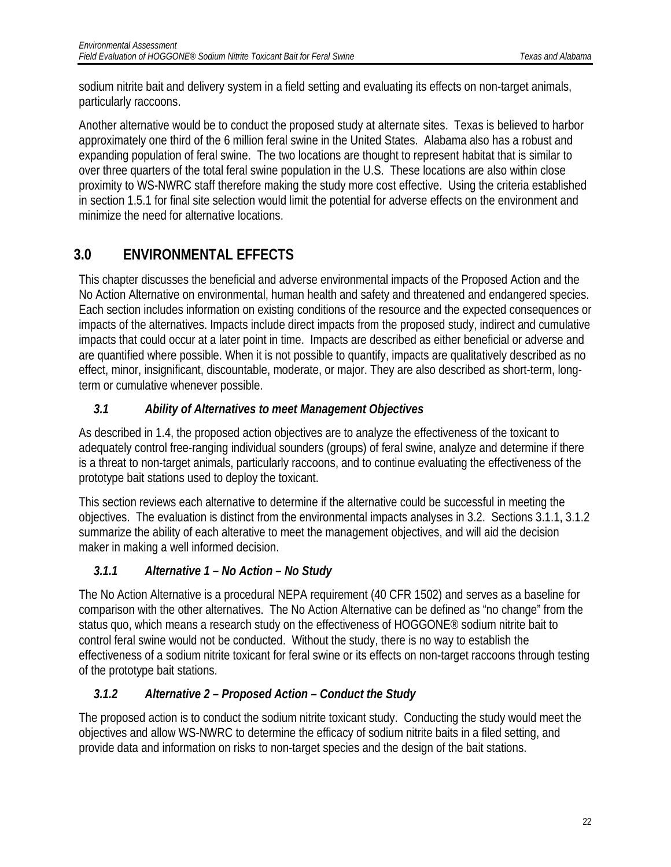sodium nitrite bait and delivery system in a field setting and evaluating its effects on non-target animals, particularly raccoons.

Another alternative would be to conduct the proposed study at alternate sites. Texas is believed to harbor approximately one third of the 6 million feral swine in the United States. Alabama also has a robust and expanding population of feral swine. The two locations are thought to represent habitat that is similar to over three quarters of the total feral swine population in the U.S. These locations are also within close proximity to WS-NWRC staff therefore making the study more cost effective. Using the criteria established in section 1.5.1 for final site selection would limit the potential for adverse effects on the environment and minimize the need for alternative locations.

# <span id="page-22-0"></span>**3.0 ENVIRONMENTAL EFFECTS**

This chapter discusses the beneficial and adverse environmental impacts of the Proposed Action and the No Action Alternative on environmental, human health and safety and threatened and endangered species. Each section includes information on existing conditions of the resource and the expected consequences or impacts of the alternatives. Impacts include direct impacts from the proposed study, indirect and cumulative impacts that could occur at a later point in time. Impacts are described as either beneficial or adverse and are quantified where possible. When it is not possible to quantify, impacts are qualitatively described as no effect, minor, insignificant, discountable, moderate, or major. They are also described as short-term, longterm or cumulative whenever possible.

### <span id="page-22-1"></span>*3.1 Ability of Alternatives to meet Management Objectives*

As described in 1.4, the proposed action objectives are to analyze the effectiveness of the toxicant to adequately control free-ranging individual sounders (groups) of feral swine, analyze and determine if there is a threat to non-target animals, particularly raccoons, and to continue evaluating the effectiveness of the prototype bait stations used to deploy the toxicant.

This section reviews each alternative to determine if the alternative could be successful in meeting the objectives. The evaluation is distinct from the environmental impacts analyses in 3.2. Sections 3.1.1, 3.1.2 summarize the ability of each alterative to meet the management objectives, and will aid the decision maker in making a well informed decision.

### <span id="page-22-2"></span>*3.1.1 Alternative 1 – No Action – No Study*

The No Action Alternative is a procedural NEPA requirement (40 CFR 1502) and serves as a baseline for comparison with the other alternatives. The No Action Alternative can be defined as "no change" from the status quo, which means a research study on the effectiveness of HOGGONE® sodium nitrite bait to control feral swine would not be conducted. Without the study, there is no way to establish the effectiveness of a sodium nitrite toxicant for feral swine or its effects on non-target raccoons through testing of the prototype bait stations.

### <span id="page-22-3"></span>*3.1.2 Alternative 2 – Proposed Action – Conduct the Study*

The proposed action is to conduct the sodium nitrite toxicant study. Conducting the study would meet the objectives and allow WS-NWRC to determine the efficacy of sodium nitrite baits in a filed setting, and provide data and information on risks to non-target species and the design of the bait stations.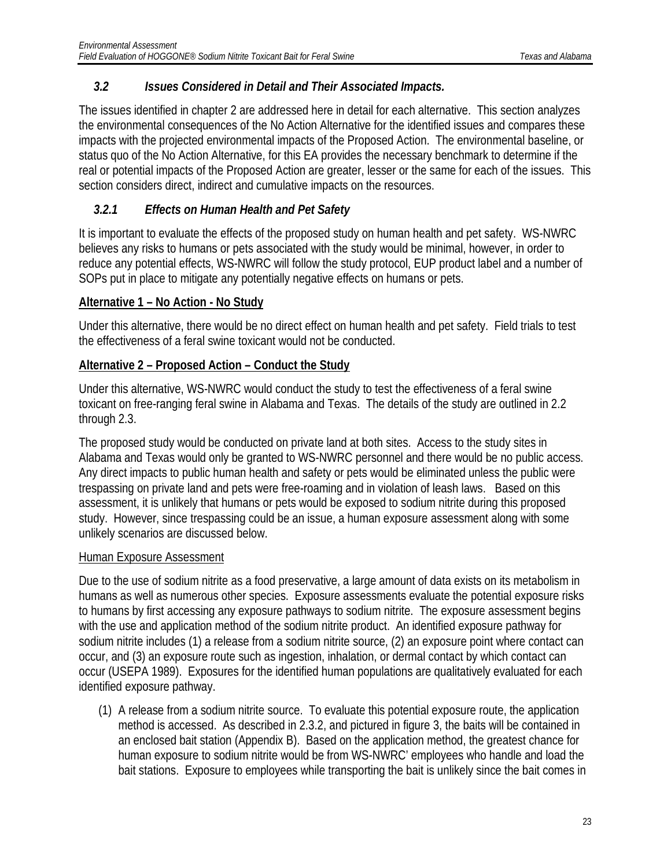### <span id="page-23-0"></span>*3.2 Issues Considered in Detail and Their Associated Impacts.*

The issues identified in chapter 2 are addressed here in detail for each alternative. This section analyzes the environmental consequences of the No Action Alternative for the identified issues and compares these impacts with the projected environmental impacts of the Proposed Action. The environmental baseline, or status quo of the No Action Alternative, for this EA provides the necessary benchmark to determine if the real or potential impacts of the Proposed Action are greater, lesser or the same for each of the issues. This section considers direct, indirect and cumulative impacts on the resources.

### <span id="page-23-1"></span>*3.2.1 Effects on Human Health and Pet Safety*

It is important to evaluate the effects of the proposed study on human health and pet safety. WS-NWRC believes any risks to humans or pets associated with the study would be minimal, however, in order to reduce any potential effects, WS-NWRC will follow the study protocol, EUP product label and a number of SOPs put in place to mitigate any potentially negative effects on humans or pets.

### **Alternative 1 – No Action - No Study**

Under this alternative, there would be no direct effect on human health and pet safety. Field trials to test the effectiveness of a feral swine toxicant would not be conducted.

### **Alternative 2 – Proposed Action – Conduct the Study**

Under this alternative, WS-NWRC would conduct the study to test the effectiveness of a feral swine toxicant on free-ranging feral swine in Alabama and Texas. The details of the study are outlined in 2.2 through 2.3.

The proposed study would be conducted on private land at both sites. Access to the study sites in Alabama and Texas would only be granted to WS-NWRC personnel and there would be no public access. Any direct impacts to public human health and safety or pets would be eliminated unless the public were trespassing on private land and pets were free-roaming and in violation of leash laws. Based on this assessment, it is unlikely that humans or pets would be exposed to sodium nitrite during this proposed study. However, since trespassing could be an issue, a human exposure assessment along with some unlikely scenarios are discussed below.

### Human Exposure Assessment

Due to the use of sodium nitrite as a food preservative, a large amount of data exists on its metabolism in humans as well as numerous other species. Exposure assessments evaluate the potential exposure risks to humans by first accessing any exposure pathways to sodium nitrite. The exposure assessment begins with the use and application method of the sodium nitrite product. An identified exposure pathway for sodium nitrite includes (1) a release from a sodium nitrite source, (2) an exposure point where contact can occur, and (3) an exposure route such as ingestion, inhalation, or dermal contact by which contact can occur (USEPA 1989). Exposures for the identified human populations are qualitatively evaluated for each identified exposure pathway.

(1) A release from a sodium nitrite source. To evaluate this potential exposure route, the application method is accessed. As described in 2.3.2, and pictured in figure 3, the baits will be contained in an enclosed bait station (Appendix B). Based on the application method, the greatest chance for human exposure to sodium nitrite would be from WS-NWRC' employees who handle and load the bait stations. Exposure to employees while transporting the bait is unlikely since the bait comes in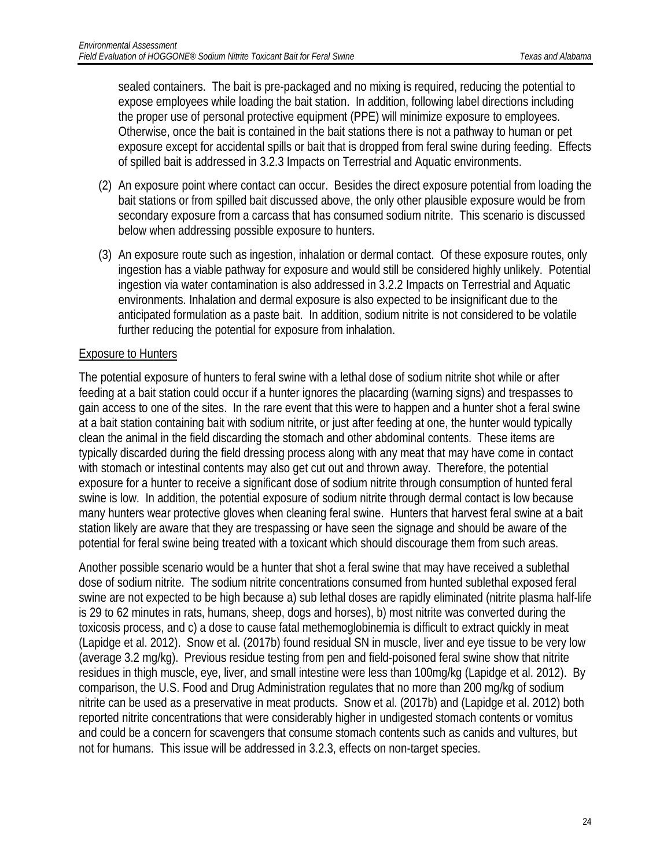sealed containers. The bait is pre-packaged and no mixing is required, reducing the potential to expose employees while loading the bait station. In addition, following label directions including the proper use of personal protective equipment (PPE) will minimize exposure to employees. Otherwise, once the bait is contained in the bait stations there is not a pathway to human or pet exposure except for accidental spills or bait that is dropped from feral swine during feeding. Effects of spilled bait is addressed in 3.2.3 Impacts on Terrestrial and Aquatic environments.

- (2) An exposure point where contact can occur. Besides the direct exposure potential from loading the bait stations or from spilled bait discussed above, the only other plausible exposure would be from secondary exposure from a carcass that has consumed sodium nitrite. This scenario is discussed below when addressing possible exposure to hunters.
- (3) An exposure route such as ingestion, inhalation or dermal contact. Of these exposure routes, only ingestion has a viable pathway for exposure and would still be considered highly unlikely. Potential ingestion via water contamination is also addressed in 3.2.2 Impacts on Terrestrial and Aquatic environments. Inhalation and dermal exposure is also expected to be insignificant due to the anticipated formulation as a paste bait. In addition, sodium nitrite is not considered to be volatile further reducing the potential for exposure from inhalation.

#### Exposure to Hunters

The potential exposure of hunters to feral swine with a lethal dose of sodium nitrite shot while or after feeding at a bait station could occur if a hunter ignores the placarding (warning signs) and trespasses to gain access to one of the sites. In the rare event that this were to happen and a hunter shot a feral swine at a bait station containing bait with sodium nitrite, or just after feeding at one, the hunter would typically clean the animal in the field discarding the stomach and other abdominal contents. These items are typically discarded during the field dressing process along with any meat that may have come in contact with stomach or intestinal contents may also get cut out and thrown away. Therefore, the potential exposure for a hunter to receive a significant dose of sodium nitrite through consumption of hunted feral swine is low. In addition, the potential exposure of sodium nitrite through dermal contact is low because many hunters wear protective gloves when cleaning feral swine. Hunters that harvest feral swine at a bait station likely are aware that they are trespassing or have seen the signage and should be aware of the potential for feral swine being treated with a toxicant which should discourage them from such areas.

Another possible scenario would be a hunter that shot a feral swine that may have received a sublethal dose of sodium nitrite. The sodium nitrite concentrations consumed from hunted sublethal exposed feral swine are not expected to be high because a) sub lethal doses are rapidly eliminated (nitrite plasma half-life is 29 to 62 minutes in rats, humans, sheep, dogs and horses), b) most nitrite was converted during the toxicosis process, and c) a dose to cause fatal methemoglobinemia is difficult to extract quickly in meat (Lapidge et al. 2012). Snow et al. (2017b) found residual SN in muscle, liver and eye tissue to be very low (average 3.2 mg/kg). Previous residue testing from pen and field-poisoned feral swine show that nitrite residues in thigh muscle, eye, liver, and small intestine were less than 100mg/kg (Lapidge et al. 2012). By comparison, the U.S. Food and Drug Administration regulates that no more than 200 mg/kg of sodium nitrite can be used as a preservative in meat products. Snow et al. (2017b) and (Lapidge et al. 2012) both reported nitrite concentrations that were considerably higher in undigested stomach contents or vomitus and could be a concern for scavengers that consume stomach contents such as canids and vultures, but not for humans. This issue will be addressed in 3.2.3, effects on non-target species.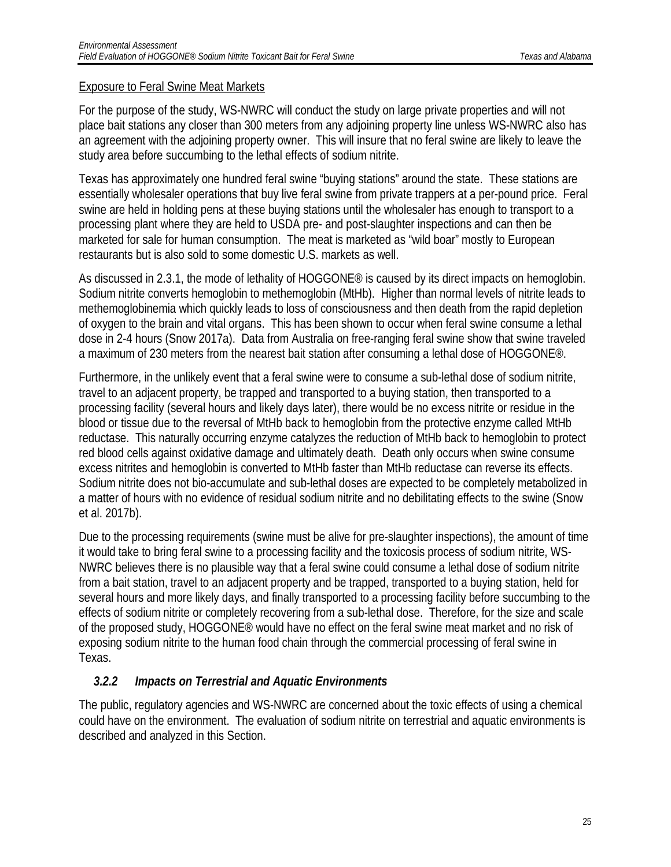#### Exposure to Feral Swine Meat Markets

For the purpose of the study, WS-NWRC will conduct the study on large private properties and will not place bait stations any closer than 300 meters from any adjoining property line unless WS-NWRC also has an agreement with the adjoining property owner. This will insure that no feral swine are likely to leave the study area before succumbing to the lethal effects of sodium nitrite.

Texas has approximately one hundred feral swine "buying stations" around the state. These stations are essentially wholesaler operations that buy live feral swine from private trappers at a per-pound price. Feral swine are held in holding pens at these buying stations until the wholesaler has enough to transport to a processing plant where they are held to USDA pre- and post-slaughter inspections and can then be marketed for sale for human consumption. The meat is marketed as "wild boar" mostly to European restaurants but is also sold to some domestic U.S. markets as well.

As discussed in 2.3.1, the mode of lethality of HOGGONE<sup>®</sup> is caused by its direct impacts on hemoglobin. Sodium nitrite converts hemoglobin to methemoglobin (MtHb). Higher than normal levels of nitrite leads to methemoglobinemia which quickly leads to loss of consciousness and then death from the rapid depletion of oxygen to the brain and vital organs. This has been shown to occur when feral swine consume a lethal dose in 2-4 hours (Snow 2017a). Data from Australia on free-ranging feral swine show that swine traveled a maximum of 230 meters from the nearest bait station after consuming a lethal dose of HOGGONE®.

Furthermore, in the unlikely event that a feral swine were to consume a sub-lethal dose of sodium nitrite, travel to an adjacent property, be trapped and transported to a buying station, then transported to a processing facility (several hours and likely days later), there would be no excess nitrite or residue in the blood or tissue due to the reversal of MtHb back to hemoglobin from the protective enzyme called MtHb reductase. This naturally occurring enzyme catalyzes the reduction of MtHb back to hemoglobin to protect red blood cells against oxidative damage and ultimately death. Death only occurs when swine consume excess nitrites and hemoglobin is converted to MtHb faster than MtHb reductase can reverse its effects. Sodium nitrite does not bio-accumulate and sub-lethal doses are expected to be completely metabolized in a matter of hours with no evidence of residual sodium nitrite and no debilitating effects to the swine (Snow et al. 2017b).

Due to the processing requirements (swine must be alive for pre-slaughter inspections), the amount of time it would take to bring feral swine to a processing facility and the toxicosis process of sodium nitrite, WS-NWRC believes there is no plausible way that a feral swine could consume a lethal dose of sodium nitrite from a bait station, travel to an adjacent property and be trapped, transported to a buying station, held for several hours and more likely days, and finally transported to a processing facility before succumbing to the effects of sodium nitrite or completely recovering from a sub-lethal dose. Therefore, for the size and scale of the proposed study, HOGGONE® would have no effect on the feral swine meat market and no risk of exposing sodium nitrite to the human food chain through the commercial processing of feral swine in Texas.

### <span id="page-25-0"></span>*3.2.2 Impacts on Terrestrial and Aquatic Environments*

The public, regulatory agencies and WS-NWRC are concerned about the toxic effects of using a chemical could have on the environment. The evaluation of sodium nitrite on terrestrial and aquatic environments is described and analyzed in this Section.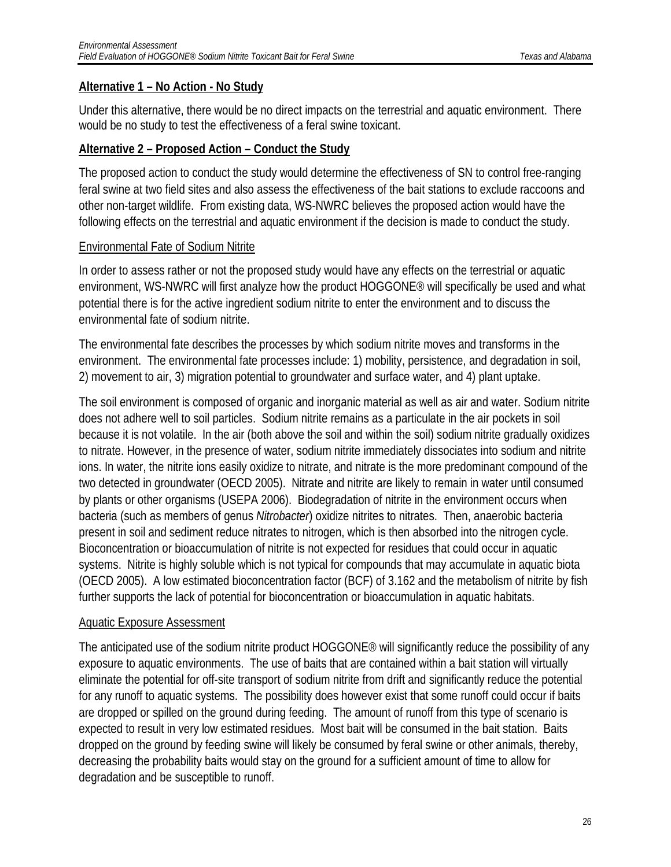#### **Alternative 1 – No Action - No Study**

Under this alternative, there would be no direct impacts on the terrestrial and aquatic environment. There would be no study to test the effectiveness of a feral swine toxicant.

#### **Alternative 2 – Proposed Action – Conduct the Study**

The proposed action to conduct the study would determine the effectiveness of SN to control free-ranging feral swine at two field sites and also assess the effectiveness of the bait stations to exclude raccoons and other non-target wildlife. From existing data, WS-NWRC believes the proposed action would have the following effects on the terrestrial and aquatic environment if the decision is made to conduct the study.

#### Environmental Fate of Sodium Nitrite

In order to assess rather or not the proposed study would have any effects on the terrestrial or aquatic environment, WS-NWRC will first analyze how the product HOGGONE® will specifically be used and what potential there is for the active ingredient sodium nitrite to enter the environment and to discuss the environmental fate of sodium nitrite.

The environmental fate describes the processes by which sodium nitrite moves and transforms in the environment. The environmental fate processes include: 1) mobility, persistence, and degradation in soil, 2) movement to air, 3) migration potential to groundwater and surface water, and 4) plant uptake.

The soil environment is composed of organic and inorganic material as well as air and water. Sodium nitrite does not adhere well to soil particles. Sodium nitrite remains as a particulate in the air pockets in soil because it is not volatile. In the air (both above the soil and within the soil) sodium nitrite gradually oxidizes to nitrate. However, in the presence of water, sodium nitrite immediately dissociates into sodium and nitrite ions. In water, the nitrite ions easily oxidize to nitrate, and nitrate is the more predominant compound of the two detected in groundwater (OECD 2005). Nitrate and nitrite are likely to remain in water until consumed by plants or other organisms (USEPA 2006). Biodegradation of nitrite in the environment occurs when bacteria (such as members of genus *Nitrobacter*) oxidize nitrites to nitrates. Then, anaerobic bacteria present in soil and sediment reduce nitrates to nitrogen, which is then absorbed into the nitrogen cycle. Bioconcentration or bioaccumulation of nitrite is not expected for residues that could occur in aquatic systems. Nitrite is highly soluble which is not typical for compounds that may accumulate in aquatic biota (OECD 2005). A low estimated bioconcentration factor (BCF) of 3.162 and the metabolism of nitrite by fish further supports the lack of potential for bioconcentration or bioaccumulation in aquatic habitats.

#### Aquatic Exposure Assessment

The anticipated use of the sodium nitrite product HOGGONE® will significantly reduce the possibility of any exposure to aquatic environments. The use of baits that are contained within a bait station will virtually eliminate the potential for off-site transport of sodium nitrite from drift and significantly reduce the potential for any runoff to aquatic systems. The possibility does however exist that some runoff could occur if baits are dropped or spilled on the ground during feeding. The amount of runoff from this type of scenario is expected to result in very low estimated residues. Most bait will be consumed in the bait station. Baits dropped on the ground by feeding swine will likely be consumed by feral swine or other animals, thereby, decreasing the probability baits would stay on the ground for a sufficient amount of time to allow for degradation and be susceptible to runoff.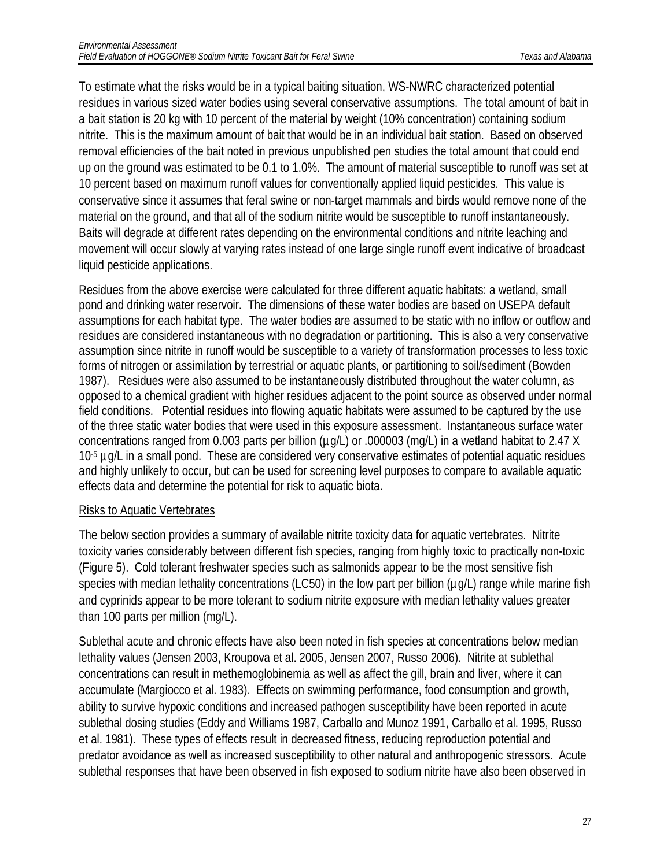To estimate what the risks would be in a typical baiting situation, WS-NWRC characterized potential residues in various sized water bodies using several conservative assumptions. The total amount of bait in a bait station is 20 kg with 10 percent of the material by weight (10% concentration) containing sodium nitrite. This is the maximum amount of bait that would be in an individual bait station. Based on observed removal efficiencies of the bait noted in previous unpublished pen studies the total amount that could end up on the ground was estimated to be 0.1 to 1.0%. The amount of material susceptible to runoff was set at 10 percent based on maximum runoff values for conventionally applied liquid pesticides. This value is conservative since it assumes that feral swine or non-target mammals and birds would remove none of the material on the ground, and that all of the sodium nitrite would be susceptible to runoff instantaneously. Baits will degrade at different rates depending on the environmental conditions and nitrite leaching and movement will occur slowly at varying rates instead of one large single runoff event indicative of broadcast liquid pesticide applications.

Residues from the above exercise were calculated for three different aquatic habitats: a wetland, small pond and drinking water reservoir. The dimensions of these water bodies are based on USEPA default assumptions for each habitat type. The water bodies are assumed to be static with no inflow or outflow and residues are considered instantaneous with no degradation or partitioning. This is also a very conservative assumption since nitrite in runoff would be susceptible to a variety of transformation processes to less toxic forms of nitrogen or assimilation by terrestrial or aquatic plants, or partitioning to soil/sediment (Bowden 1987). Residues were also assumed to be instantaneously distributed throughout the water column, as opposed to a chemical gradient with higher residues adjacent to the point source as observed under normal field conditions. Potential residues into flowing aquatic habitats were assumed to be captured by the use of the three static water bodies that were used in this exposure assessment. Instantaneous surface water concentrations ranged from 0.003 parts per billion (µg/L) or .000003 (mg/L) in a wetland habitat to 2.47 X 10<sup>-5</sup> ug/L in a small pond. These are considered very conservative estimates of potential aquatic residues and highly unlikely to occur, but can be used for screening level purposes to compare to available aquatic effects data and determine the potential for risk to aquatic biota.

#### Risks to Aquatic Vertebrates

The below section provides a summary of available nitrite toxicity data for aquatic vertebrates. Nitrite toxicity varies considerably between different fish species, ranging from highly toxic to practically non-toxic (Figure 5). Cold tolerant freshwater species such as salmonids appear to be the most sensitive fish species with median lethality concentrations (LC50) in the low part per billion ( $\mu q/L$ ) range while marine fish and cyprinids appear to be more tolerant to sodium nitrite exposure with median lethality values greater than 100 parts per million (mg/L).

Sublethal acute and chronic effects have also been noted in fish species at concentrations below median lethality values (Jensen 2003, Kroupova et al. 2005, Jensen 2007, Russo 2006). Nitrite at sublethal concentrations can result in methemoglobinemia as well as affect the gill, brain and liver, where it can accumulate (Margiocco et al. 1983). Effects on swimming performance, food consumption and growth, ability to survive hypoxic conditions and increased pathogen susceptibility have been reported in acute sublethal dosing studies (Eddy and Williams 1987, Carballo and Munoz 1991, Carballo et al. 1995, Russo et al. 1981). These types of effects result in decreased fitness, reducing reproduction potential and predator avoidance as well as increased susceptibility to other natural and anthropogenic stressors. Acute sublethal responses that have been observed in fish exposed to sodium nitrite have also been observed in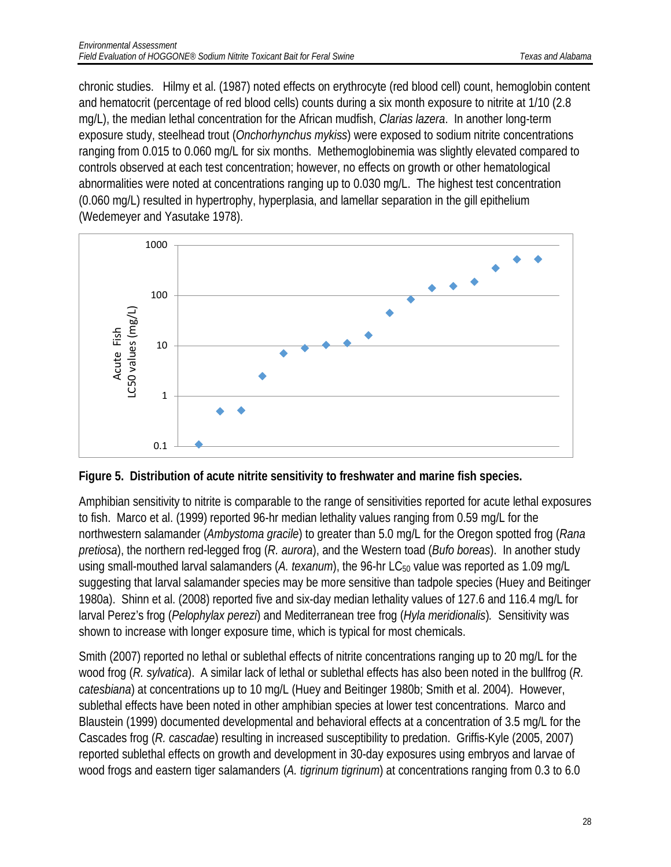chronic studies. Hilmy et al. (1987) noted effects on erythrocyte (red blood cell) count, hemoglobin content and hematocrit (percentage of red blood cells) counts during a six month exposure to nitrite at 1/10 (2.8 mg/L), the median lethal concentration for the African mudfish, *Clarias lazera*. In another long-term exposure study, steelhead trout (*Onchorhynchus mykiss*) were exposed to sodium nitrite concentrations ranging from 0.015 to 0.060 mg/L for six months. Methemoglobinemia was slightly elevated compared to controls observed at each test concentration; however, no effects on growth or other hematological abnormalities were noted at concentrations ranging up to 0.030 mg/L. The highest test concentration (0.060 mg/L) resulted in hypertrophy, hyperplasia, and lamellar separation in the gill epithelium (Wedemeyer and Yasutake 1978).





Amphibian sensitivity to nitrite is comparable to the range of sensitivities reported for acute lethal exposures to fish. Marco et al. (1999) reported 96-hr median lethality values ranging from 0.59 mg/L for the northwestern salamander (*Ambystoma gracile*) to greater than 5.0 mg/L for the Oregon spotted frog (*Rana pretiosa*), the northern red-legged frog (*R. aurora*), and the Western toad (*Bufo boreas*). In another study using small-mouthed larval salamanders (A. texanum), the 96-hr LC<sub>50</sub> value was reported as 1.09 mg/L suggesting that larval salamander species may be more sensitive than tadpole species (Huey and Beitinger 1980a). Shinn et al. (2008) reported five and six-day median lethality values of 127.6 and 116.4 mg/L for larval Perez's frog (*Pelophylax perezi*) and Mediterranean tree frog (*Hyla meridionalis*)*.* Sensitivity was shown to increase with longer exposure time, which is typical for most chemicals.

Smith (2007) reported no lethal or sublethal effects of nitrite concentrations ranging up to 20 mg/L for the wood frog (*R. sylvatica*). A similar lack of lethal or sublethal effects has also been noted in the bullfrog (*R. catesbiana*) at concentrations up to 10 mg/L (Huey and Beitinger 1980b; Smith et al. 2004). However, sublethal effects have been noted in other amphibian species at lower test concentrations. Marco and Blaustein (1999) documented developmental and behavioral effects at a concentration of 3.5 mg/L for the Cascades frog (*R. cascadae*) resulting in increased susceptibility to predation. Griffis-Kyle (2005, 2007) reported sublethal effects on growth and development in 30-day exposures using embryos and larvae of wood frogs and eastern tiger salamanders (*A. tigrinum tigrinum*) at concentrations ranging from 0.3 to 6.0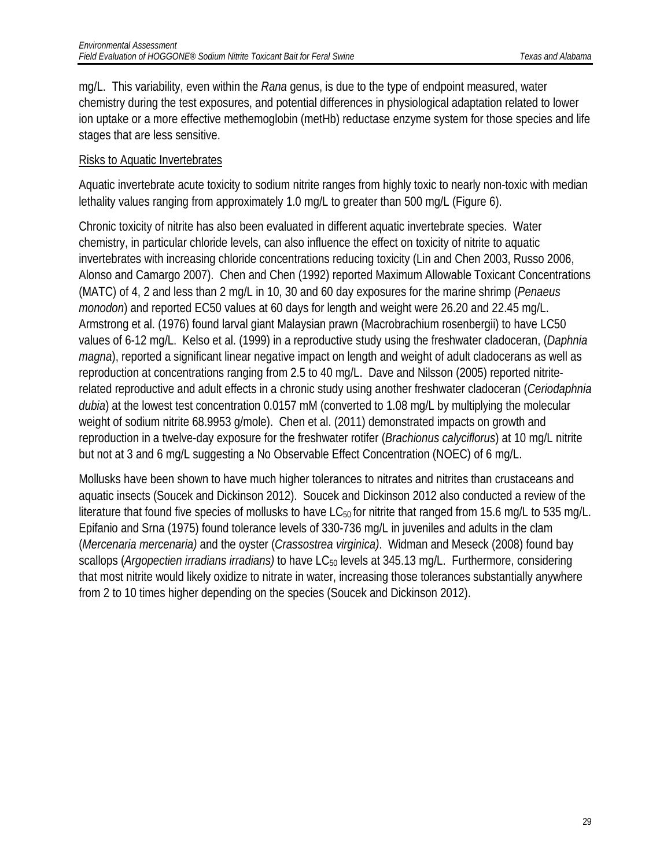mg/L. This variability, even within the *Rana* genus, is due to the type of endpoint measured, water chemistry during the test exposures, and potential differences in physiological adaptation related to lower ion uptake or a more effective methemoglobin (metHb) reductase enzyme system for those species and life stages that are less sensitive.

#### Risks to Aquatic Invertebrates

Aquatic invertebrate acute toxicity to sodium nitrite ranges from highly toxic to nearly non-toxic with median lethality values ranging from approximately 1.0 mg/L to greater than 500 mg/L (Figure 6).

Chronic toxicity of nitrite has also been evaluated in different aquatic invertebrate species. Water chemistry, in particular chloride levels, can also influence the effect on toxicity of nitrite to aquatic invertebrates with increasing chloride concentrations reducing toxicity (Lin and Chen 2003, Russo 2006, Alonso and Camargo 2007). Chen and Chen (1992) reported Maximum Allowable Toxicant Concentrations (MATC) of 4, 2 and less than 2 mg/L in 10, 30 and 60 day exposures for the marine shrimp (*Penaeus monodon*) and reported EC50 values at 60 days for length and weight were 26.20 and 22.45 mg/L. Armstrong et al. (1976) found larval giant Malaysian prawn (Macrobrachium rosenbergii) to have LC50 values of 6-12 mg/L. Kelso et al. (1999) in a reproductive study using the freshwater cladoceran, (*Daphnia magna*), reported a significant linear negative impact on length and weight of adult cladocerans as well as reproduction at concentrations ranging from 2.5 to 40 mg/L. Dave and Nilsson (2005) reported nitriterelated reproductive and adult effects in a chronic study using another freshwater cladoceran (*Ceriodaphnia dubia*) at the lowest test concentration 0.0157 mM (converted to 1.08 mg/L by multiplying the molecular weight of sodium nitrite 68.9953 g/mole). Chen et al. (2011) demonstrated impacts on growth and reproduction in a twelve-day exposure for the freshwater rotifer (*Brachionus calyciflorus*) at 10 mg/L nitrite but not at 3 and 6 mg/L suggesting a No Observable Effect Concentration (NOEC) of 6 mg/L.

Mollusks have been shown to have much higher tolerances to nitrates and nitrites than crustaceans and aquatic insects (Soucek and Dickinson 2012). Soucek and Dickinson 2012 also conducted a review of the literature that found five species of mollusks to have LC $_{50}$  for nitrite that ranged from 15.6 mg/L to 535 mg/L. Epifanio and Srna (1975) found tolerance levels of 330-736 mg/L in juveniles and adults in the clam (*Mercenaria mercenaria)* and the oyster (*Crassostrea virginica)*. Widman and Meseck (2008) found bay scallops (*Argopectien irradians irradians*) to have LC<sub>50</sub> levels at 345.13 mg/L. Furthermore, considering that most nitrite would likely oxidize to nitrate in water, increasing those tolerances substantially anywhere from 2 to 10 times higher depending on the species (Soucek and Dickinson 2012).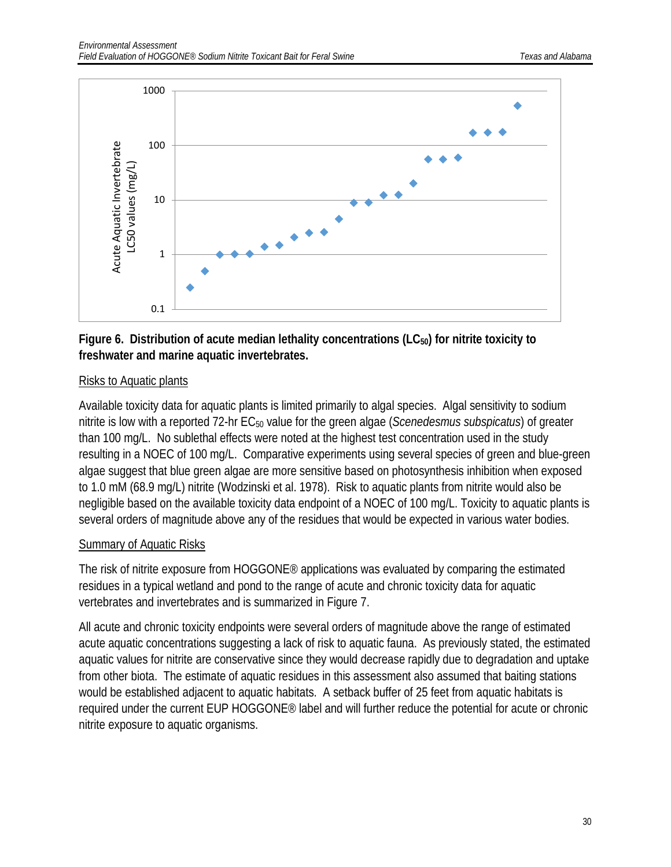

#### Figure 6. Distribution of acute median lethality concentrations (LC<sub>50</sub>) for nitrite toxicity to **freshwater and marine aquatic invertebrates.**

#### Risks to Aquatic plants

Available toxicity data for aquatic plants is limited primarily to algal species. Algal sensitivity to sodium nitrite is low with a reported 72-hr EC<sub>50</sub> value for the green algae (*Scenedesmus subspicatus*) of greater than 100 mg/L. No sublethal effects were noted at the highest test concentration used in the study resulting in a NOEC of 100 mg/L. Comparative experiments using several species of green and blue-green algae suggest that blue green algae are more sensitive based on photosynthesis inhibition when exposed to 1.0 mM (68.9 mg/L) nitrite (Wodzinski et al. 1978). Risk to aquatic plants from nitrite would also be negligible based on the available toxicity data endpoint of a NOEC of 100 mg/L. Toxicity to aquatic plants is several orders of magnitude above any of the residues that would be expected in various water bodies.

#### Summary of Aquatic Risks

The risk of nitrite exposure from HOGGONE® applications was evaluated by comparing the estimated residues in a typical wetland and pond to the range of acute and chronic toxicity data for aquatic vertebrates and invertebrates and is summarized in Figure 7.

All acute and chronic toxicity endpoints were several orders of magnitude above the range of estimated acute aquatic concentrations suggesting a lack of risk to aquatic fauna. As previously stated, the estimated aquatic values for nitrite are conservative since they would decrease rapidly due to degradation and uptake from other biota. The estimate of aquatic residues in this assessment also assumed that baiting stations would be established adjacent to aquatic habitats. A setback buffer of 25 feet from aquatic habitats is required under the current EUP HOGGONE® label and will further reduce the potential for acute or chronic nitrite exposure to aquatic organisms.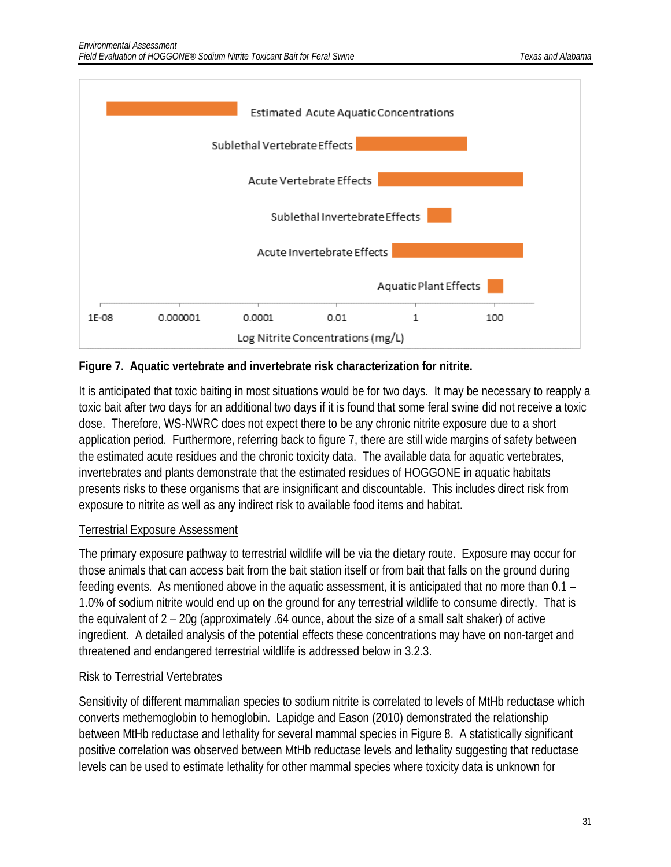

#### **Figure 7. Aquatic vertebrate and invertebrate risk characterization for nitrite.**

It is anticipated that toxic baiting in most situations would be for two days. It may be necessary to reapply a toxic bait after two days for an additional two days if it is found that some feral swine did not receive a toxic dose. Therefore, WS-NWRC does not expect there to be any chronic nitrite exposure due to a short application period. Furthermore, referring back to figure 7, there are still wide margins of safety between the estimated acute residues and the chronic toxicity data. The available data for aquatic vertebrates, invertebrates and plants demonstrate that the estimated residues of HOGGONE in aquatic habitats presents risks to these organisms that are insignificant and discountable. This includes direct risk from exposure to nitrite as well as any indirect risk to available food items and habitat.

#### Terrestrial Exposure Assessment

The primary exposure pathway to terrestrial wildlife will be via the dietary route. Exposure may occur for those animals that can access bait from the bait station itself or from bait that falls on the ground during feeding events. As mentioned above in the aquatic assessment, it is anticipated that no more than 0.1 – 1.0% of sodium nitrite would end up on the ground for any terrestrial wildlife to consume directly. That is the equivalent of 2 – 20g (approximately .64 ounce, about the size of a small salt shaker) of active ingredient. A detailed analysis of the potential effects these concentrations may have on non-target and threatened and endangered terrestrial wildlife is addressed below in 3.2.3.

### Risk to Terrestrial Vertebrates

Sensitivity of different mammalian species to sodium nitrite is correlated to levels of MtHb reductase which converts methemoglobin to hemoglobin. Lapidge and Eason (2010) demonstrated the relationship between MtHb reductase and lethality for several mammal species in Figure 8. A statistically significant positive correlation was observed between MtHb reductase levels and lethality suggesting that reductase levels can be used to estimate lethality for other mammal species where toxicity data is unknown for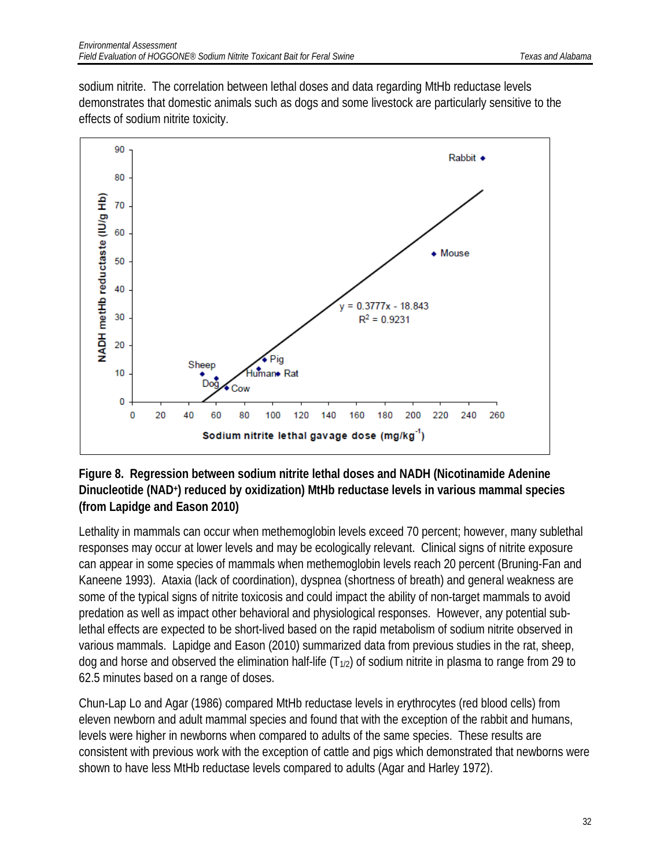sodium nitrite. The correlation between lethal doses and data regarding MtHb reductase levels demonstrates that domestic animals such as dogs and some livestock are particularly sensitive to the effects of sodium nitrite toxicity.



#### **Figure 8. Regression between sodium nitrite lethal doses and NADH (Nicotinamide Adenine Dinucleotide (NAD+) reduced by oxidization) MtHb reductase levels in various mammal species (from Lapidge and Eason 2010)**

Lethality in mammals can occur when methemoglobin levels exceed 70 percent; however, many sublethal responses may occur at lower levels and may be ecologically relevant. Clinical signs of nitrite exposure can appear in some species of mammals when methemoglobin levels reach 20 percent (Bruning-Fan and Kaneene 1993). Ataxia (lack of coordination), dyspnea (shortness of breath) and general weakness are some of the typical signs of nitrite toxicosis and could impact the ability of non-target mammals to avoid predation as well as impact other behavioral and physiological responses. However, any potential sublethal effects are expected to be short-lived based on the rapid metabolism of sodium nitrite observed in various mammals. Lapidge and Eason (2010) summarized data from previous studies in the rat, sheep, dog and horse and observed the elimination half-life  $(T_{1/2})$  of sodium nitrite in plasma to range from 29 to 62.5 minutes based on a range of doses.

Chun-Lap Lo and Agar (1986) compared MtHb reductase levels in erythrocytes (red blood cells) from eleven newborn and adult mammal species and found that with the exception of the rabbit and humans, levels were higher in newborns when compared to adults of the same species. These results are consistent with previous work with the exception of cattle and pigs which demonstrated that newborns were shown to have less MtHb reductase levels compared to adults (Agar and Harley 1972).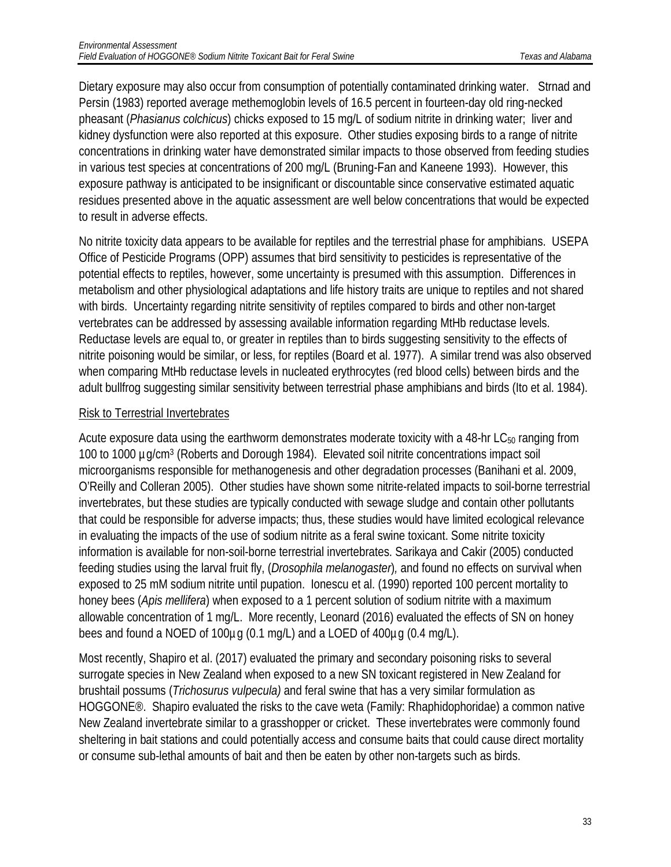Dietary exposure may also occur from consumption of potentially contaminated drinking water. Strnad and Persin (1983) reported average methemoglobin levels of 16.5 percent in fourteen-day old ring-necked pheasant (*Phasianus colchicus*) chicks exposed to 15 mg/L of sodium nitrite in drinking water; liver and kidney dysfunction were also reported at this exposure. Other studies exposing birds to a range of nitrite concentrations in drinking water have demonstrated similar impacts to those observed from feeding studies in various test species at concentrations of 200 mg/L (Bruning-Fan and Kaneene 1993). However, this exposure pathway is anticipated to be insignificant or discountable since conservative estimated aquatic residues presented above in the aquatic assessment are well below concentrations that would be expected to result in adverse effects.

No nitrite toxicity data appears to be available for reptiles and the terrestrial phase for amphibians. USEPA Office of Pesticide Programs (OPP) assumes that bird sensitivity to pesticides is representative of the potential effects to reptiles, however, some uncertainty is presumed with this assumption. Differences in metabolism and other physiological adaptations and life history traits are unique to reptiles and not shared with birds. Uncertainty regarding nitrite sensitivity of reptiles compared to birds and other non-target vertebrates can be addressed by assessing available information regarding MtHb reductase levels. Reductase levels are equal to, or greater in reptiles than to birds suggesting sensitivity to the effects of nitrite poisoning would be similar, or less, for reptiles (Board et al. 1977). A similar trend was also observed when comparing MtHb reductase levels in nucleated erythrocytes (red blood cells) between birds and the adult bullfrog suggesting similar sensitivity between terrestrial phase amphibians and birds (Ito et al. 1984).

#### Risk to Terrestrial Invertebrates

Acute exposure data using the earthworm demonstrates moderate toxicity with a 48-hr  $LC_{50}$  ranging from 100 to 1000 µg/cm3 (Roberts and Dorough 1984). Elevated soil nitrite concentrations impact soil microorganisms responsible for methanogenesis and other degradation processes (Banihani et al. 2009, O'Reilly and Colleran 2005). Other studies have shown some nitrite-related impacts to soil-borne terrestrial invertebrates, but these studies are typically conducted with sewage sludge and contain other pollutants that could be responsible for adverse impacts; thus, these studies would have limited ecological relevance in evaluating the impacts of the use of sodium nitrite as a feral swine toxicant. Some nitrite toxicity information is available for non-soil-borne terrestrial invertebrates. Sarikaya and Cakir (2005) conducted feeding studies using the larval fruit fly, (*Drosophila melanogaster*)*,* and found no effects on survival when exposed to 25 mM sodium nitrite until pupation. Ionescu et al. (1990) reported 100 percent mortality to honey bees (*Apis mellifera*) when exposed to a 1 percent solution of sodium nitrite with a maximum allowable concentration of 1 mg/L. More recently, Leonard (2016) evaluated the effects of SN on honey bees and found a NOED of 100µg (0.1 mg/L) and a LOED of 400µg (0.4 mg/L).

Most recently, Shapiro et al. (2017) evaluated the primary and secondary poisoning risks to several surrogate species in New Zealand when exposed to a new SN toxicant registered in New Zealand for brushtail possums (*Trichosurus vulpecula)* and feral swine that has a very similar formulation as HOGGONE®. Shapiro evaluated the risks to the cave weta (Family: Rhaphidophoridae) a common native New Zealand invertebrate similar to a grasshopper or cricket. These invertebrates were commonly found sheltering in bait stations and could potentially access and consume baits that could cause direct mortality or consume sub-lethal amounts of bait and then be eaten by other non-targets such as birds.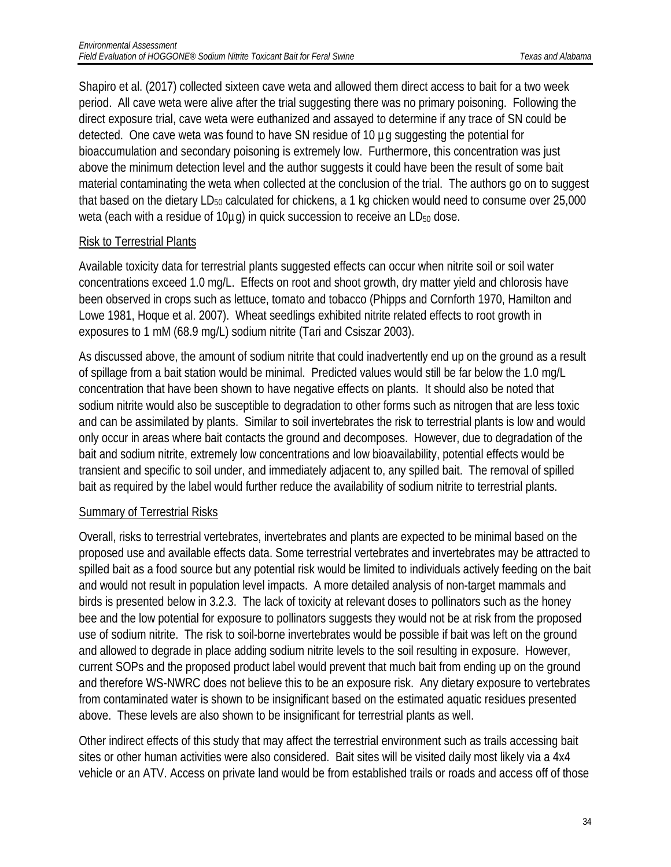Shapiro et al. (2017) collected sixteen cave weta and allowed them direct access to bait for a two week period. All cave weta were alive after the trial suggesting there was no primary poisoning. Following the direct exposure trial, cave weta were euthanized and assayed to determine if any trace of SN could be detected. One cave weta was found to have SN residue of 10 µg suggesting the potential for bioaccumulation and secondary poisoning is extremely low. Furthermore, this concentration was just above the minimum detection level and the author suggests it could have been the result of some bait material contaminating the weta when collected at the conclusion of the trial. The authors go on to suggest that based on the dietary LD $_{50}$  calculated for chickens, a 1 kg chicken would need to consume over 25,000 weta (each with a residue of  $10\mu$ g) in quick succession to receive an  $LD_{50}$  dose.

#### Risk to Terrestrial Plants

Available toxicity data for terrestrial plants suggested effects can occur when nitrite soil or soil water concentrations exceed 1.0 mg/L. Effects on root and shoot growth, dry matter yield and chlorosis have been observed in crops such as lettuce, tomato and tobacco (Phipps and Cornforth 1970, Hamilton and Lowe 1981, Hoque et al. 2007). Wheat seedlings exhibited nitrite related effects to root growth in exposures to 1 mM (68.9 mg/L) sodium nitrite (Tari and Csiszar 2003).

As discussed above, the amount of sodium nitrite that could inadvertently end up on the ground as a result of spillage from a bait station would be minimal. Predicted values would still be far below the 1.0 mg/L concentration that have been shown to have negative effects on plants. It should also be noted that sodium nitrite would also be susceptible to degradation to other forms such as nitrogen that are less toxic and can be assimilated by plants. Similar to soil invertebrates the risk to terrestrial plants is low and would only occur in areas where bait contacts the ground and decomposes. However, due to degradation of the bait and sodium nitrite, extremely low concentrations and low bioavailability, potential effects would be transient and specific to soil under, and immediately adjacent to, any spilled bait. The removal of spilled bait as required by the label would further reduce the availability of sodium nitrite to terrestrial plants.

#### Summary of Terrestrial Risks

Overall, risks to terrestrial vertebrates, invertebrates and plants are expected to be minimal based on the proposed use and available effects data. Some terrestrial vertebrates and invertebrates may be attracted to spilled bait as a food source but any potential risk would be limited to individuals actively feeding on the bait and would not result in population level impacts. A more detailed analysis of non-target mammals and birds is presented below in 3.2.3. The lack of toxicity at relevant doses to pollinators such as the honey bee and the low potential for exposure to pollinators suggests they would not be at risk from the proposed use of sodium nitrite. The risk to soil-borne invertebrates would be possible if bait was left on the ground and allowed to degrade in place adding sodium nitrite levels to the soil resulting in exposure. However, current SOPs and the proposed product label would prevent that much bait from ending up on the ground and therefore WS-NWRC does not believe this to be an exposure risk. Any dietary exposure to vertebrates from contaminated water is shown to be insignificant based on the estimated aquatic residues presented above. These levels are also shown to be insignificant for terrestrial plants as well.

Other indirect effects of this study that may affect the terrestrial environment such as trails accessing bait sites or other human activities were also considered. Bait sites will be visited daily most likely via a 4x4 vehicle or an ATV. Access on private land would be from established trails or roads and access off of those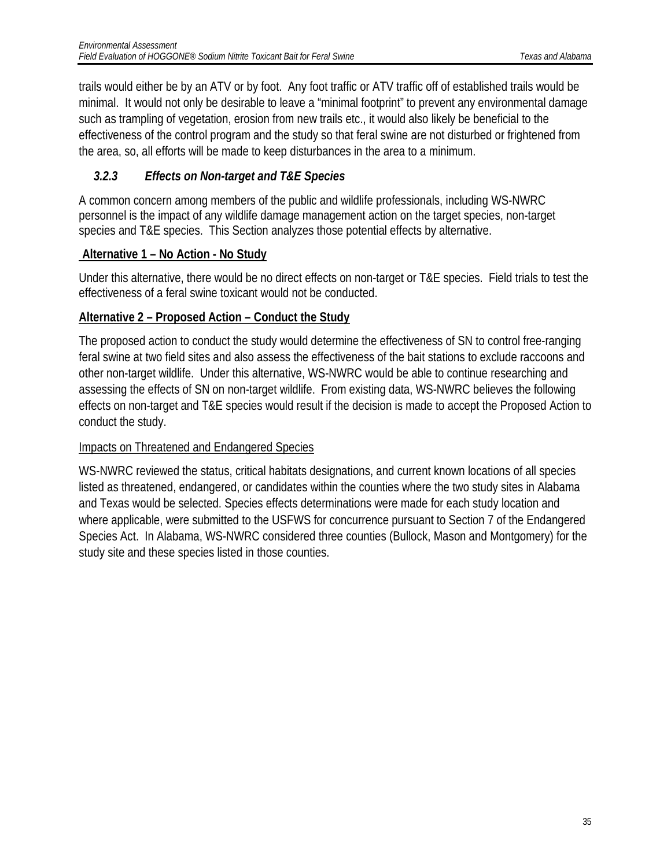trails would either be by an ATV or by foot. Any foot traffic or ATV traffic off of established trails would be minimal. It would not only be desirable to leave a "minimal footprint" to prevent any environmental damage such as trampling of vegetation, erosion from new trails etc., it would also likely be beneficial to the effectiveness of the control program and the study so that feral swine are not disturbed or frightened from the area, so, all efforts will be made to keep disturbances in the area to a minimum.

### <span id="page-35-0"></span>*3.2.3 Effects on Non-target and T&E Species*

A common concern among members of the public and wildlife professionals, including WS-NWRC personnel is the impact of any wildlife damage management action on the target species, non-target species and T&E species. This Section analyzes those potential effects by alternative.

### **Alternative 1 – No Action - No Study**

Under this alternative, there would be no direct effects on non-target or T&E species. Field trials to test the effectiveness of a feral swine toxicant would not be conducted.

### **Alternative 2 – Proposed Action – Conduct the Study**

The proposed action to conduct the study would determine the effectiveness of SN to control free-ranging feral swine at two field sites and also assess the effectiveness of the bait stations to exclude raccoons and other non-target wildlife. Under this alternative, WS-NWRC would be able to continue researching and assessing the effects of SN on non-target wildlife. From existing data, WS-NWRC believes the following effects on non-target and T&E species would result if the decision is made to accept the Proposed Action to conduct the study.

### Impacts on Threatened and Endangered Species

WS-NWRC reviewed the status, critical habitats designations, and current known locations of all species listed as threatened, endangered, or candidates within the counties where the two study sites in Alabama and Texas would be selected. Species effects determinations were made for each study location and where applicable, were submitted to the USFWS for concurrence pursuant to Section 7 of the Endangered Species Act. In Alabama, WS-NWRC considered three counties (Bullock, Mason and Montgomery) for the study site and these species listed in those counties.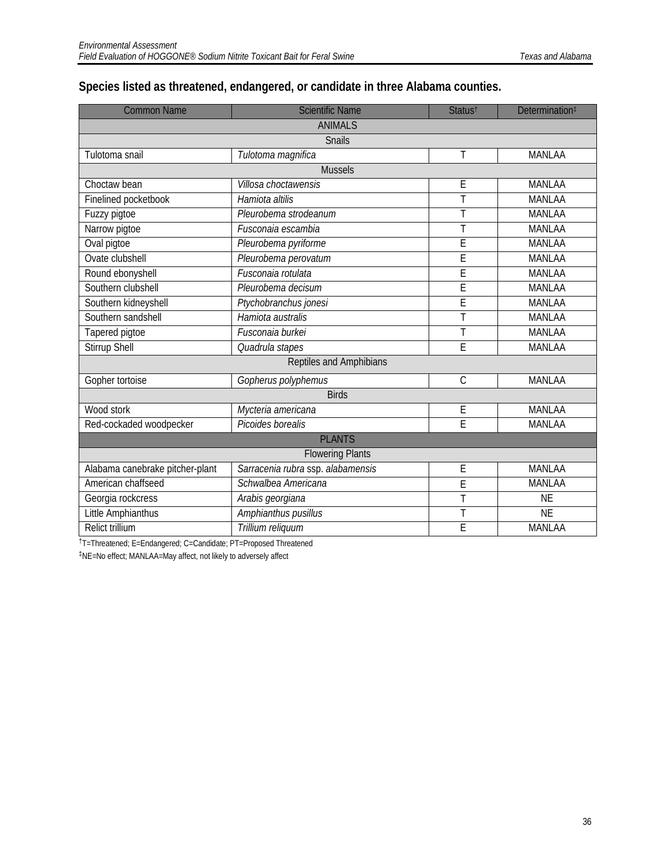### **Species listed as threatened, endangered, or candidate in three Alabama counties.**

| <b>Common Name</b>              | <b>Scientific Name</b>            | Status <sup>t</sup> | Determination <sup>#</sup> |  |  |
|---------------------------------|-----------------------------------|---------------------|----------------------------|--|--|
|                                 | <b>ANIMALS</b>                    |                     |                            |  |  |
|                                 | <b>Snails</b>                     |                     |                            |  |  |
| Tulotoma snail                  | Tulotoma magnifica                | Τ                   | <b>MANLAA</b>              |  |  |
|                                 | <b>Mussels</b>                    |                     |                            |  |  |
| Choctaw bean                    | Villosa choctawensis              | E                   | MANLAA                     |  |  |
| Finelined pocketbook            | Hamiota altilis                   | T                   | <b>MANLAA</b>              |  |  |
| Fuzzy pigtoe                    | Pleurobema strodeanum             | Ť                   | <b>MANLAA</b>              |  |  |
| Narrow pigtoe                   | Fusconaia escambia                | T                   | <b>MANLAA</b>              |  |  |
| Oval pigtoe                     | Pleurobema pyriforme              | E                   | <b>MANLAA</b>              |  |  |
| Ovate clubshell                 | Pleurobema perovatum              | E                   | <b>MANLAA</b>              |  |  |
| Round ebonyshell                | Fusconaia rotulata                | E                   | <b>MANLAA</b>              |  |  |
| Southern clubshell              | Pleurobema decisum                | E                   | <b>MANLAA</b>              |  |  |
| Southern kidneyshell            | Ptychobranchus jonesi             | E                   | <b>MANLAA</b>              |  |  |
| Southern sandshell              | Hamiota australis                 | T                   | <b>MANLAA</b>              |  |  |
| Tapered pigtoe                  | Fusconaia burkei                  | Τ                   | <b>MANLAA</b>              |  |  |
| Stirrup Shell                   | Quadrula stapes                   | Ē                   | <b>MANLAA</b>              |  |  |
|                                 | Reptiles and Amphibians           |                     |                            |  |  |
| Gopher tortoise                 | Gopherus polyphemus               | $\mathsf C$         | <b>MANLAA</b>              |  |  |
|                                 | <b>Birds</b>                      |                     |                            |  |  |
| Wood stork                      | Mycteria americana                | E                   | <b>MANLAA</b>              |  |  |
| Red-cockaded woodpecker         | Picoides borealis                 | Ē                   | <b>MANLAA</b>              |  |  |
|                                 | <b>PLANTS</b>                     |                     |                            |  |  |
| <b>Flowering Plants</b>         |                                   |                     |                            |  |  |
| Alabama canebrake pitcher-plant | Sarracenia rubra ssp. alabamensis | E                   | <b>MANLAA</b>              |  |  |
| American chaffseed              | Schwalbea Americana               | Ē                   | <b>MANLAA</b>              |  |  |
| Georgia rockcress               | Arabis georgiana                  | Ť                   | <b>NE</b>                  |  |  |
| Little Amphianthus              | Amphianthus pusillus              | T                   | <b>NE</b>                  |  |  |
| <b>Relict trillium</b>          | Trillium reliquum                 | Ē                   | <b>MANLAA</b>              |  |  |

†T=Threatened; E=Endangered; C=Candidate; PT=Proposed Threatened

‡NE=No effect; MANLAA=May affect, not likely to adversely affect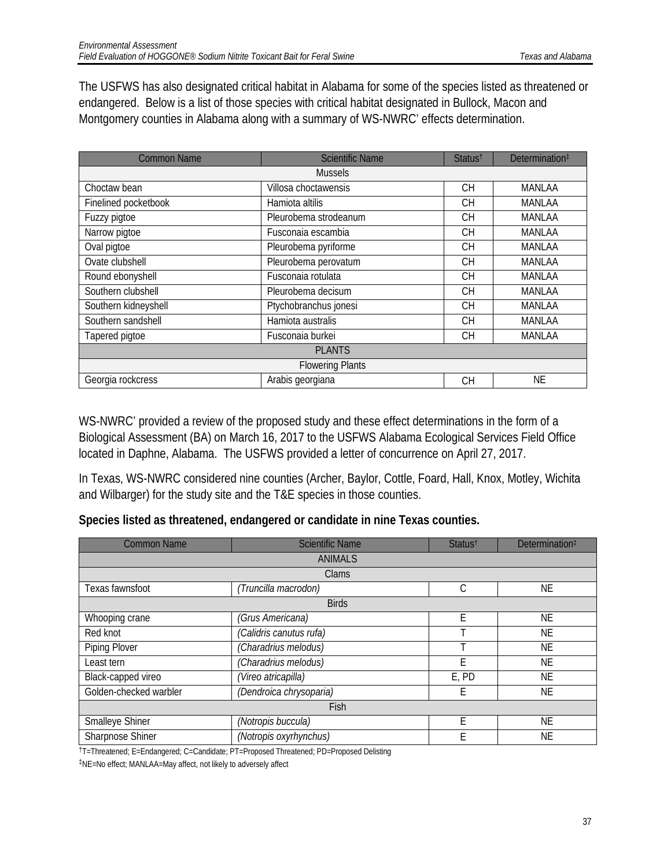The USFWS has also designated critical habitat in Alabama for some of the species listed as threatened or endangered. Below is a list of those species with critical habitat designated in Bullock, Macon and Montgomery counties in Alabama along with a summary of WS-NWRC' effects determination.

| <b>Common Name</b>      | <b>Scientific Name</b> | Status <sup>t</sup> | Determination <sup>#</sup> |  |  |
|-------------------------|------------------------|---------------------|----------------------------|--|--|
| <b>Mussels</b>          |                        |                     |                            |  |  |
| Choctaw bean            | Villosa choctawensis   | <b>CH</b>           | MANLAA                     |  |  |
| Finelined pocketbook    | Hamiota altilis        | <b>CH</b>           | MANLAA                     |  |  |
| Fuzzy pigtoe            | Pleurobema strodeanum  | <b>CH</b>           | MANLAA                     |  |  |
| Narrow pigtoe           | Fusconaia escambia     | <b>CH</b>           | MANLAA                     |  |  |
| Oval pigtoe             | Pleurobema pyriforme   | <b>CH</b>           | MANLAA                     |  |  |
| Ovate clubshell         | Pleurobema perovatum   | <b>CH</b>           | MANLAA                     |  |  |
| Round ebonyshell        | Fusconaia rotulata     | <b>CH</b>           | MANLAA                     |  |  |
| Southern clubshell      | Pleurobema decisum     | <b>CH</b>           | MANLAA                     |  |  |
| Southern kidneyshell    | Ptychobranchus jonesi  | <b>CH</b>           | MANLAA                     |  |  |
| Southern sandshell      | Hamiota australis      | <b>CH</b>           | MANLAA                     |  |  |
| Tapered pigtoe          | Fusconaia burkei       | <b>CH</b>           | MANLAA                     |  |  |
| <b>PLANTS</b>           |                        |                     |                            |  |  |
| <b>Flowering Plants</b> |                        |                     |                            |  |  |
| Georgia rockcress       | Arabis georgiana       | <b>CH</b>           | ΝE                         |  |  |

WS-NWRC' provided a review of the proposed study and these effect determinations in the form of a Biological Assessment (BA) on March 16, 2017 to the USFWS Alabama Ecological Services Field Office located in Daphne, Alabama. The USFWS provided a letter of concurrence on April 27, 2017.

In Texas, WS-NWRC considered nine counties (Archer, Baylor, Cottle, Foard, Hall, Knox, Motley, Wichita and Wilbarger) for the study site and the T&E species in those counties.

|  | Species listed as threatened, endangered or candidate in nine Texas counties. |
|--|-------------------------------------------------------------------------------|
|--|-------------------------------------------------------------------------------|

| <b>Common Name</b>     | <b>Scientific Name</b>  | Status <sup>t</sup> | Determination <sup>‡</sup> |  |  |
|------------------------|-------------------------|---------------------|----------------------------|--|--|
|                        | <b>ANIMALS</b>          |                     |                            |  |  |
|                        | Clams                   |                     |                            |  |  |
| Texas fawnsfoot        | (Truncilla macrodon)    | С                   | ΝE                         |  |  |
|                        | <b>Birds</b>            |                     |                            |  |  |
| Whooping crane         | (Grus Americana)        | F                   | ΝE                         |  |  |
| Red knot               | (Calidris canutus rufa) |                     | NE                         |  |  |
| Piping Plover          | (Charadrius melodus)    |                     | NE                         |  |  |
| Least tern             | (Charadrius melodus)    | F                   | ΝE                         |  |  |
| Black-capped vireo     | (Vireo atricapilla)     | E, PD               | <b>NE</b>                  |  |  |
| Golden-checked warbler | (Dendroica chrysoparia) | Е                   | ΝE                         |  |  |
| Fish                   |                         |                     |                            |  |  |
| Smalleye Shiner        | (Notropis buccula)      | F                   | <b>NE</b>                  |  |  |
| Sharpnose Shiner       | (Notropis oxyrhynchus)  | F                   | ΝE                         |  |  |

†T=Threatened; E=Endangered; C=Candidate; PT=Proposed Threatened; PD=Proposed Delisting

‡NE=No effect; MANLAA=May affect, not likely to adversely affect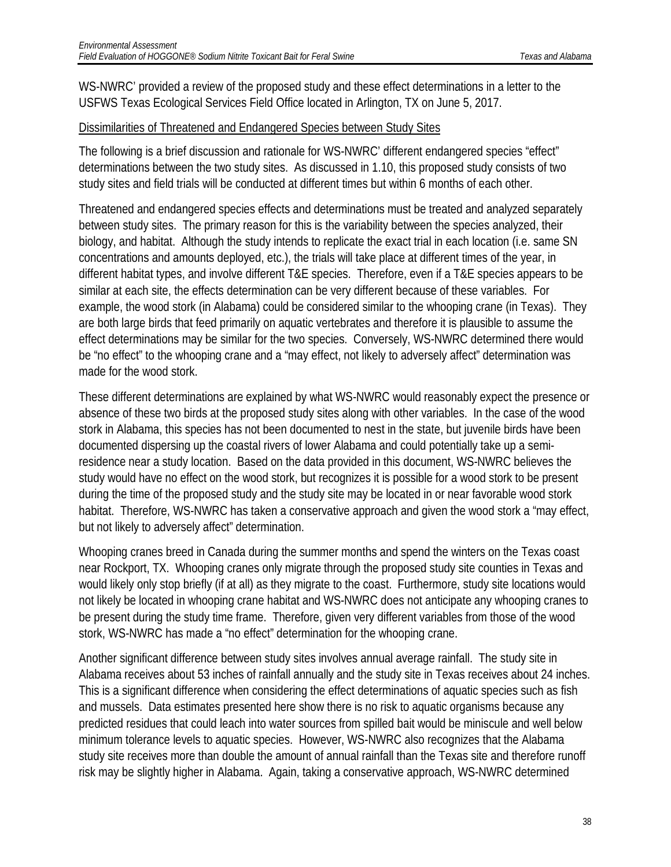WS-NWRC' provided a review of the proposed study and these effect determinations in a letter to the USFWS Texas Ecological Services Field Office located in Arlington, TX on June 5, 2017.

#### Dissimilarities of Threatened and Endangered Species between Study Sites

The following is a brief discussion and rationale for WS-NWRC' different endangered species "effect" determinations between the two study sites. As discussed in 1.10, this proposed study consists of two study sites and field trials will be conducted at different times but within 6 months of each other.

Threatened and endangered species effects and determinations must be treated and analyzed separately between study sites. The primary reason for this is the variability between the species analyzed, their biology, and habitat. Although the study intends to replicate the exact trial in each location (i.e. same SN concentrations and amounts deployed, etc.), the trials will take place at different times of the year, in different habitat types, and involve different T&E species. Therefore, even if a T&E species appears to be similar at each site, the effects determination can be very different because of these variables. For example, the wood stork (in Alabama) could be considered similar to the whooping crane (in Texas). They are both large birds that feed primarily on aquatic vertebrates and therefore it is plausible to assume the effect determinations may be similar for the two species. Conversely, WS-NWRC determined there would be "no effect" to the whooping crane and a "may effect, not likely to adversely affect" determination was made for the wood stork.

These different determinations are explained by what WS-NWRC would reasonably expect the presence or absence of these two birds at the proposed study sites along with other variables. In the case of the wood stork in Alabama, this species has not been documented to nest in the state, but juvenile birds have been documented dispersing up the coastal rivers of lower Alabama and could potentially take up a semiresidence near a study location. Based on the data provided in this document, WS-NWRC believes the study would have no effect on the wood stork, but recognizes it is possible for a wood stork to be present during the time of the proposed study and the study site may be located in or near favorable wood stork habitat. Therefore, WS-NWRC has taken a conservative approach and given the wood stork a "may effect, but not likely to adversely affect" determination.

Whooping cranes breed in Canada during the summer months and spend the winters on the Texas coast near Rockport, TX. Whooping cranes only migrate through the proposed study site counties in Texas and would likely only stop briefly (if at all) as they migrate to the coast. Furthermore, study site locations would not likely be located in whooping crane habitat and WS-NWRC does not anticipate any whooping cranes to be present during the study time frame. Therefore, given very different variables from those of the wood stork, WS-NWRC has made a "no effect" determination for the whooping crane.

Another significant difference between study sites involves annual average rainfall. The study site in Alabama receives about 53 inches of rainfall annually and the study site in Texas receives about 24 inches. This is a significant difference when considering the effect determinations of aquatic species such as fish and mussels. Data estimates presented here show there is no risk to aquatic organisms because any predicted residues that could leach into water sources from spilled bait would be miniscule and well below minimum tolerance levels to aquatic species. However, WS-NWRC also recognizes that the Alabama study site receives more than double the amount of annual rainfall than the Texas site and therefore runoff risk may be slightly higher in Alabama. Again, taking a conservative approach, WS-NWRC determined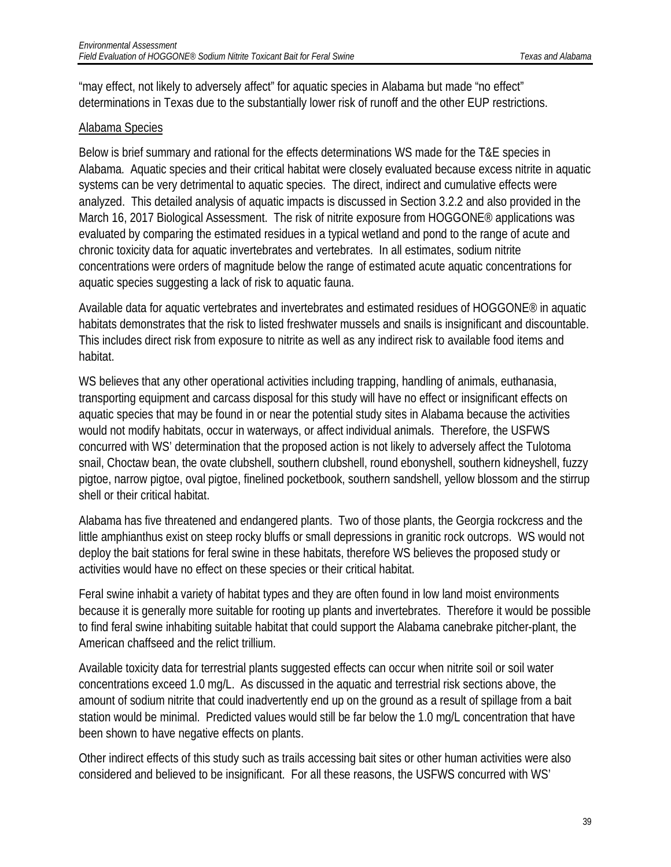"may effect, not likely to adversely affect" for aquatic species in Alabama but made "no effect" determinations in Texas due to the substantially lower risk of runoff and the other EUP restrictions.

#### Alabama Species

Below is brief summary and rational for the effects determinations WS made for the T&E species in Alabama. Aquatic species and their critical habitat were closely evaluated because excess nitrite in aquatic systems can be very detrimental to aquatic species. The direct, indirect and cumulative effects were analyzed. This detailed analysis of aquatic impacts is discussed in Section 3.2.2 and also provided in the March 16, 2017 Biological Assessment. The risk of nitrite exposure from HOGGONE<sup>®</sup> applications was evaluated by comparing the estimated residues in a typical wetland and pond to the range of acute and chronic toxicity data for aquatic invertebrates and vertebrates. In all estimates, sodium nitrite concentrations were orders of magnitude below the range of estimated acute aquatic concentrations for aquatic species suggesting a lack of risk to aquatic fauna.

Available data for aquatic vertebrates and invertebrates and estimated residues of HOGGONE® in aquatic habitats demonstrates that the risk to listed freshwater mussels and snails is insignificant and discountable. This includes direct risk from exposure to nitrite as well as any indirect risk to available food items and habitat.

WS believes that any other operational activities including trapping, handling of animals, euthanasia, transporting equipment and carcass disposal for this study will have no effect or insignificant effects on aquatic species that may be found in or near the potential study sites in Alabama because the activities would not modify habitats, occur in waterways, or affect individual animals. Therefore, the USFWS concurred with WS' determination that the proposed action is not likely to adversely affect the Tulotoma snail, Choctaw bean, the ovate clubshell, southern clubshell, round ebonyshell, southern kidneyshell, fuzzy pigtoe, narrow pigtoe, oval pigtoe, finelined pocketbook, southern sandshell, yellow blossom and the stirrup shell or their critical habitat.

Alabama has five threatened and endangered plants. Two of those plants, the Georgia rockcress and the little amphianthus exist on steep rocky bluffs or small depressions in granitic rock outcrops. WS would not deploy the bait stations for feral swine in these habitats, therefore WS believes the proposed study or activities would have no effect on these species or their critical habitat.

Feral swine inhabit a variety of habitat types and they are often found in low land moist environments because it is generally more suitable for rooting up plants and invertebrates. Therefore it would be possible to find feral swine inhabiting suitable habitat that could support the Alabama canebrake pitcher-plant, the American chaffseed and the relict trillium.

Available toxicity data for terrestrial plants suggested effects can occur when nitrite soil or soil water concentrations exceed 1.0 mg/L. As discussed in the aquatic and terrestrial risk sections above, the amount of sodium nitrite that could inadvertently end up on the ground as a result of spillage from a bait station would be minimal. Predicted values would still be far below the 1.0 mg/L concentration that have been shown to have negative effects on plants.

Other indirect effects of this study such as trails accessing bait sites or other human activities were also considered and believed to be insignificant. For all these reasons, the USFWS concurred with WS'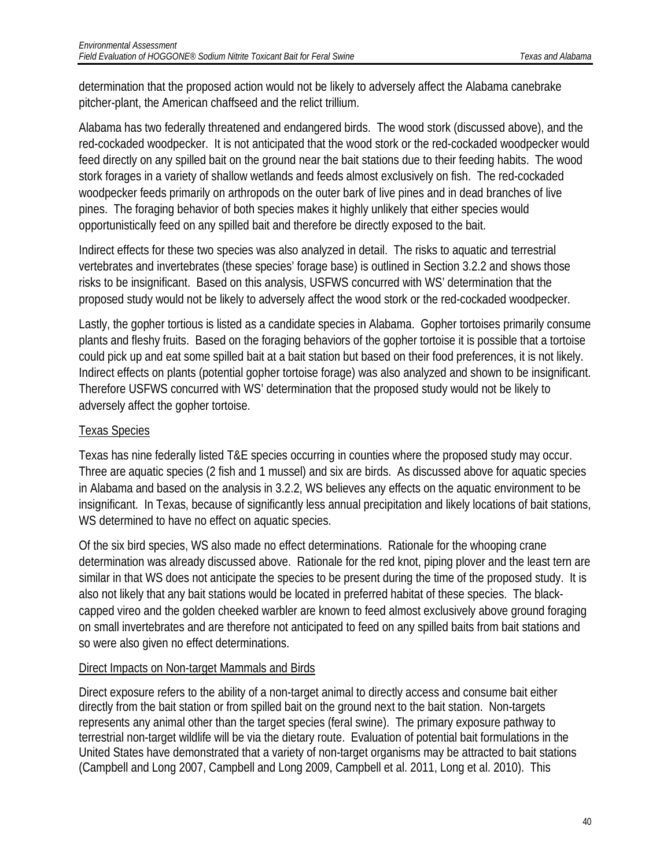determination that the proposed action would not be likely to adversely affect the Alabama canebrake pitcher-plant, the American chaffseed and the relict trillium.

Alabama has two federally threatened and endangered birds. The wood stork (discussed above), and the red-cockaded woodpecker. It is not anticipated that the wood stork or the red-cockaded woodpecker would feed directly on any spilled bait on the ground near the bait stations due to their feeding habits. The wood stork forages in a variety of shallow wetlands and feeds almost exclusively on fish. The red-cockaded woodpecker feeds primarily on arthropods on the outer bark of live pines and in dead branches of live pines. The foraging behavior of both species makes it highly unlikely that either species would opportunistically feed on any spilled bait and therefore be directly exposed to the bait.

Indirect effects for these two species was also analyzed in detail. The risks to aquatic and terrestrial vertebrates and invertebrates (these species' forage base) is outlined in Section 3.2.2 and shows those risks to be insignificant. Based on this analysis, USFWS concurred with WS' determination that the proposed study would not be likely to adversely affect the wood stork or the red-cockaded woodpecker.

Lastly, the gopher tortious is listed as a candidate species in Alabama. Gopher tortoises primarily consume plants and fleshy fruits. Based on the foraging behaviors of the gopher tortoise it is possible that a tortoise could pick up and eat some spilled bait at a bait station but based on their food preferences, it is not likely. Indirect effects on plants (potential gopher tortoise forage) was also analyzed and shown to be insignificant. Therefore USFWS concurred with WS' determination that the proposed study would not be likely to adversely affect the gopher tortoise.

#### Texas Species

Texas has nine federally listed T&E species occurring in counties where the proposed study may occur. Three are aquatic species (2 fish and 1 mussel) and six are birds. As discussed above for aquatic species in Alabama and based on the analysis in 3.2.2, WS believes any effects on the aquatic environment to be insignificant. In Texas, because of significantly less annual precipitation and likely locations of bait stations, WS determined to have no effect on aquatic species.

Of the six bird species, WS also made no effect determinations. Rationale for the whooping crane determination was already discussed above. Rationale for the red knot, piping plover and the least tern are similar in that WS does not anticipate the species to be present during the time of the proposed study. It is also not likely that any bait stations would be located in preferred habitat of these species. The blackcapped vireo and the golden cheeked warbler are known to feed almost exclusively above ground foraging on small invertebrates and are therefore not anticipated to feed on any spilled baits from bait stations and so were also given no effect determinations.

#### Direct Impacts on Non-target Mammals and Birds

Direct exposure refers to the ability of a non-target animal to directly access and consume bait either directly from the bait station or from spilled bait on the ground next to the bait station. Non-targets represents any animal other than the target species (feral swine). The primary exposure pathway to terrestrial non-target wildlife will be via the dietary route. Evaluation of potential bait formulations in the United States have demonstrated that a variety of non-target organisms may be attracted to bait stations (Campbell and Long 2007, Campbell and Long 2009, Campbell et al. 2011, Long et al. 2010). This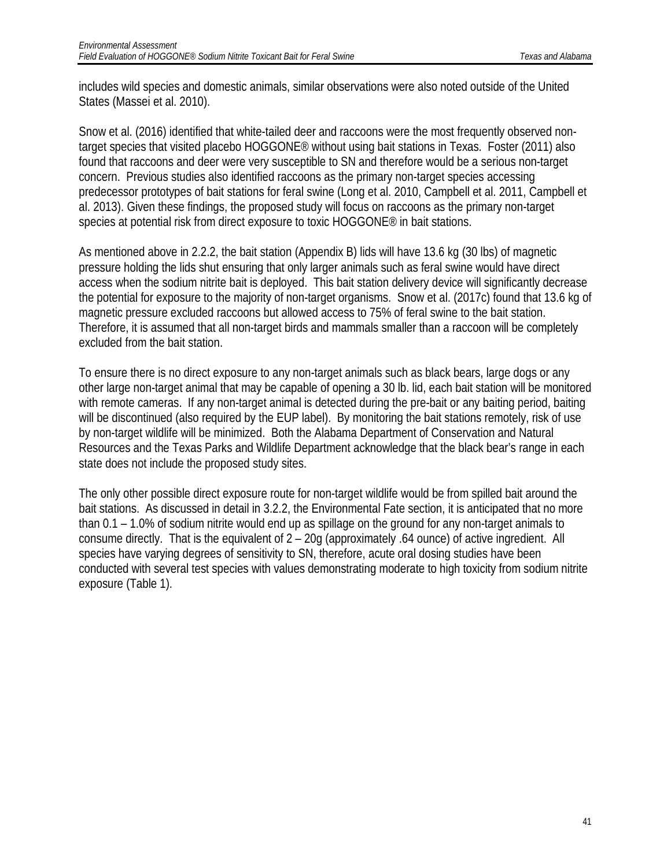includes wild species and domestic animals, similar observations were also noted outside of the United States (Massei et al. 2010).

Snow et al. (2016) identified that white-tailed deer and raccoons were the most frequently observed nontarget species that visited placebo HOGGONE® without using bait stations in Texas. Foster (2011) also found that raccoons and deer were very susceptible to SN and therefore would be a serious non-target concern. Previous studies also identified raccoons as the primary non-target species accessing predecessor prototypes of bait stations for feral swine (Long et al. 2010, Campbell et al. 2011, Campbell et al. 2013). Given these findings, the proposed study will focus on raccoons as the primary non-target species at potential risk from direct exposure to toxic HOGGONE® in bait stations.

As mentioned above in 2.2.2, the bait station (Appendix B) lids will have 13.6 kg (30 lbs) of magnetic pressure holding the lids shut ensuring that only larger animals such as feral swine would have direct access when the sodium nitrite bait is deployed. This bait station delivery device will significantly decrease the potential for exposure to the majority of non-target organisms. Snow et al. (2017c) found that 13.6 kg of magnetic pressure excluded raccoons but allowed access to 75% of feral swine to the bait station. Therefore, it is assumed that all non-target birds and mammals smaller than a raccoon will be completely excluded from the bait station.

To ensure there is no direct exposure to any non-target animals such as black bears, large dogs or any other large non-target animal that may be capable of opening a 30 lb. lid, each bait station will be monitored with remote cameras. If any non-target animal is detected during the pre-bait or any baiting period, baiting will be discontinued (also required by the EUP label). By monitoring the bait stations remotely, risk of use by non-target wildlife will be minimized. Both the Alabama Department of Conservation and Natural Resources and the Texas Parks and Wildlife Department acknowledge that the black bear's range in each state does not include the proposed study sites.

The only other possible direct exposure route for non-target wildlife would be from spilled bait around the bait stations. As discussed in detail in 3.2.2, the Environmental Fate section, it is anticipated that no more than 0.1 – 1.0% of sodium nitrite would end up as spillage on the ground for any non-target animals to consume directly. That is the equivalent of 2 – 20g (approximately .64 ounce) of active ingredient. All species have varying degrees of sensitivity to SN, therefore, acute oral dosing studies have been conducted with several test species with values demonstrating moderate to high toxicity from sodium nitrite exposure (Table 1).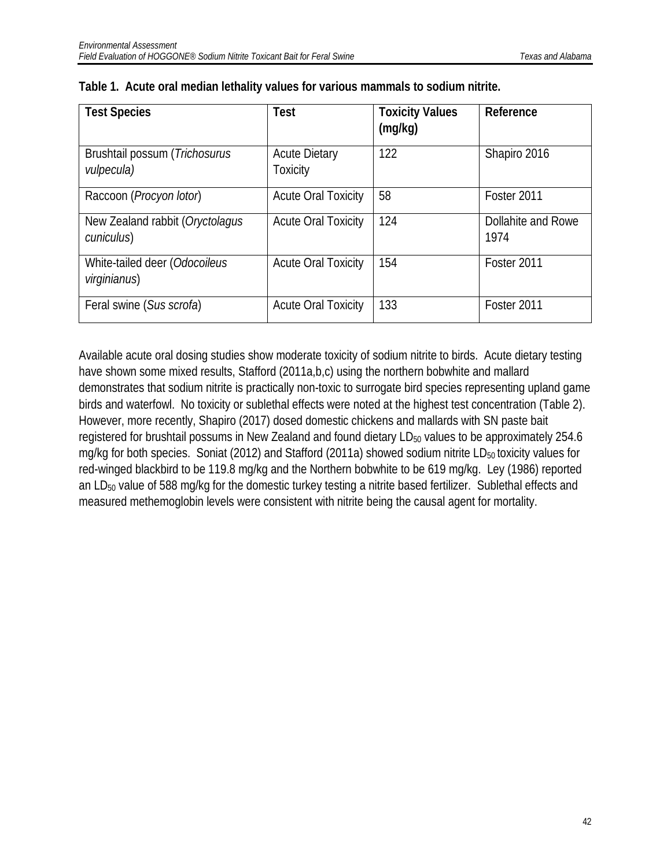| <b>Test Species</b>                           | <b>Test</b>                      | <b>Toxicity Values</b><br>(mg/kg) | Reference                  |
|-----------------------------------------------|----------------------------------|-----------------------------------|----------------------------|
| Brushtail possum (Trichosurus<br>vulpecula)   | <b>Acute Dietary</b><br>Toxicity | 122                               | Shapiro 2016               |
| Raccoon (Procyon lotor)                       | <b>Acute Oral Toxicity</b>       | 58                                | Foster 2011                |
| New Zealand rabbit (Oryctolagus<br>cuniculus) | <b>Acute Oral Toxicity</b>       | 124                               | Dollahite and Rowe<br>1974 |
| White-tailed deer (Odocoileus<br>virginianus) | <b>Acute Oral Toxicity</b>       | 154                               | Foster 2011                |
| Feral swine (Sus scrofa)                      | <b>Acute Oral Toxicity</b>       | 133                               | Foster 2011                |

| Table 1. Acute oral median lethality values for various mammals to sodium nitrite. |  |  |  |  |
|------------------------------------------------------------------------------------|--|--|--|--|
|                                                                                    |  |  |  |  |

Available acute oral dosing studies show moderate toxicity of sodium nitrite to birds. Acute dietary testing have shown some mixed results, Stafford (2011a,b,c) using the northern bobwhite and mallard demonstrates that sodium nitrite is practically non-toxic to surrogate bird species representing upland game birds and waterfowl. No toxicity or sublethal effects were noted at the highest test concentration (Table 2). However, more recently, Shapiro (2017) dosed domestic chickens and mallards with SN paste bait registered for brushtail possums in New Zealand and found dietary LD<sub>50</sub> values to be approximately 254.6 mg/kg for both species. Soniat (2012) and Stafford (2011a) showed sodium nitrite  $LD_{50}$  toxicity values for red-winged blackbird to be 119.8 mg/kg and the Northern bobwhite to be 619 mg/kg. Ley (1986) reported an LD<sub>50</sub> value of 588 mg/kg for the domestic turkey testing a nitrite based fertilizer. Sublethal effects and measured methemoglobin levels were consistent with nitrite being the causal agent for mortality.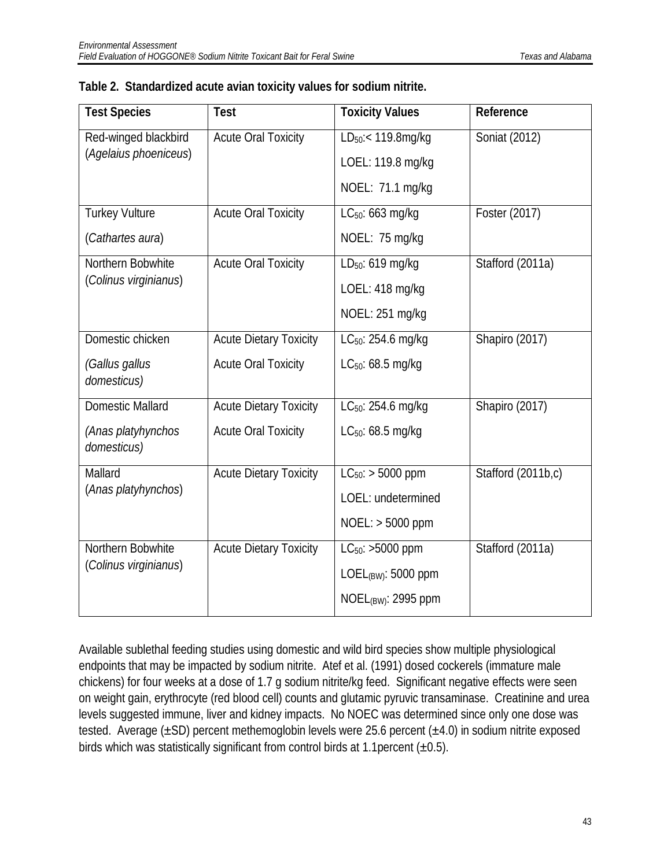| <b>Test Species</b>               | Test                          | <b>Toxicity Values</b>         | Reference          |
|-----------------------------------|-------------------------------|--------------------------------|--------------------|
| Red-winged blackbird              | <b>Acute Oral Toxicity</b>    | LD <sub>50</sub> :< 119.8mg/kg | Soniat (2012)      |
| (Agelaius phoeniceus)             |                               | LOEL: 119.8 mg/kg              |                    |
|                                   |                               | NOEL: 71.1 mg/kg               |                    |
| <b>Turkey Vulture</b>             | <b>Acute Oral Toxicity</b>    | LC <sub>50</sub> : 663 mg/kg   | Foster (2017)      |
| (Cathartes aura)                  |                               | NOEL: 75 mg/kg                 |                    |
| Northern Bobwhite                 | <b>Acute Oral Toxicity</b>    | LD <sub>50</sub> : 619 mg/kg   | Stafford (2011a)   |
| (Colinus virginianus)             |                               | LOEL: 418 mg/kg                |                    |
|                                   |                               | NOEL: 251 mg/kg                |                    |
| Domestic chicken                  | <b>Acute Dietary Toxicity</b> | LC <sub>50</sub> : 254.6 mg/kg | Shapiro (2017)     |
| (Gallus gallus<br>domesticus)     | <b>Acute Oral Toxicity</b>    | $LC_{50}$ : 68.5 mg/kg         |                    |
| <b>Domestic Mallard</b>           | <b>Acute Dietary Toxicity</b> | LC <sub>50</sub> : 254.6 mg/kg | Shapiro (2017)     |
| (Anas platyhynchos<br>domesticus) | <b>Acute Oral Toxicity</b>    | $LC_{50}$ : 68.5 mg/kg         |                    |
| Mallard                           | <b>Acute Dietary Toxicity</b> | $LC_{50}$ : > 5000 ppm         | Stafford (2011b,c) |
| (Anas platyhynchos)               |                               | LOEL: undetermined             |                    |
|                                   |                               | $NOEL:$ > 5000 ppm             |                    |
| Northern Bobwhite                 | <b>Acute Dietary Toxicity</b> | $LC_{50}$ : >5000 ppm          | Stafford (2011a)   |
| (Colinus virginianus)             |                               | LOEL $(BW)$ : 5000 ppm         |                    |
|                                   |                               | NOEL $_{(BW)}$ : 2995 ppm      |                    |
|                                   |                               |                                |                    |

|  | Table 2. Standardized acute avian toxicity values for sodium nitrite. |  |  |  |  |  |  |
|--|-----------------------------------------------------------------------|--|--|--|--|--|--|
|--|-----------------------------------------------------------------------|--|--|--|--|--|--|

Available sublethal feeding studies using domestic and wild bird species show multiple physiological endpoints that may be impacted by sodium nitrite. Atef et al. (1991) dosed cockerels (immature male chickens) for four weeks at a dose of 1.7 g sodium nitrite/kg feed. Significant negative effects were seen on weight gain, erythrocyte (red blood cell) counts and glutamic pyruvic transaminase. Creatinine and urea levels suggested immune, liver and kidney impacts. No NOEC was determined since only one dose was tested. Average  $(\pm SD)$  percent methemoglobin levels were 25.6 percent  $(\pm 4.0)$  in sodium nitrite exposed birds which was statistically significant from control birds at 1.1 percent  $(\pm 0.5)$ .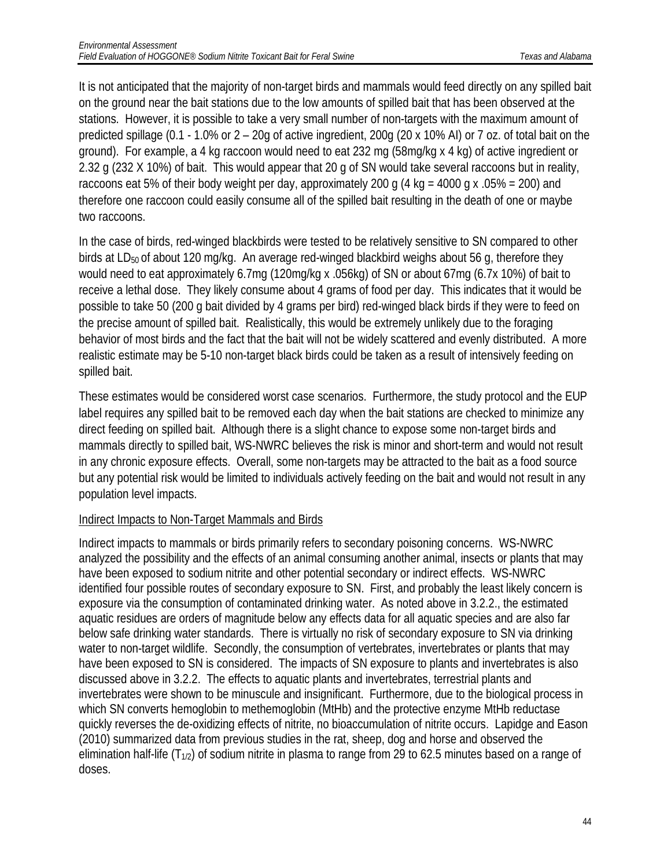It is not anticipated that the majority of non-target birds and mammals would feed directly on any spilled bait on the ground near the bait stations due to the low amounts of spilled bait that has been observed at the stations. However, it is possible to take a very small number of non-targets with the maximum amount of predicted spillage (0.1 - 1.0% or 2 – 20g of active ingredient, 200g (20 x 10% AI) or 7 oz. of total bait on the ground). For example, a 4 kg raccoon would need to eat 232 mg (58mg/kg x 4 kg) of active ingredient or 2.32 g (232 X 10%) of bait. This would appear that 20 g of SN would take several raccoons but in reality, raccoons eat 5% of their body weight per day, approximately 200 g (4 kg = 4000 g x .05% = 200) and therefore one raccoon could easily consume all of the spilled bait resulting in the death of one or maybe two raccoons.

In the case of birds, red-winged blackbirds were tested to be relatively sensitive to SN compared to other birds at LD<sub>50</sub> of about 120 mg/kg. An average red-winged blackbird weighs about 56 g, therefore they would need to eat approximately 6.7mg (120mg/kg x .056kg) of SN or about 67mg (6.7x 10%) of bait to receive a lethal dose. They likely consume about 4 grams of food per day. This indicates that it would be possible to take 50 (200 g bait divided by 4 grams per bird) red-winged black birds if they were to feed on the precise amount of spilled bait. Realistically, this would be extremely unlikely due to the foraging behavior of most birds and the fact that the bait will not be widely scattered and evenly distributed. A more realistic estimate may be 5-10 non-target black birds could be taken as a result of intensively feeding on spilled bait.

These estimates would be considered worst case scenarios. Furthermore, the study protocol and the EUP label requires any spilled bait to be removed each day when the bait stations are checked to minimize any direct feeding on spilled bait. Although there is a slight chance to expose some non-target birds and mammals directly to spilled bait, WS-NWRC believes the risk is minor and short-term and would not result in any chronic exposure effects. Overall, some non-targets may be attracted to the bait as a food source but any potential risk would be limited to individuals actively feeding on the bait and would not result in any population level impacts.

#### Indirect Impacts to Non-Target Mammals and Birds

Indirect impacts to mammals or birds primarily refers to secondary poisoning concerns. WS-NWRC analyzed the possibility and the effects of an animal consuming another animal, insects or plants that may have been exposed to sodium nitrite and other potential secondary or indirect effects. WS-NWRC identified four possible routes of secondary exposure to SN. First, and probably the least likely concern is exposure via the consumption of contaminated drinking water. As noted above in 3.2.2., the estimated aquatic residues are orders of magnitude below any effects data for all aquatic species and are also far below safe drinking water standards. There is virtually no risk of secondary exposure to SN via drinking water to non-target wildlife. Secondly, the consumption of vertebrates, invertebrates or plants that may have been exposed to SN is considered. The impacts of SN exposure to plants and invertebrates is also discussed above in 3.2.2. The effects to aquatic plants and invertebrates, terrestrial plants and invertebrates were shown to be minuscule and insignificant. Furthermore, due to the biological process in which SN converts hemoglobin to methemoglobin (MtHb) and the protective enzyme MtHb reductase quickly reverses the de-oxidizing effects of nitrite, no bioaccumulation of nitrite occurs. Lapidge and Eason (2010) summarized data from previous studies in the rat, sheep, dog and horse and observed the elimination half-life  $(T_{1/2})$  of sodium nitrite in plasma to range from 29 to 62.5 minutes based on a range of doses.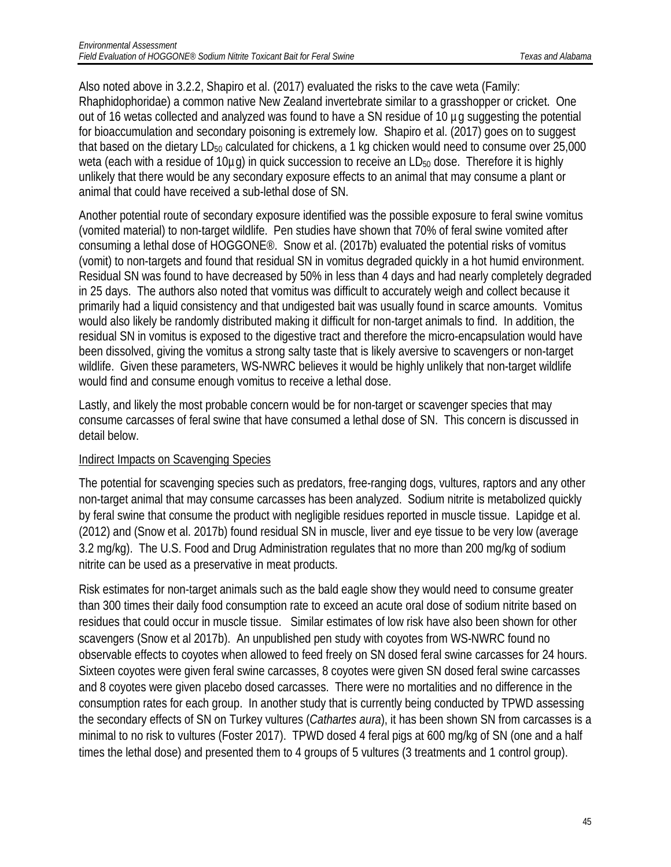Also noted above in 3.2.2, Shapiro et al. (2017) evaluated the risks to the cave weta (Family: Rhaphidophoridae) a common native New Zealand invertebrate similar to a grasshopper or cricket. One out of 16 wetas collected and analyzed was found to have a SN residue of 10 µg suggesting the potential for bioaccumulation and secondary poisoning is extremely low. Shapiro et al. (2017) goes on to suggest that based on the dietary LD $_{50}$  calculated for chickens, a 1 kg chicken would need to consume over 25,000 weta (each with a residue of 10µg) in quick succession to receive an LD<sub>50</sub> dose. Therefore it is highly unlikely that there would be any secondary exposure effects to an animal that may consume a plant or animal that could have received a sub-lethal dose of SN.

Another potential route of secondary exposure identified was the possible exposure to feral swine vomitus (vomited material) to non-target wildlife. Pen studies have shown that 70% of feral swine vomited after consuming a lethal dose of HOGGONE®. Snow et al. (2017b) evaluated the potential risks of vomitus (vomit) to non-targets and found that residual SN in vomitus degraded quickly in a hot humid environment. Residual SN was found to have decreased by 50% in less than 4 days and had nearly completely degraded in 25 days. The authors also noted that vomitus was difficult to accurately weigh and collect because it primarily had a liquid consistency and that undigested bait was usually found in scarce amounts. Vomitus would also likely be randomly distributed making it difficult for non-target animals to find. In addition, the residual SN in vomitus is exposed to the digestive tract and therefore the micro-encapsulation would have been dissolved, giving the vomitus a strong salty taste that is likely aversive to scavengers or non-target wildlife. Given these parameters, WS-NWRC believes it would be highly unlikely that non-target wildlife would find and consume enough vomitus to receive a lethal dose.

Lastly, and likely the most probable concern would be for non-target or scavenger species that may consume carcasses of feral swine that have consumed a lethal dose of SN. This concern is discussed in detail below.

#### Indirect Impacts on Scavenging Species

The potential for scavenging species such as predators, free-ranging dogs, vultures, raptors and any other non-target animal that may consume carcasses has been analyzed. Sodium nitrite is metabolized quickly by feral swine that consume the product with negligible residues reported in muscle tissue. Lapidge et al. (2012) and (Snow et al. 2017b) found residual SN in muscle, liver and eye tissue to be very low (average 3.2 mg/kg). The U.S. Food and Drug Administration regulates that no more than 200 mg/kg of sodium nitrite can be used as a preservative in meat products.

Risk estimates for non-target animals such as the bald eagle show they would need to consume greater than 300 times their daily food consumption rate to exceed an acute oral dose of sodium nitrite based on residues that could occur in muscle tissue. Similar estimates of low risk have also been shown for other scavengers (Snow et al 2017b). An unpublished pen study with coyotes from WS-NWRC found no observable effects to coyotes when allowed to feed freely on SN dosed feral swine carcasses for 24 hours. Sixteen coyotes were given feral swine carcasses, 8 coyotes were given SN dosed feral swine carcasses and 8 coyotes were given placebo dosed carcasses. There were no mortalities and no difference in the consumption rates for each group. In another study that is currently being conducted by TPWD assessing the secondary effects of SN on Turkey vultures (*Cathartes aura*), it has been shown SN from carcasses is a minimal to no risk to vultures (Foster 2017). TPWD dosed 4 feral pigs at 600 mg/kg of SN (one and a half times the lethal dose) and presented them to 4 groups of 5 vultures (3 treatments and 1 control group).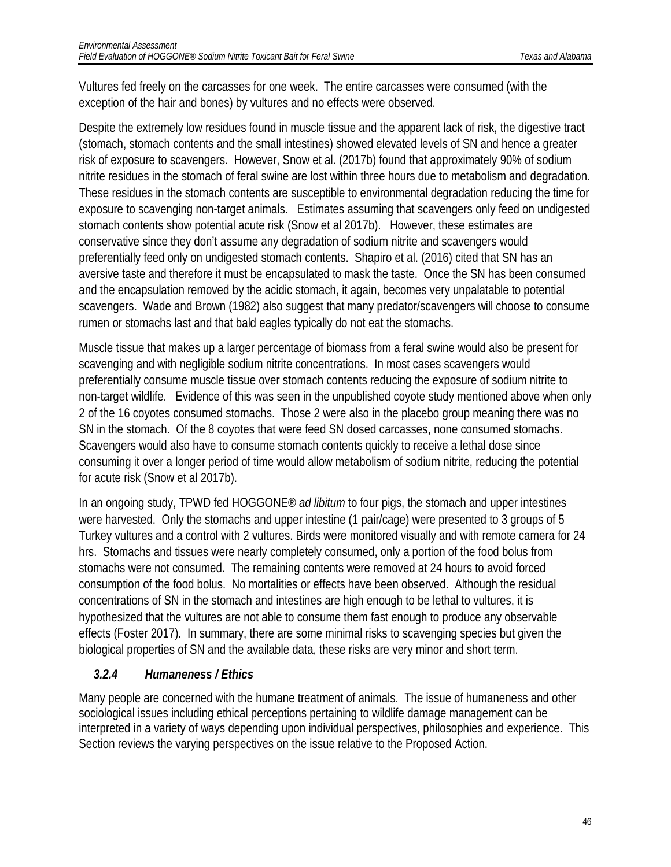Vultures fed freely on the carcasses for one week. The entire carcasses were consumed (with the exception of the hair and bones) by vultures and no effects were observed.

Despite the extremely low residues found in muscle tissue and the apparent lack of risk, the digestive tract (stomach, stomach contents and the small intestines) showed elevated levels of SN and hence a greater risk of exposure to scavengers. However, Snow et al. (2017b) found that approximately 90% of sodium nitrite residues in the stomach of feral swine are lost within three hours due to metabolism and degradation. These residues in the stomach contents are susceptible to environmental degradation reducing the time for exposure to scavenging non-target animals. Estimates assuming that scavengers only feed on undigested stomach contents show potential acute risk (Snow et al 2017b). However, these estimates are conservative since they don't assume any degradation of sodium nitrite and scavengers would preferentially feed only on undigested stomach contents. Shapiro et al. (2016) cited that SN has an aversive taste and therefore it must be encapsulated to mask the taste. Once the SN has been consumed and the encapsulation removed by the acidic stomach, it again, becomes very unpalatable to potential scavengers. Wade and Brown (1982) also suggest that many predator/scavengers will choose to consume rumen or stomachs last and that bald eagles typically do not eat the stomachs.

Muscle tissue that makes up a larger percentage of biomass from a feral swine would also be present for scavenging and with negligible sodium nitrite concentrations. In most cases scavengers would preferentially consume muscle tissue over stomach contents reducing the exposure of sodium nitrite to non-target wildlife. Evidence of this was seen in the unpublished coyote study mentioned above when only 2 of the 16 coyotes consumed stomachs. Those 2 were also in the placebo group meaning there was no SN in the stomach. Of the 8 coyotes that were feed SN dosed carcasses, none consumed stomachs. Scavengers would also have to consume stomach contents quickly to receive a lethal dose since consuming it over a longer period of time would allow metabolism of sodium nitrite, reducing the potential for acute risk (Snow et al 2017b).

In an ongoing study, TPWD fed HOGGONE® *ad libitum* to four pigs, the stomach and upper intestines were harvested. Only the stomachs and upper intestine (1 pair/cage) were presented to 3 groups of 5 Turkey vultures and a control with 2 vultures. Birds were monitored visually and with remote camera for 24 hrs. Stomachs and tissues were nearly completely consumed, only a portion of the food bolus from stomachs were not consumed. The remaining contents were removed at 24 hours to avoid forced consumption of the food bolus. No mortalities or effects have been observed. Although the residual concentrations of SN in the stomach and intestines are high enough to be lethal to vultures, it is hypothesized that the vultures are not able to consume them fast enough to produce any observable effects (Foster 2017). In summary, there are some minimal risks to scavenging species but given the biological properties of SN and the available data, these risks are very minor and short term.

### <span id="page-46-0"></span>*3.2.4 Humaneness / Ethics*

Many people are concerned with the humane treatment of animals. The issue of humaneness and other sociological issues including ethical perceptions pertaining to wildlife damage management can be interpreted in a variety of ways depending upon individual perspectives, philosophies and experience. This Section reviews the varying perspectives on the issue relative to the Proposed Action.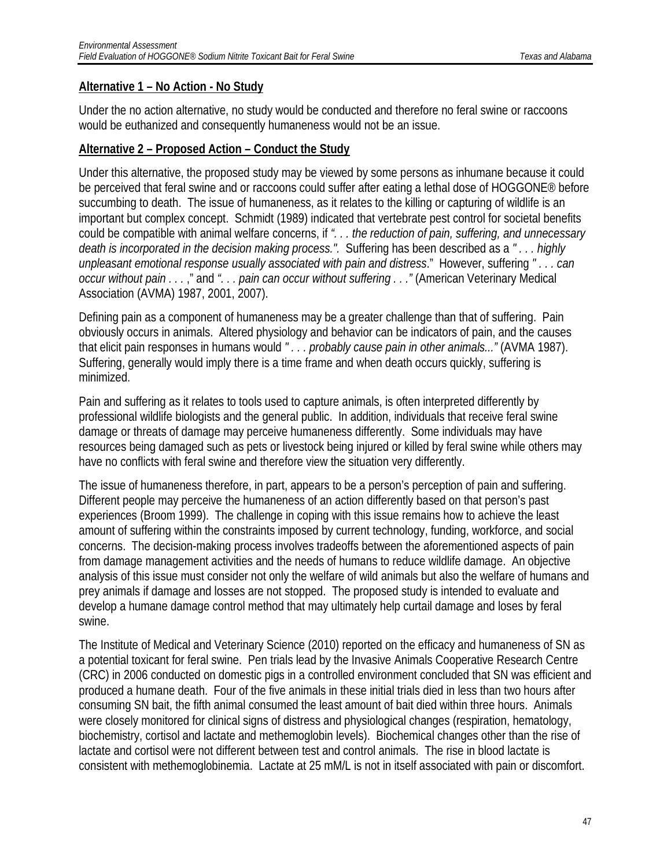#### **Alternative 1 – No Action - No Study**

Under the no action alternative, no study would be conducted and therefore no feral swine or raccoons would be euthanized and consequently humaneness would not be an issue.

#### **Alternative 2 – Proposed Action – Conduct the Study**

Under this alternative, the proposed study may be viewed by some persons as inhumane because it could be perceived that feral swine and or raccoons could suffer after eating a lethal dose of HOGGONE® before succumbing to death. The issue of humaneness, as it relates to the killing or capturing of wildlife is an important but complex concept. Schmidt (1989) indicated that vertebrate pest control for societal benefits could be compatible with animal welfare concerns, if *". . . the reduction of pain, suffering, and unnecessary death is incorporated in the decision making process.".* Suffering has been described as a *" . . . highly unpleasant emotional response usually associated with pain and distress*." However, suffering *" . . . can occur without pain . . .* ," and *". . . pain can occur without suffering . . ."* (American Veterinary Medical Association (AVMA) 1987, 2001, 2007).

Defining pain as a component of humaneness may be a greater challenge than that of suffering. Pain obviously occurs in animals. Altered physiology and behavior can be indicators of pain, and the causes that elicit pain responses in humans would *" . . . probably cause pain in other animals..."* (AVMA 1987). Suffering, generally would imply there is a time frame and when death occurs quickly, suffering is minimized.

Pain and suffering as it relates to tools used to capture animals, is often interpreted differently by professional wildlife biologists and the general public. In addition, individuals that receive feral swine damage or threats of damage may perceive humaneness differently. Some individuals may have resources being damaged such as pets or livestock being injured or killed by feral swine while others may have no conflicts with feral swine and therefore view the situation very differently.

The issue of humaneness therefore, in part, appears to be a person's perception of pain and suffering. Different people may perceive the humaneness of an action differently based on that person's past experiences (Broom 1999). The challenge in coping with this issue remains how to achieve the least amount of suffering within the constraints imposed by current technology, funding, workforce, and social concerns. The decision-making process involves tradeoffs between the aforementioned aspects of pain from damage management activities and the needs of humans to reduce wildlife damage. An objective analysis of this issue must consider not only the welfare of wild animals but also the welfare of humans and prey animals if damage and losses are not stopped. The proposed study is intended to evaluate and develop a humane damage control method that may ultimately help curtail damage and loses by feral swine.

The Institute of Medical and Veterinary Science (2010) reported on the efficacy and humaneness of SN as a potential toxicant for feral swine. Pen trials lead by the Invasive Animals Cooperative Research Centre (CRC) in 2006 conducted on domestic pigs in a controlled environment concluded that SN was efficient and produced a humane death. Four of the five animals in these initial trials died in less than two hours after consuming SN bait, the fifth animal consumed the least amount of bait died within three hours. Animals were closely monitored for clinical signs of distress and physiological changes (respiration, hematology, biochemistry, cortisol and lactate and methemoglobin levels). Biochemical changes other than the rise of lactate and cortisol were not different between test and control animals. The rise in blood lactate is consistent with methemoglobinemia. Lactate at 25 mM/L is not in itself associated with pain or discomfort.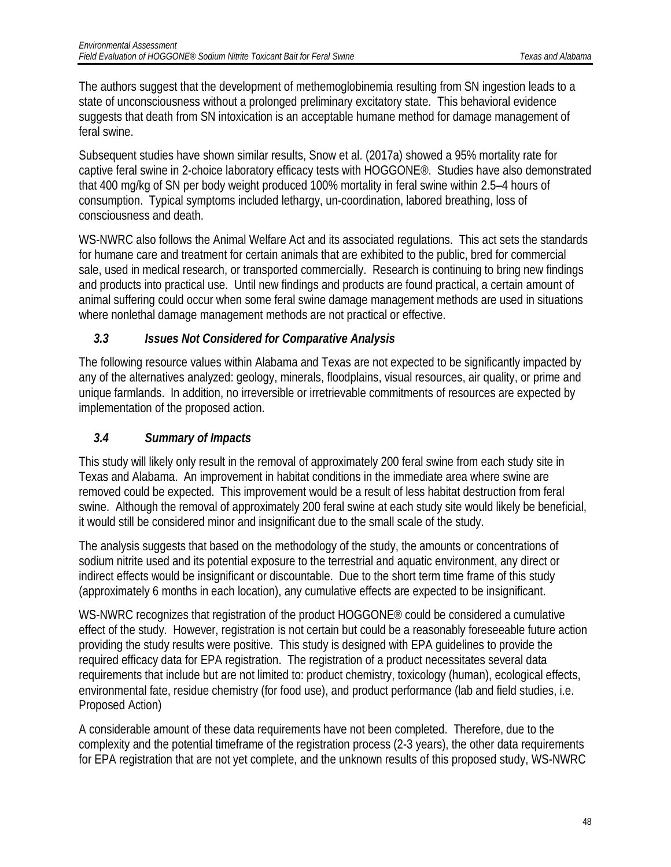The authors suggest that the development of methemoglobinemia resulting from SN ingestion leads to a state of unconsciousness without a prolonged preliminary excitatory state. This behavioral evidence suggests that death from SN intoxication is an acceptable humane method for damage management of feral swine.

Subsequent studies have shown similar results, Snow et al. (2017a) showed a 95% mortality rate for captive feral swine in 2-choice laboratory efficacy tests with HOGGONE®. Studies have also demonstrated that 400 mg/kg of SN per body weight produced 100% mortality in feral swine within 2.5–4 hours of consumption. Typical symptoms included lethargy, un-coordination, labored breathing, loss of consciousness and death.

WS-NWRC also follows the Animal Welfare Act and its associated regulations. This act sets the standards for humane care and treatment for certain animals that are exhibited to the public, bred for commercial sale, used in medical research, or transported commercially. Research is continuing to bring new findings and products into practical use. Until new findings and products are found practical, a certain amount of animal suffering could occur when some feral swine damage management methods are used in situations where nonlethal damage management methods are not practical or effective.

### <span id="page-48-0"></span>*3.3 Issues Not Considered for Comparative Analysis*

The following resource values within Alabama and Texas are not expected to be significantly impacted by any of the alternatives analyzed: geology, minerals, floodplains, visual resources, air quality, or prime and unique farmlands. In addition, no irreversible or irretrievable commitments of resources are expected by implementation of the proposed action.

### <span id="page-48-1"></span>*3.4 Summary of Impacts*

This study will likely only result in the removal of approximately 200 feral swine from each study site in Texas and Alabama. An improvement in habitat conditions in the immediate area where swine are removed could be expected. This improvement would be a result of less habitat destruction from feral swine. Although the removal of approximately 200 feral swine at each study site would likely be beneficial, it would still be considered minor and insignificant due to the small scale of the study.

The analysis suggests that based on the methodology of the study, the amounts or concentrations of sodium nitrite used and its potential exposure to the terrestrial and aquatic environment, any direct or indirect effects would be insignificant or discountable. Due to the short term time frame of this study (approximately 6 months in each location), any cumulative effects are expected to be insignificant.

WS-NWRC recognizes that registration of the product HOGGONE® could be considered a cumulative effect of the study. However, registration is not certain but could be a reasonably foreseeable future action providing the study results were positive. This study is designed with EPA guidelines to provide the required efficacy data for EPA registration. The registration of a product necessitates several data requirements that include but are not limited to: product chemistry, toxicology (human), ecological effects, environmental fate, residue chemistry (for food use), and product performance (lab and field studies, i.e. Proposed Action)

A considerable amount of these data requirements have not been completed. Therefore, due to the complexity and the potential timeframe of the registration process (2-3 years), the other data requirements for EPA registration that are not yet complete, and the unknown results of this proposed study, WS-NWRC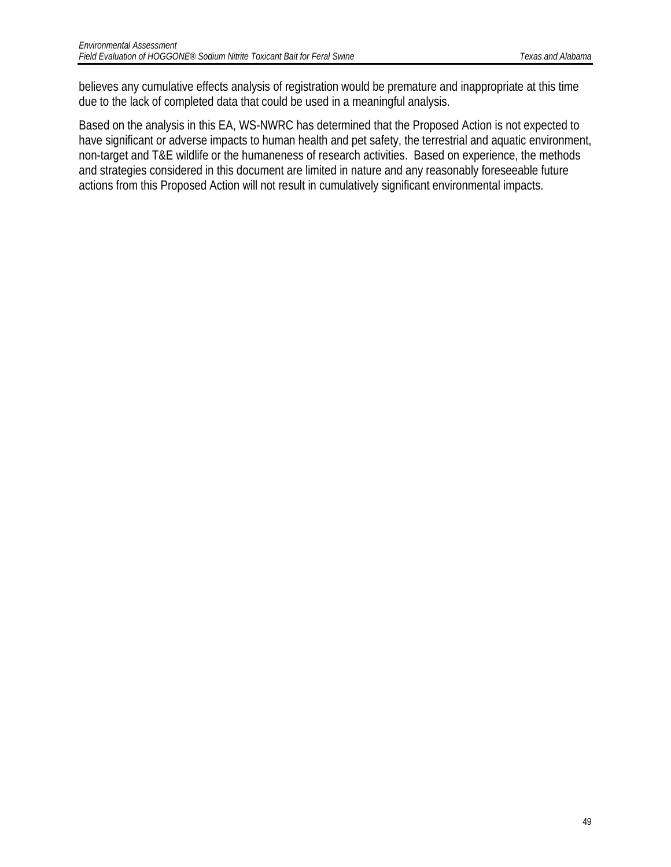believes any cumulative effects analysis of registration would be premature and inappropriate at this time due to the lack of completed data that could be used in a meaningful analysis.

Based on the analysis in this EA, WS-NWRC has determined that the Proposed Action is not expected to have significant or adverse impacts to human health and pet safety, the terrestrial and aquatic environment, non-target and T&E wildlife or the humaneness of research activities. Based on experience, the methods and strategies considered in this document are limited in nature and any reasonably foreseeable future actions from this Proposed Action will not result in cumulatively significant environmental impacts.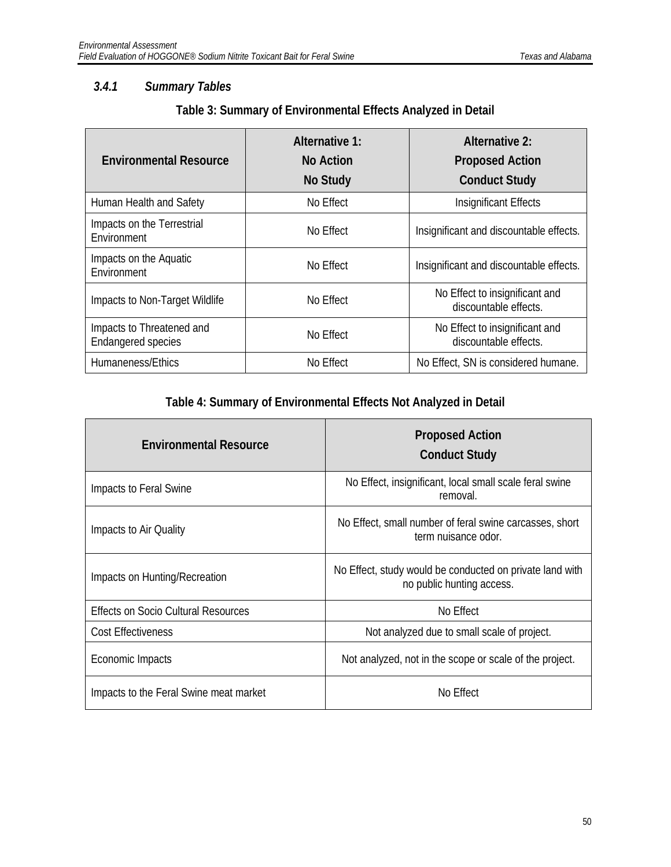#### <span id="page-50-0"></span>*3.4.1 Summary Tables*

| Table 3: Summary of Environmental Effects Analyzed in Detail |                |                |  |  |
|--------------------------------------------------------------|----------------|----------------|--|--|
|                                                              | Alternative 1: | Alternative 2: |  |  |

| <b>Environmental Resource</b>                          | Alternative 1:<br>No Action<br>No Study | Alternative 2:<br><b>Proposed Action</b><br><b>Conduct Study</b> |
|--------------------------------------------------------|-----------------------------------------|------------------------------------------------------------------|
| Human Health and Safety                                | No Effect                               | Insignificant Effects                                            |
| Impacts on the Terrestrial<br>Environment              | No Effect                               | Insignificant and discountable effects.                          |
| Impacts on the Aquatic<br>Environment                  | No Effect                               | Insignificant and discountable effects.                          |
| Impacts to Non-Target Wildlife                         | No Effect                               | No Effect to insignificant and<br>discountable effects.          |
| Impacts to Threatened and<br><b>Endangered species</b> | No Effect                               | No Effect to insignificant and<br>discountable effects.          |
| Humaneness/Ethics                                      | No Effect                               | No Effect, SN is considered humane.                              |

### **Table 4: Summary of Environmental Effects Not Analyzed in Detail**

| <b>Environmental Resource</b>              | <b>Proposed Action</b><br><b>Conduct Study</b>                                        |
|--------------------------------------------|---------------------------------------------------------------------------------------|
| Impacts to Feral Swine                     | No Effect, insignificant, local small scale feral swine<br>removal.                   |
| Impacts to Air Quality                     | No Effect, small number of feral swine carcasses, short<br>term nuisance odor.        |
| Impacts on Hunting/Recreation              | No Effect, study would be conducted on private land with<br>no public hunting access. |
| <b>Effects on Socio Cultural Resources</b> | No Effect                                                                             |
| <b>Cost Effectiveness</b>                  | Not analyzed due to small scale of project.                                           |
| Economic Impacts                           | Not analyzed, not in the scope or scale of the project.                               |
| Impacts to the Feral Swine meat market     | No Effect                                                                             |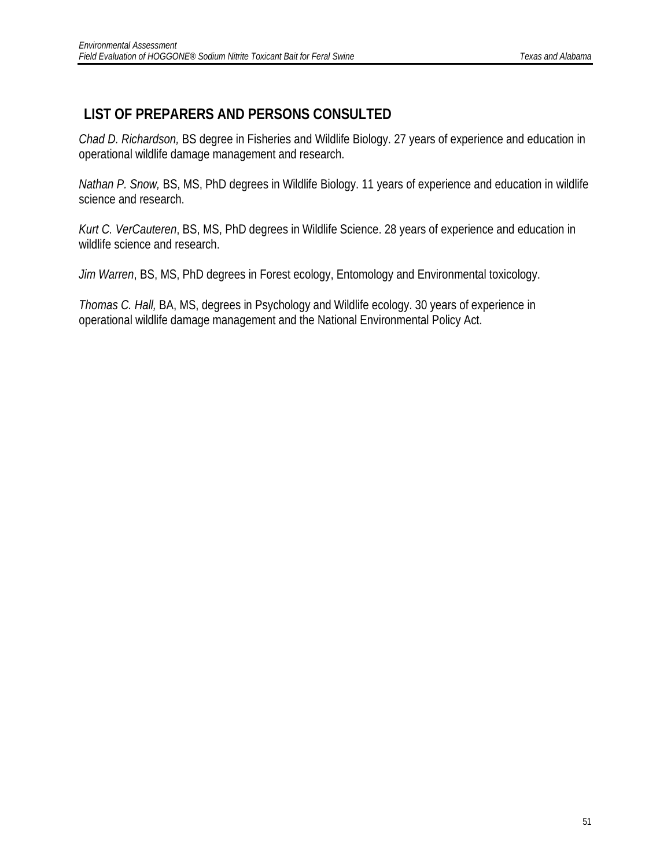# <span id="page-51-0"></span>**LIST OF PREPARERS AND PERSONS CONSULTED**

*Chad D. Richardson,* BS degree in Fisheries and Wildlife Biology. 27 years of experience and education in operational wildlife damage management and research.

*Nathan P. Snow,* BS, MS, PhD degrees in Wildlife Biology. 11 years of experience and education in wildlife science and research.

*Kurt C. VerCauteren*, BS, MS, PhD degrees in Wildlife Science. 28 years of experience and education in wildlife science and research.

*Jim Warren*, BS, MS, PhD degrees in Forest ecology, Entomology and Environmental toxicology.

*Thomas C. Hall,* BA, MS, degrees in Psychology and Wildlife ecology. 30 years of experience in operational wildlife damage management and the National Environmental Policy Act.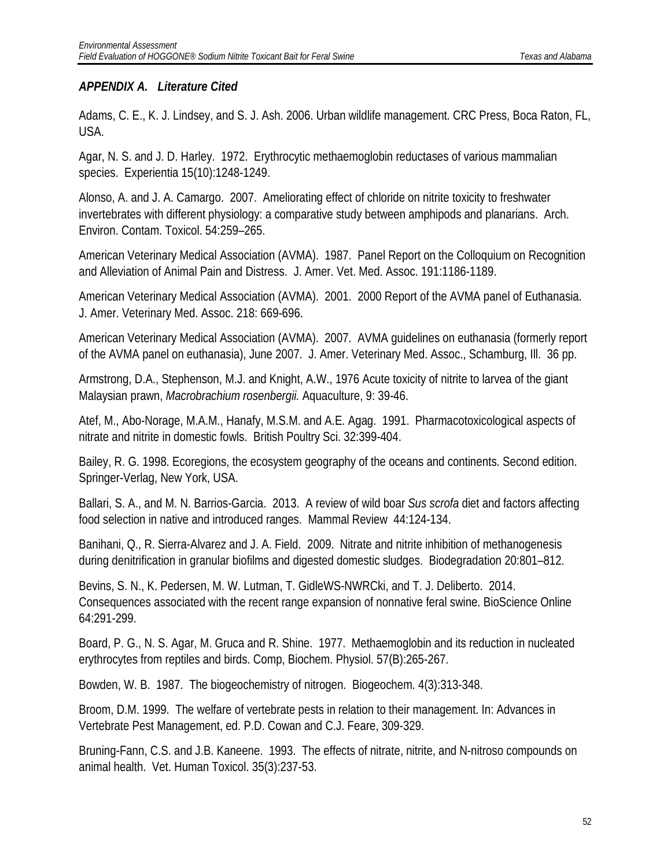#### *APPENDIX A. Literature Cited*

Adams, C. E., K. J. Lindsey, and S. J. Ash. 2006. Urban wildlife management. CRC Press, Boca Raton, FL, USA.

Agar, N. S. and J. D. Harley. 1972. Erythrocytic methaemoglobin reductases of various mammalian species. Experientia 15(10):1248-1249.

Alonso, A. and J. A. Camargo. 2007. Ameliorating effect of chloride on nitrite toxicity to freshwater invertebrates with different physiology: a comparative study between amphipods and planarians. Arch. Environ. Contam. Toxicol. 54:259–265.

American Veterinary Medical Association (AVMA). 1987. Panel Report on the Colloquium on Recognition and Alleviation of Animal Pain and Distress. J. Amer. Vet. Med. Assoc. 191:1186-1189.

American Veterinary Medical Association (AVMA). 2001. 2000 Report of the AVMA panel of Euthanasia. J. Amer. Veterinary Med. Assoc. 218: 669-696.

American Veterinary Medical Association (AVMA). 2007. AVMA guidelines on euthanasia (formerly report of the AVMA panel on euthanasia), June 2007. J. Amer. Veterinary Med. Assoc., Schamburg, Ill. 36 pp.

Armstrong, D.A., Stephenson, M.J. and Knight, A.W., 1976 Acute toxicity of nitrite to larvea of the giant Malaysian prawn, *Macrobrachium rosenbergii.* Aquaculture, 9: 39-46.

Atef, M., Abo-Norage, M.A.M., Hanafy, M.S.M. and A.E. Agag. 1991. Pharmacotoxicological aspects of nitrate and nitrite in domestic fowls. British Poultry Sci. 32:399-404.

Bailey, R. G. 1998. Ecoregions, the ecosystem geography of the oceans and continents. Second edition. Springer-Verlag, New York, USA.

Ballari, S. A., and M. N. Barrios-Garcia. 2013. A review of wild boar *Sus scrofa* diet and factors affecting food selection in native and introduced ranges. Mammal Review 44:124-134.

Banihani, Q., R. Sierra-Alvarez and J. A. Field. 2009. Nitrate and nitrite inhibition of methanogenesis during denitrification in granular biofilms and digested domestic sludges. Biodegradation 20:801–812.

Bevins, S. N., K. Pedersen, M. W. Lutman, T. GidleWS-NWRCki, and T. J. Deliberto. 2014. Consequences associated with the recent range expansion of nonnative feral swine. BioScience Online 64:291-299.

Board, P. G., N. S. Agar, M. Gruca and R. Shine. 1977. Methaemoglobin and its reduction in nucleated erythrocytes from reptiles and birds. Comp, Biochem. Physiol. 57(B):265-267.

Bowden, W. B. 1987. The biogeochemistry of nitrogen. Biogeochem. 4(3):313-348.

Broom, D.M. 1999. The welfare of vertebrate pests in relation to their management. In: Advances in Vertebrate Pest Management, ed. P.D. Cowan and C.J. Feare, 309-329.

Bruning-Fann, C.S. and J.B. Kaneene. 1993. The effects of nitrate, nitrite, and N-nitroso compounds on animal health. Vet. Human Toxicol. 35(3):237-53.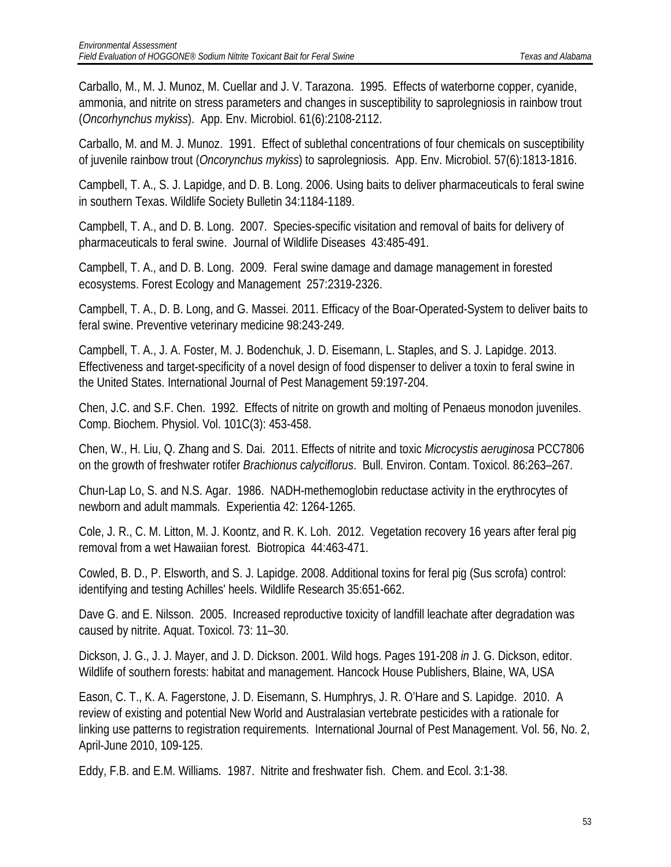Carballo, M., M. J. Munoz, M. Cuellar and J. V. Tarazona. 1995. Effects of waterborne copper, cyanide, ammonia, and nitrite on stress parameters and changes in susceptibility to saprolegniosis in rainbow trout (*Oncorhynchus mykiss*). App. Env. Microbiol. 61(6):2108-2112.

Carballo, M. and M. J. Munoz. 1991. Effect of sublethal concentrations of four chemicals on susceptibility of juvenile rainbow trout (*Oncorynchus mykiss*) to saprolegniosis. App. Env. Microbiol. 57(6):1813-1816.

Campbell, T. A., S. J. Lapidge, and D. B. Long. 2006. Using baits to deliver pharmaceuticals to feral swine in southern Texas. Wildlife Society Bulletin 34:1184-1189.

Campbell, T. A., and D. B. Long. 2007. Species-specific visitation and removal of baits for delivery of pharmaceuticals to feral swine. Journal of Wildlife Diseases 43:485-491.

Campbell, T. A., and D. B. Long. 2009. Feral swine damage and damage management in forested ecosystems. Forest Ecology and Management 257:2319-2326.

Campbell, T. A., D. B. Long, and G. Massei. 2011. Efficacy of the Boar-Operated-System to deliver baits to feral swine. Preventive veterinary medicine 98:243-249.

Campbell, T. A., J. A. Foster, M. J. Bodenchuk, J. D. Eisemann, L. Staples, and S. J. Lapidge. 2013. Effectiveness and target-specificity of a novel design of food dispenser to deliver a toxin to feral swine in the United States. International Journal of Pest Management 59:197-204.

Chen, J.C. and S.F. Chen. 1992. Effects of nitrite on growth and molting of Penaeus monodon juveniles. Comp. Biochem. Physiol. Vol. 101C(3): 453-458.

Chen, W., H. Liu, Q. Zhang and S. Dai. 2011. Effects of nitrite and toxic *Microcystis aeruginosa* PCC7806 on the growth of freshwater rotifer *Brachionus calyciflorus*. Bull. Environ. Contam. Toxicol. 86:263–267.

Chun-Lap Lo, S. and N.S. Agar. 1986. NADH-methemoglobin reductase activity in the erythrocytes of newborn and adult mammals. Experientia 42: 1264-1265.

Cole, J. R., C. M. Litton, M. J. Koontz, and R. K. Loh. 2012. Vegetation recovery 16 years after feral pig removal from a wet Hawaiian forest. Biotropica 44:463-471.

Cowled, B. D., P. Elsworth, and S. J. Lapidge. 2008. Additional toxins for feral pig (Sus scrofa) control: identifying and testing Achilles' heels. Wildlife Research 35:651-662.

Dave G. and E. Nilsson. 2005. Increased reproductive toxicity of landfill leachate after degradation was caused by nitrite. Aquat. Toxicol. 73: 11–30.

Dickson, J. G., J. J. Mayer, and J. D. Dickson. 2001. Wild hogs. Pages 191-208 *in* J. G. Dickson, editor. Wildlife of southern forests: habitat and management. Hancock House Publishers, Blaine, WA, USA

Eason, C. T., K. A. Fagerstone, J. D. Eisemann, S. Humphrys, J. R. O'Hare and S. Lapidge. 2010. A review of existing and potential New World and Australasian vertebrate pesticides with a rationale for linking use patterns to registration requirements. International Journal of Pest Management. Vol. 56, No. 2, April-June 2010, 109-125.

Eddy, F.B. and E.M. Williams. 1987. Nitrite and freshwater fish. Chem. and Ecol. 3:1-38.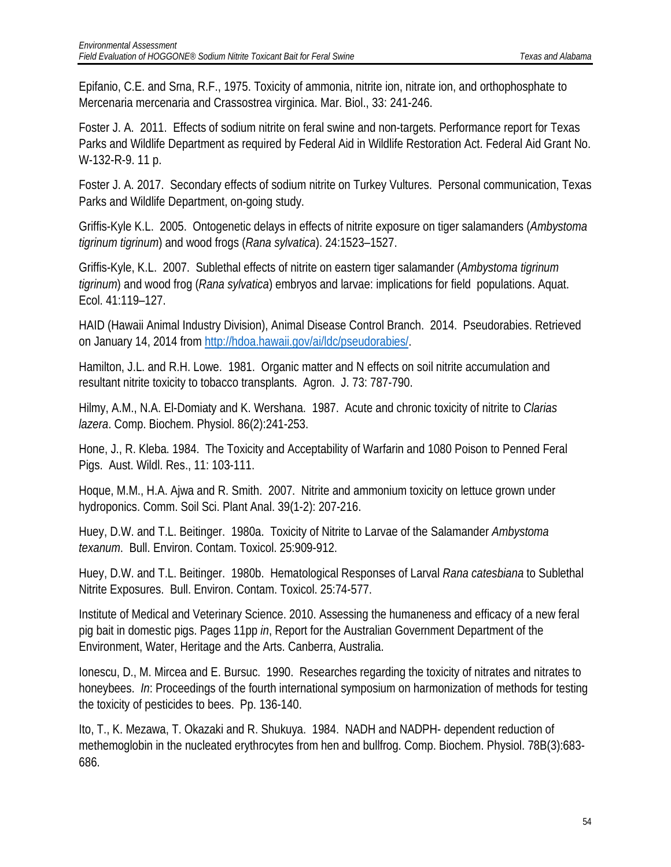Epifanio, C.E. and Srna, R.F., 1975. Toxicity of ammonia, nitrite ion, nitrate ion, and orthophosphate to Mercenaria mercenaria and Crassostrea virginica. Mar. Biol., 33: 241-246.

Foster J. A. 2011. Effects of sodium nitrite on feral swine and non-targets. Performance report for Texas Parks and Wildlife Department as required by Federal Aid in Wildlife Restoration Act. Federal Aid Grant No. W-132-R-9. 11 p.

Foster J. A. 2017. Secondary effects of sodium nitrite on Turkey Vultures. Personal communication, Texas Parks and Wildlife Department, on-going study.

Griffis-Kyle K.L. 2005. Ontogenetic delays in effects of nitrite exposure on tiger salamanders (*Ambystoma tigrinum tigrinum*) and wood frogs (*Rana sylvatica*). 24:1523–1527.

Griffis-Kyle, K.L. 2007. Sublethal effects of nitrite on eastern tiger salamander (*Ambystoma tigrinum tigrinum*) and wood frog (*Rana sylvatica*) embryos and larvae: implications for field populations. Aquat. Ecol. 41:119–127.

HAID (Hawaii Animal Industry Division), Animal Disease Control Branch. 2014. Pseudorabies. Retrieved on January 14, 2014 from [http://hdoa.hawaii.gov/ai/ldc/pseudorabies/.](http://hdoa.hawaii.gov/ai/ldc/pseudorabies/)

Hamilton, J.L. and R.H. Lowe. 1981. Organic matter and N effects on soil nitrite accumulation and resultant nitrite toxicity to tobacco transplants. Agron. J. 73: 787-790.

Hilmy, A.M., N.A. El-Domiaty and K. Wershana. 1987. Acute and chronic toxicity of nitrite to *Clarias lazera*. Comp. Biochem. Physiol. 86(2):241-253.

Hone, J., R. Kleba. 1984. The Toxicity and Acceptability of Warfarin and 1080 Poison to Penned Feral Pigs. Aust. Wildl. Res., 11: 103-111.

Hoque, M.M., H.A. Ajwa and R. Smith. 2007. Nitrite and ammonium toxicity on lettuce grown under hydroponics. Comm. Soil Sci. Plant Anal. 39(1-2): 207-216.

Huey, D.W. and T.L. Beitinger. 1980a. Toxicity of Nitrite to Larvae of the Salamander *Ambystoma texanum*. Bull. Environ. Contam. Toxicol. 25:909-912.

Huey, D.W. and T.L. Beitinger. 1980b. Hematological Responses of Larval *Rana catesbiana* to Sublethal Nitrite Exposures. Bull. Environ. Contam. Toxicol. 25:74-577.

Institute of Medical and Veterinary Science. 2010. Assessing the humaneness and efficacy of a new feral pig bait in domestic pigs. Pages 11pp *in*, Report for the Australian Government Department of the Environment, Water, Heritage and the Arts. Canberra, Australia.

Ionescu, D., M. Mircea and E. Bursuc. 1990. Researches regarding the toxicity of nitrates and nitrates to honeybees. *In*: Proceedings of the fourth international symposium on harmonization of methods for testing the toxicity of pesticides to bees. Pp. 136-140.

Ito, T., K. Mezawa, T. Okazaki and R. Shukuya. 1984. NADH and NADPH- dependent reduction of methemoglobin in the nucleated erythrocytes from hen and bullfrog. Comp. Biochem. Physiol. 78B(3):683- 686.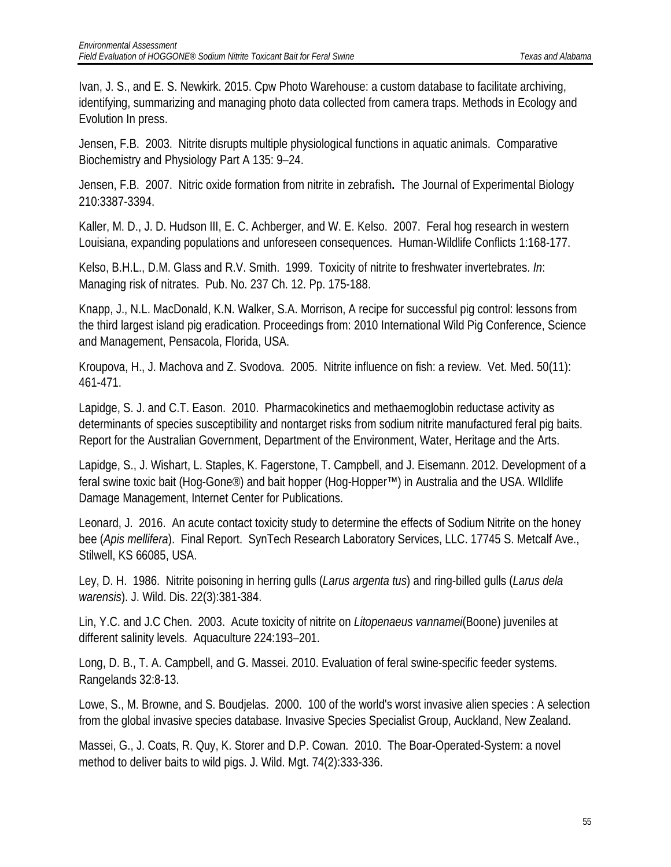Ivan, J. S., and E. S. Newkirk. 2015. Cpw Photo Warehouse: a custom database to facilitate archiving, identifying, summarizing and managing photo data collected from camera traps. Methods in Ecology and Evolution In press.

Jensen, F.B. 2003. Nitrite disrupts multiple physiological functions in aquatic animals. Comparative Biochemistry and Physiology Part A 135: 9–24.

Jensen, F.B. 2007. Nitric oxide formation from nitrite in zebrafish**.** The Journal of Experimental Biology 210:3387-3394.

Kaller, M. D., J. D. Hudson III, E. C. Achberger, and W. E. Kelso. 2007. Feral hog research in western Louisiana, expanding populations and unforeseen consequences. Human-Wildlife Conflicts 1:168-177.

Kelso, B.H.L., D.M. Glass and R.V. Smith. 1999. Toxicity of nitrite to freshwater invertebrates. *In*: Managing risk of nitrates. Pub. No. 237 Ch. 12. Pp. 175-188.

Knapp, J., N.L. MacDonald, K.N. Walker, S.A. Morrison, A recipe for successful pig control: lessons from the third largest island pig eradication. Proceedings from: 2010 International Wild Pig Conference, Science and Management, Pensacola, Florida, USA.

Kroupova, H., J. Machova and Z. Svodova. 2005. Nitrite influence on fish: a review. Vet. Med. 50(11): 461-471.

Lapidge, S. J. and C.T. Eason. 2010. Pharmacokinetics and methaemoglobin reductase activity as determinants of species susceptibility and nontarget risks from sodium nitrite manufactured feral pig baits. Report for the Australian Government, Department of the Environment, Water, Heritage and the Arts.

Lapidge, S., J. Wishart, L. Staples, K. Fagerstone, T. Campbell, and J. Eisemann. 2012. Development of a feral swine toxic bait (Hog-Gone®) and bait hopper (Hog-Hopper™) in Australia and the USA. WIldlife Damage Management, Internet Center for Publications.

Leonard, J. 2016. An acute contact toxicity study to determine the effects of Sodium Nitrite on the honey bee (*Apis mellifera*). Final Report. SynTech Research Laboratory Services, LLC. 17745 S. Metcalf Ave., Stilwell, KS 66085, USA.

Ley, D. H. 1986. Nitrite poisoning in herring gulls (*Larus argenta tus*) and ring-billed gulls (*Larus dela warensis*). J. Wild. Dis. 22(3):381-384.

Lin, Y.C. and J.C Chen. 2003. Acute toxicity of nitrite on *Litopenaeus vannamei*(Boone) juveniles at different salinity levels. Aquaculture 224:193–201.

Long, D. B., T. A. Campbell, and G. Massei. 2010. Evaluation of feral swine-specific feeder systems. Rangelands 32:8-13.

Lowe, S., M. Browne, and S. Boudjelas. 2000. 100 of the world's worst invasive alien species : A selection from the global invasive species database. Invasive Species Specialist Group, Auckland, New Zealand.

Massei, G., J. Coats, R. Quy, K. Storer and D.P. Cowan. 2010. The Boar-Operated-System: a novel method to deliver baits to wild pigs. J. Wild. Mgt. 74(2):333-336.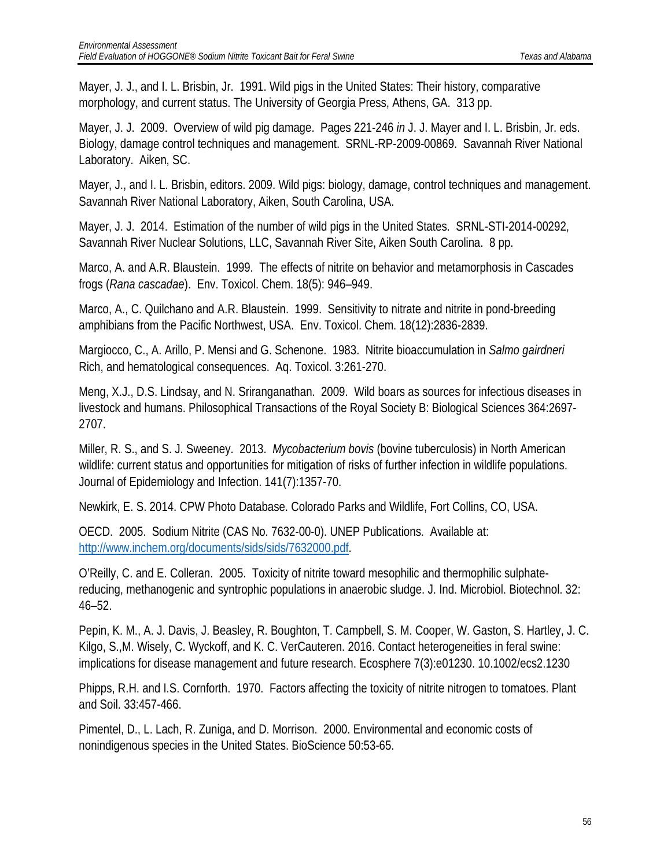Mayer, J. J., and I. L. Brisbin, Jr. 1991. Wild pigs in the United States: Their history, comparative morphology, and current status. The University of Georgia Press, Athens, GA. 313 pp.

Mayer, J. J. 2009. Overview of wild pig damage. Pages 221-246 *in* J. J. Mayer and I. L. Brisbin, Jr. eds. Biology, damage control techniques and management. SRNL-RP-2009-00869. Savannah River National Laboratory. Aiken, SC.

Mayer, J., and I. L. Brisbin, editors. 2009. Wild pigs: biology, damage, control techniques and management. Savannah River National Laboratory, Aiken, South Carolina, USA.

Mayer, J. J. 2014. Estimation of the number of wild pigs in the United States. SRNL-STI-2014-00292, Savannah River Nuclear Solutions, LLC, Savannah River Site, Aiken South Carolina. 8 pp.

Marco, A. and A.R. Blaustein. 1999. The effects of nitrite on behavior and metamorphosis in Cascades frogs (*Rana cascadae*). Env. Toxicol. Chem. 18(5): 946–949.

Marco, A., C. Quilchano and A.R. Blaustein. 1999. Sensitivity to nitrate and nitrite in pond-breeding amphibians from the Pacific Northwest, USA. Env. Toxicol. Chem. 18(12):2836-2839.

Margiocco, C., A. Arillo, P. Mensi and G. Schenone. 1983. Nitrite bioaccumulation in *Salmo gairdneri*  Rich, and hematological consequences. Aq. Toxicol. 3:261-270.

Meng, X.J., D.S. Lindsay, and N. Sriranganathan. 2009. Wild boars as sources for infectious diseases in livestock and humans. Philosophical Transactions of the Royal Society B: Biological Sciences 364:2697- 2707.

Miller, R. S., and S. J. Sweeney. 2013. *Mycobacterium bovis* (bovine tuberculosis) in North American wildlife: current status and opportunities for mitigation of risks of further infection in wildlife populations. Journal of Epidemiology and Infection. 141(7):1357-70.

Newkirk, E. S. 2014. CPW Photo Database. Colorado Parks and Wildlife, Fort Collins, CO, USA.

OECD. 2005. Sodium Nitrite (CAS No. 7632-00-0). UNEP Publications. Available at: [http://www.inchem.org/documents/sids/sids/7632000.pdf.](http://www.inchem.org/documents/sids/sids/7632000.pdf)

O'Reilly, C. and E. Colleran. 2005. Toxicity of nitrite toward mesophilic and thermophilic sulphatereducing, methanogenic and syntrophic populations in anaerobic sludge. J. Ind. Microbiol. Biotechnol. 32: 46–52.

Pepin, K. M., A. J. Davis, J. Beasley, R. Boughton, T. Campbell, S. M. Cooper, W. Gaston, S. Hartley, J. C. Kilgo, S.,M. Wisely, C. Wyckoff, and K. C. VerCauteren. 2016. Contact heterogeneities in feral swine: implications for disease management and future research. Ecosphere 7(3):e01230. 10.1002/ecs2.1230

Phipps, R.H. and I.S. Cornforth. 1970. Factors affecting the toxicity of nitrite nitrogen to tomatoes. Plant and Soil. 33:457-466.

Pimentel, D., L. Lach, R. Zuniga, and D. Morrison. 2000. Environmental and economic costs of nonindigenous species in the United States. BioScience 50:53-65.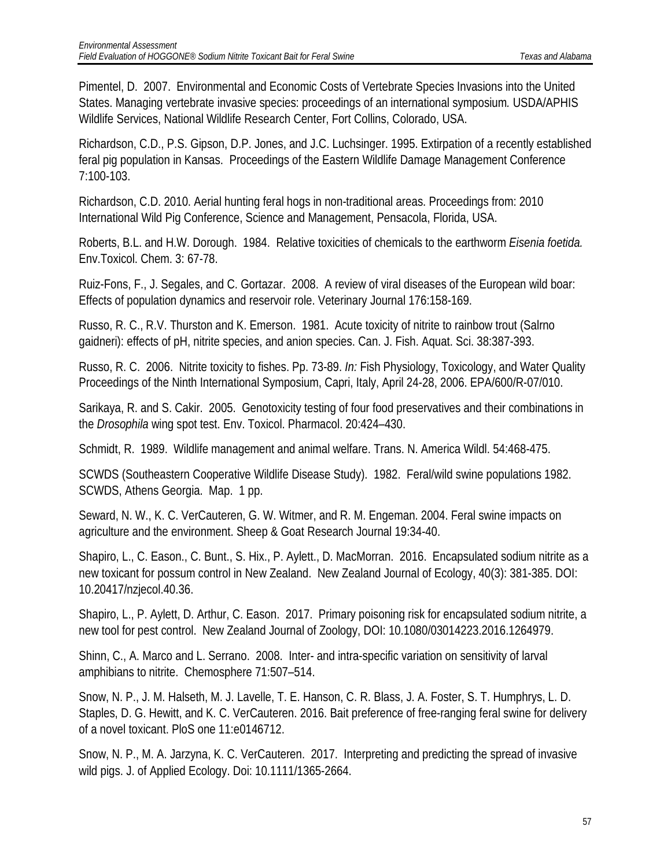Pimentel, D. 2007. Environmental and Economic Costs of Vertebrate Species Invasions into the United States. Managing vertebrate invasive species: proceedings of an international symposium*.* USDA/APHIS Wildlife Services, National Wildlife Research Center, Fort Collins, Colorado, USA.

Richardson, C.D., P.S. Gipson, D.P. Jones, and J.C. Luchsinger. 1995. Extirpation of a recently established feral pig population in Kansas. Proceedings of the Eastern Wildlife Damage Management Conference 7:100-103.

Richardson, C.D. 2010. Aerial hunting feral hogs in non-traditional areas. Proceedings from: 2010 International Wild Pig Conference, Science and Management, Pensacola, Florida, USA.

Roberts, B.L. and H.W. Dorough. 1984. Relative toxicities of chemicals to the earthworm *Eisenia foetida.* Env.Toxicol. Chem. 3: 67-78.

Ruiz-Fons, F., J. Segales, and C. Gortazar. 2008. A review of viral diseases of the European wild boar: Effects of population dynamics and reservoir role. Veterinary Journal 176:158-169.

Russo, R. C., R.V. Thurston and K. Emerson. 1981. Acute toxicity of nitrite to rainbow trout (Salrno gaidneri): effects of pH, nitrite species, and anion species. Can. J. Fish. Aquat. Sci. 38:387-393.

Russo, R. C. 2006. Nitrite toxicity to fishes. Pp. 73-89. *In:* Fish Physiology, Toxicology, and Water Quality Proceedings of the Ninth International Symposium, Capri, Italy, April 24-28, 2006. EPA/600/R-07/010.

Sarikaya, R. and S. Cakir. 2005. Genotoxicity testing of four food preservatives and their combinations in the *Drosophila* wing spot test. Env. Toxicol. Pharmacol. 20:424–430.

Schmidt, R. 1989. Wildlife management and animal welfare. Trans. N. America Wildl. 54:468-475.

SCWDS (Southeastern Cooperative Wildlife Disease Study). 1982. Feral/wild swine populations 1982. SCWDS, Athens Georgia. Map. 1 pp.

Seward, N. W., K. C. VerCauteren, G. W. Witmer, and R. M. Engeman. 2004. Feral swine impacts on agriculture and the environment. Sheep & Goat Research Journal 19:34-40.

Shapiro, L., C. Eason., C. Bunt., S. Hix., P. Aylett., D. MacMorran. 2016. Encapsulated sodium nitrite as a new toxicant for possum control in New Zealand. New Zealand Journal of Ecology, 40(3): 381-385. DOI: 10.20417/nzjecol.40.36.

Shapiro, L., P. Aylett, D. Arthur, C. Eason. 2017. Primary poisoning risk for encapsulated sodium nitrite, a new tool for pest control. New Zealand Journal of Zoology, DOI: 10.1080/03014223.2016.1264979.

Shinn, C., A. Marco and L. Serrano. 2008. Inter- and intra-specific variation on sensitivity of larval amphibians to nitrite. Chemosphere 71:507–514.

Snow, N. P., J. M. Halseth, M. J. Lavelle, T. E. Hanson, C. R. Blass, J. A. Foster, S. T. Humphrys, L. D. Staples, D. G. Hewitt, and K. C. VerCauteren. 2016. Bait preference of free-ranging feral swine for delivery of a novel toxicant. PloS one 11:e0146712.

Snow, N. P., M. A. Jarzyna, K. C. VerCauteren. 2017. Interpreting and predicting the spread of invasive wild pigs. J. of Applied Ecology. Doi: 10.1111/1365-2664.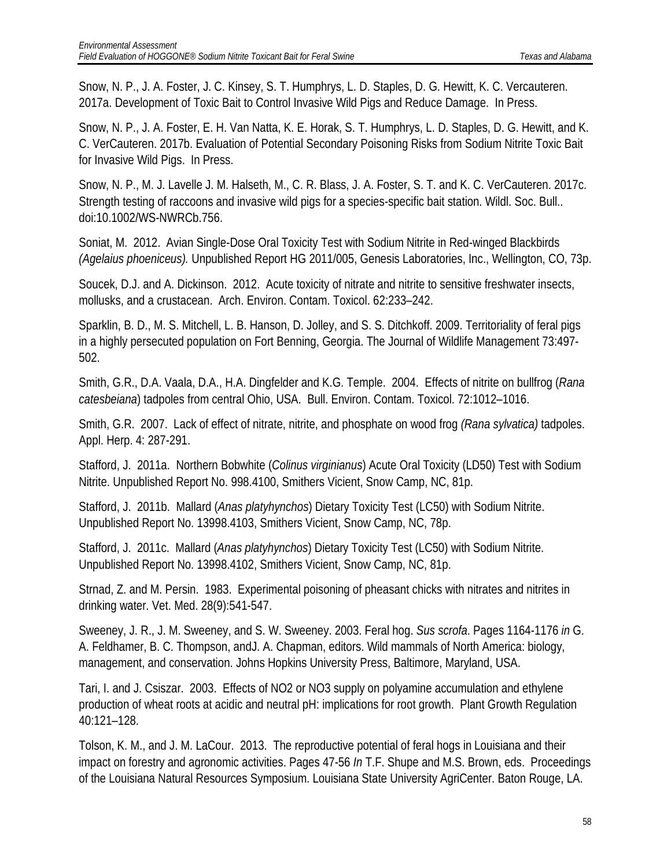Snow, N. P., J. A. Foster, J. C. Kinsey, S. T. Humphrys, L. D. Staples, D. G. Hewitt, K. C. Vercauteren. 2017a. Development of Toxic Bait to Control Invasive Wild Pigs and Reduce Damage. In Press.

Snow, N. P., J. A. Foster, E. H. Van Natta, K. E. Horak, S. T. Humphrys, L. D. Staples, D. G. Hewitt, and K. C. VerCauteren. 2017b. Evaluation of Potential Secondary Poisoning Risks from Sodium Nitrite Toxic Bait for Invasive Wild Pigs. In Press.

Snow, N. P., M. J. Lavelle J. M. Halseth, M., C. R. Blass, J. A. Foster, S. T. and K. C. VerCauteren. 2017c. Strength testing of raccoons and invasive wild pigs for a species-specific bait station. Wildl. Soc. Bull.. doi:10.1002/WS-NWRCb.756.

Soniat, M. 2012. Avian Single-Dose Oral Toxicity Test with Sodium Nitrite in Red-winged Blackbirds *(Agelaius phoeniceus).* Unpublished Report HG 2011/005, Genesis Laboratories, Inc., Wellington, CO, 73p.

Soucek, D.J. and A. Dickinson. 2012. Acute toxicity of nitrate and nitrite to sensitive freshwater insects, mollusks, and a crustacean. Arch. Environ. Contam. Toxicol. 62:233–242.

Sparklin, B. D., M. S. Mitchell, L. B. Hanson, D. Jolley, and S. S. Ditchkoff. 2009. Territoriality of feral pigs in a highly persecuted population on Fort Benning, Georgia. The Journal of Wildlife Management 73:497- 502.

Smith, G.R., D.A. Vaala, D.A., H.A. Dingfelder and K.G. Temple. 2004. Effects of nitrite on bullfrog (*Rana catesbeiana*) tadpoles from central Ohio, USA. Bull. Environ. Contam. Toxicol. 72:1012–1016.

Smith, G.R. 2007. Lack of effect of nitrate, nitrite, and phosphate on wood frog *(Rana sylvatica)* tadpoles. Appl. Herp. 4: 287-291.

Stafford, J. 2011a. Northern Bobwhite (*Colinus virginianus*) Acute Oral Toxicity (LD50) Test with Sodium Nitrite. Unpublished Report No. 998.4100, Smithers Vicient, Snow Camp, NC, 81p.

Stafford, J. 2011b. Mallard (*Anas platyhynchos*) Dietary Toxicity Test (LC50) with Sodium Nitrite. Unpublished Report No. 13998.4103, Smithers Vicient, Snow Camp, NC, 78p.

Stafford, J. 2011c. Mallard (*Anas platyhynchos*) Dietary Toxicity Test (LC50) with Sodium Nitrite. Unpublished Report No. 13998.4102, Smithers Vicient, Snow Camp, NC, 81p.

Strnad, Z. and M. Persin. 1983. Experimental poisoning of pheasant chicks with nitrates and nitrites in drinking water. Vet. Med. 28(9):541-547.

Sweeney, J. R., J. M. Sweeney, and S. W. Sweeney. 2003. Feral hog. *Sus scrofa*. Pages 1164-1176 *in* G. A. Feldhamer, B. C. Thompson, andJ. A. Chapman, editors. Wild mammals of North America: biology, management, and conservation. Johns Hopkins University Press, Baltimore, Maryland, USA.

Tari, I. and J. Csiszar. 2003. Effects of NO2 or NO3 supply on polyamine accumulation and ethylene production of wheat roots at acidic and neutral pH: implications for root growth. Plant Growth Regulation 40:121–128.

Tolson, K. M., and J. M. LaCour. 2013. The reproductive potential of feral hogs in Louisiana and their impact on forestry and agronomic activities. Pages 47-56 *In* T.F. Shupe and M.S. Brown, eds. Proceedings of the Louisiana Natural Resources Symposium. Louisiana State University AgriCenter. Baton Rouge, LA.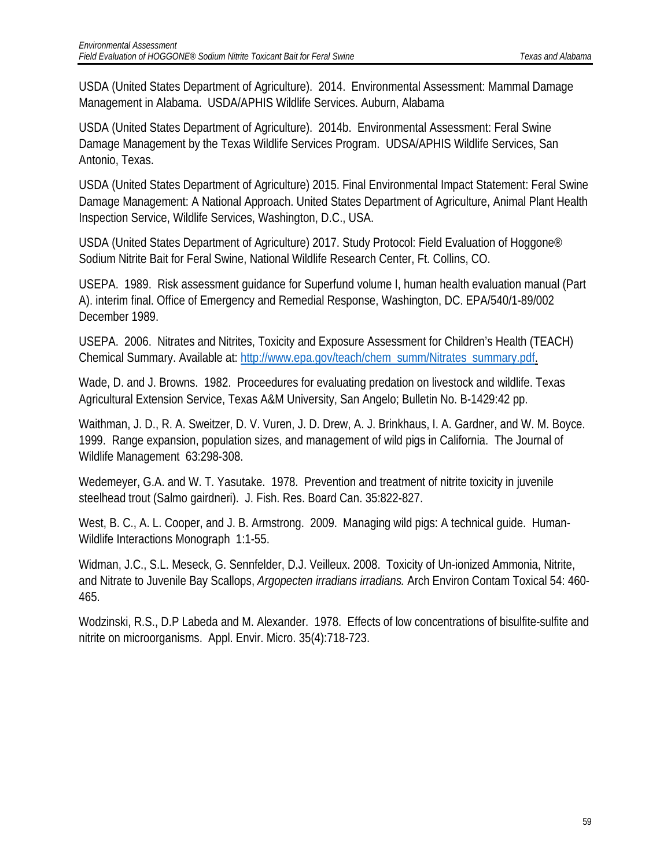USDA (United States Department of Agriculture). 2014. Environmental Assessment: Mammal Damage Management in Alabama. USDA/APHIS Wildlife Services. Auburn, Alabama

USDA (United States Department of Agriculture). 2014b. Environmental Assessment: Feral Swine Damage Management by the Texas Wildlife Services Program. UDSA/APHIS Wildlife Services, San Antonio, Texas.

USDA (United States Department of Agriculture) 2015. Final Environmental Impact Statement: Feral Swine Damage Management: A National Approach. United States Department of Agriculture, Animal Plant Health Inspection Service, Wildlife Services, Washington, D.C., USA.

USDA (United States Department of Agriculture) 2017. Study Protocol: Field Evaluation of Hoggone® Sodium Nitrite Bait for Feral Swine, National Wildlife Research Center, Ft. Collins, CO.

USEPA. 1989. Risk assessment guidance for Superfund volume I, human health evaluation manual (Part A). interim final. Office of Emergency and Remedial Response, Washington, DC. EPA/540/1-89/002 December 1989.

USEPA. 2006. Nitrates and Nitrites, Toxicity and Exposure Assessment for Children's Health (TEACH) Chemical Summary. Available at: [http://www.epa.gov/teach/chem\\_summ/Nitrates\\_summary.pdf.](http://www.epa.gov/teach/chem_summ/Nitrates_summary.pdf)

Wade, D. and J. Browns. 1982. Proceedures for evaluating predation on livestock and wildlife. Texas Agricultural Extension Service, Texas A&M University, San Angelo; Bulletin No. B-1429:42 pp.

Waithman, J. D., R. A. Sweitzer, D. V. Vuren, J. D. Drew, A. J. Brinkhaus, I. A. Gardner, and W. M. Boyce. 1999. Range expansion, population sizes, and management of wild pigs in California. The Journal of Wildlife Management 63:298-308.

Wedemeyer, G.A. and W. T. Yasutake. 1978. Prevention and treatment of nitrite toxicity in juvenile steelhead trout (Salmo gairdneri). J. Fish. Res. Board Can. 35:822-827.

West, B. C., A. L. Cooper, and J. B. Armstrong. 2009. Managing wild pigs: A technical guide. Human-Wildlife Interactions Monograph 1:1-55.

Widman, J.C., S.L. Meseck, G. Sennfelder, D.J. Veilleux. 2008. Toxicity of Un-ionized Ammonia, Nitrite, and Nitrate to Juvenile Bay Scallops, *Argopecten irradians irradians.* Arch Environ Contam Toxical 54: 460- 465.

Wodzinski, R.S., D.P Labeda and M. Alexander. 1978. Effects of low concentrations of bisulfite-sulfite and nitrite on microorganisms. Appl. Envir. Micro. 35(4):718-723.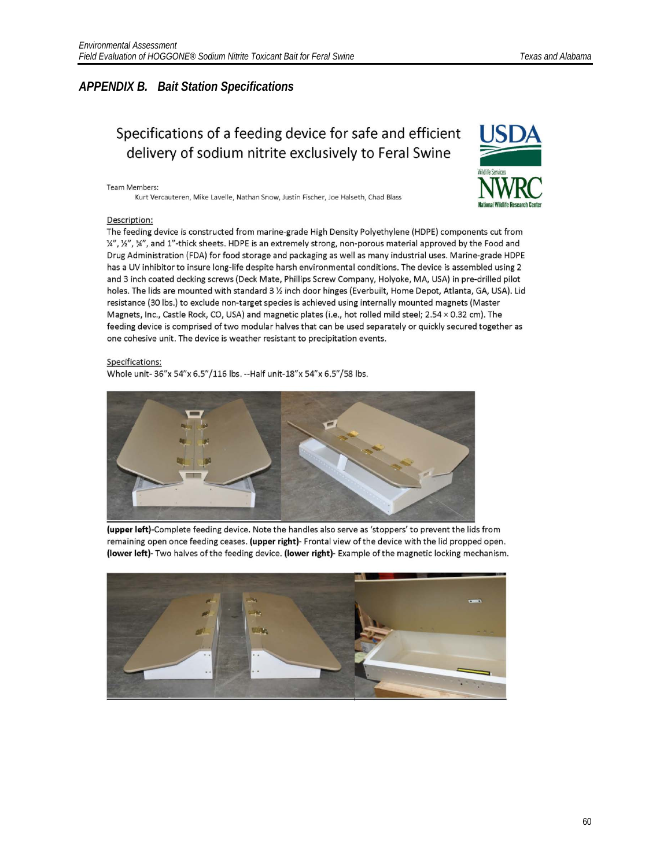#### *APPENDIX B. Bait Station Specifications*

### Specifications of a feeding device for safe and efficient delivery of sodium nitrite exclusively to Feral Swine

#### Team Members:

Kurt Vercauteren, Mike Lavelle, Nathan Snow, Justin Fischer, Joe Halseth, Chad Blass



#### Description:

The feeding device is constructed from marine-grade High Density Polyethylene (HDPE) components cut from 1/4", 1/2", 3/4", and 1"-thick sheets. HDPE is an extremely strong, non-porous material approved by the Food and Drug Administration (FDA) for food storage and packaging as well as many industrial uses. Marine-grade HDPE has a UV inhibitor to insure long-life despite harsh environmental conditions. The device is assembled using 2 and 3 inch coated decking screws (Deck Mate, Phillips Screw Company, Holyoke, MA, USA) in pre-drilled pilot holes. The lids are mounted with standard 3 % inch door hinges (Everbuilt, Home Depot, Atlanta, GA, USA). Lid resistance (30 lbs.) to exclude non-target species is achieved using internally mounted magnets (Master Magnets, Inc., Castle Rock, CO, USA) and magnetic plates (i.e., hot rolled mild steel; 2.54 × 0.32 cm). The feeding device is comprised of two modular halves that can be used separately or quickly secured together as one cohesive unit. The device is weather resistant to precipitation events.

#### Specifications:

Whole unit-36"x 54"x 6.5"/116 lbs. -- Half unit-18"x 54"x 6.5"/58 lbs.



(upper left)-Complete feeding device. Note the handles also serve as 'stoppers' to prevent the lids from remaining open once feeding ceases. (upper right)- Frontal view of the device with the lid propped open. (lower left)- Two halves of the feeding device. (lower right)- Example of the magnetic locking mechanism.

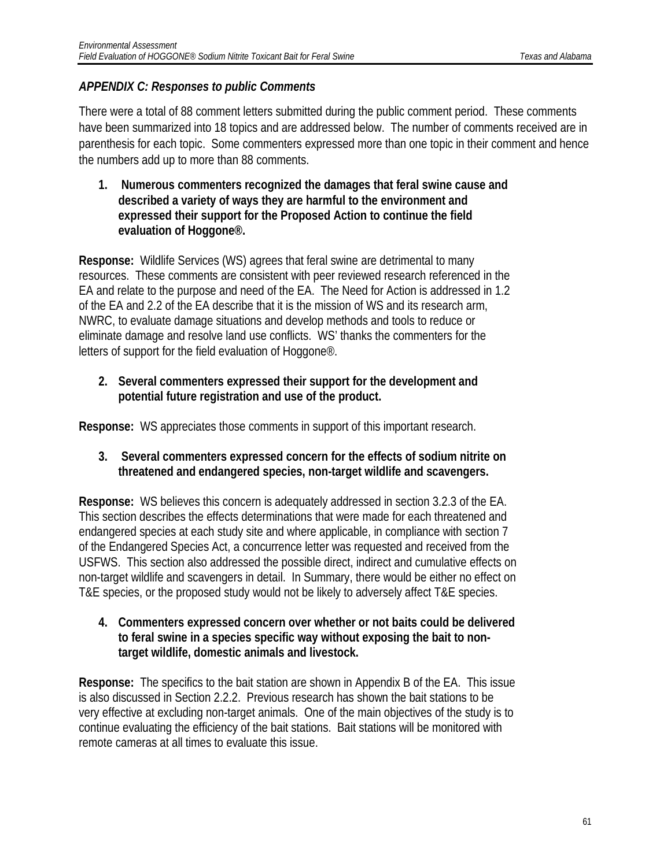### *APPENDIX C: Responses to public Comments*

There were a total of 88 comment letters submitted during the public comment period. These comments have been summarized into 18 topics and are addressed below. The number of comments received are in parenthesis for each topic. Some commenters expressed more than one topic in their comment and hence the numbers add up to more than 88 comments.

**1. Numerous commenters recognized the damages that feral swine cause and described a variety of ways they are harmful to the environment and expressed their support for the Proposed Action to continue the field evaluation of Hoggone®.**

**Response:** Wildlife Services (WS) agrees that feral swine are detrimental to many resources. These comments are consistent with peer reviewed research referenced in the EA and relate to the purpose and need of the EA. The Need for Action is addressed in 1.2 of the EA and 2.2 of the EA describe that it is the mission of WS and its research arm, NWRC, to evaluate damage situations and develop methods and tools to reduce or eliminate damage and resolve land use conflicts. WS' thanks the commenters for the letters of support for the field evaluation of Hoggone®.

**2. Several commenters expressed their support for the development and potential future registration and use of the product.**

**Response:** WS appreciates those comments in support of this important research.

**3. Several commenters expressed concern for the effects of sodium nitrite on threatened and endangered species, non-target wildlife and scavengers.**

**Response:** WS believes this concern is adequately addressed in section 3.2.3 of the EA. This section describes the effects determinations that were made for each threatened and endangered species at each study site and where applicable, in compliance with section 7 of the Endangered Species Act, a concurrence letter was requested and received from the USFWS. This section also addressed the possible direct, indirect and cumulative effects on non-target wildlife and scavengers in detail. In Summary, there would be either no effect on T&E species, or the proposed study would not be likely to adversely affect T&E species.

**4. Commenters expressed concern over whether or not baits could be delivered to feral swine in a species specific way without exposing the bait to nontarget wildlife, domestic animals and livestock.** 

**Response:** The specifics to the bait station are shown in Appendix B of the EA. This issue is also discussed in Section 2.2.2. Previous research has shown the bait stations to be very effective at excluding non-target animals. One of the main objectives of the study is to continue evaluating the efficiency of the bait stations. Bait stations will be monitored with remote cameras at all times to evaluate this issue.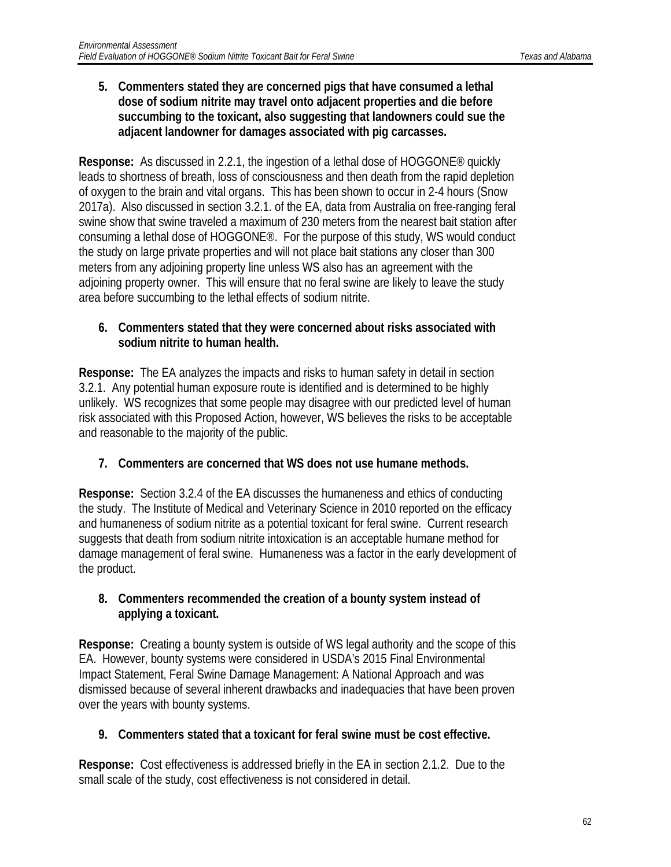**5. Commenters stated they are concerned pigs that have consumed a lethal dose of sodium nitrite may travel onto adjacent properties and die before succumbing to the toxicant, also suggesting that landowners could sue the adjacent landowner for damages associated with pig carcasses.**

**Response:** As discussed in 2.2.1, the ingestion of a lethal dose of HOGGONE® quickly leads to shortness of breath, loss of consciousness and then death from the rapid depletion of oxygen to the brain and vital organs. This has been shown to occur in 2-4 hours (Snow 2017a). Also discussed in section 3.2.1. of the EA, data from Australia on free-ranging feral swine show that swine traveled a maximum of 230 meters from the nearest bait station after consuming a lethal dose of HOGGONE®. For the purpose of this study, WS would conduct the study on large private properties and will not place bait stations any closer than 300 meters from any adjoining property line unless WS also has an agreement with the adjoining property owner. This will ensure that no feral swine are likely to leave the study area before succumbing to the lethal effects of sodium nitrite.

#### **6. Commenters stated that they were concerned about risks associated with sodium nitrite to human health.**

**Response:** The EA analyzes the impacts and risks to human safety in detail in section 3.2.1. Any potential human exposure route is identified and is determined to be highly unlikely. WS recognizes that some people may disagree with our predicted level of human risk associated with this Proposed Action, however, WS believes the risks to be acceptable and reasonable to the majority of the public.

#### **7. Commenters are concerned that WS does not use humane methods.**

**Response:** Section 3.2.4 of the EA discusses the humaneness and ethics of conducting the study. The Institute of Medical and Veterinary Science in 2010 reported on the efficacy and humaneness of sodium nitrite as a potential toxicant for feral swine. Current research suggests that death from sodium nitrite intoxication is an acceptable humane method for damage management of feral swine. Humaneness was a factor in the early development of the product.

#### **8. Commenters recommended the creation of a bounty system instead of applying a toxicant.**

**Response:** Creating a bounty system is outside of WS legal authority and the scope of this EA. However, bounty systems were considered in USDA's 2015 Final Environmental Impact Statement, Feral Swine Damage Management: A National Approach and was dismissed because of several inherent drawbacks and inadequacies that have been proven over the years with bounty systems.

#### **9. Commenters stated that a toxicant for feral swine must be cost effective.**

**Response:** Cost effectiveness is addressed briefly in the EA in section 2.1.2. Due to the small scale of the study, cost effectiveness is not considered in detail.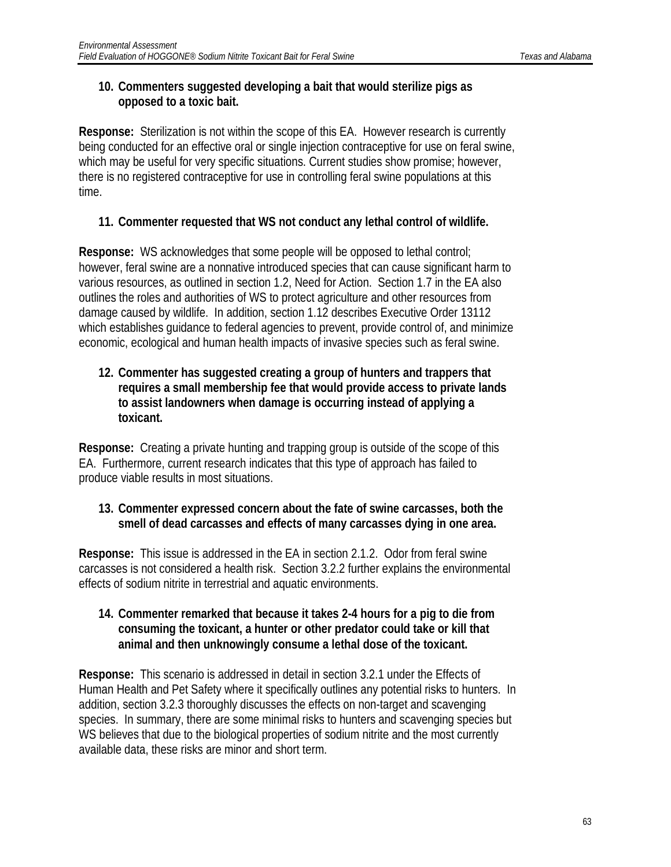#### **10. Commenters suggested developing a bait that would sterilize pigs as opposed to a toxic bait.**

**Response:** Sterilization is not within the scope of this EA. However research is currently being conducted for an effective oral or single injection contraceptive for use on feral swine, which may be useful for very specific situations. Current studies show promise; however, there is no registered contraceptive for use in controlling feral swine populations at this time.

#### **11. Commenter requested that WS not conduct any lethal control of wildlife.**

**Response:** WS acknowledges that some people will be opposed to lethal control; however, feral swine are a nonnative introduced species that can cause significant harm to various resources, as outlined in section 1.2, Need for Action. Section 1.7 in the EA also outlines the roles and authorities of WS to protect agriculture and other resources from damage caused by wildlife. In addition, section 1.12 describes Executive Order 13112 which establishes guidance to federal agencies to prevent, provide control of, and minimize economic, ecological and human health impacts of invasive species such as feral swine.

#### **12. Commenter has suggested creating a group of hunters and trappers that requires a small membership fee that would provide access to private lands to assist landowners when damage is occurring instead of applying a toxicant.**

**Response:** Creating a private hunting and trapping group is outside of the scope of this EA. Furthermore, current research indicates that this type of approach has failed to produce viable results in most situations.

#### **13. Commenter expressed concern about the fate of swine carcasses, both the smell of dead carcasses and effects of many carcasses dying in one area.**

**Response:** This issue is addressed in the EA in section 2.1.2. Odor from feral swine carcasses is not considered a health risk. Section 3.2.2 further explains the environmental effects of sodium nitrite in terrestrial and aquatic environments.

#### **14. Commenter remarked that because it takes 2-4 hours for a pig to die from consuming the toxicant, a hunter or other predator could take or kill that animal and then unknowingly consume a lethal dose of the toxicant.**

**Response:** This scenario is addressed in detail in section 3.2.1 under the Effects of Human Health and Pet Safety where it specifically outlines any potential risks to hunters. In addition, section 3.2.3 thoroughly discusses the effects on non-target and scavenging species. In summary, there are some minimal risks to hunters and scavenging species but WS believes that due to the biological properties of sodium nitrite and the most currently available data, these risks are minor and short term.